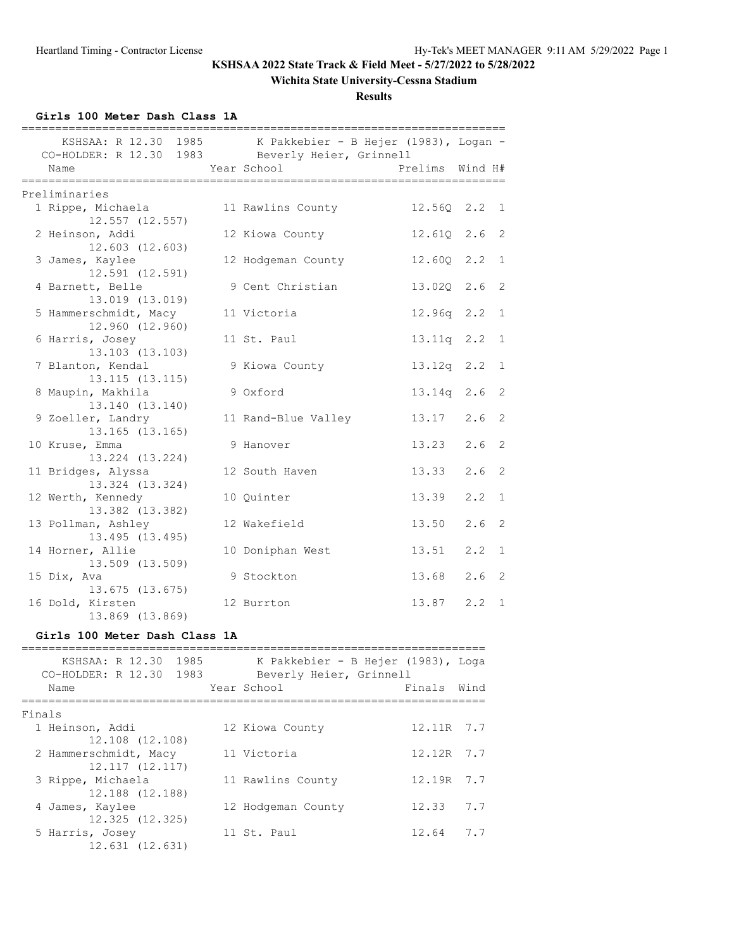# **Wichita State University-Cessna Stadium**

### **Results**

**Girls 100 Meter Dash Class 1A**

| CO-HOLDER: R 12.30 1983 Beverly Heier, Grinnell                                                                                                                                                                                                                          |                                                                                                                                                                                                                                 | KSHSAA: R 12.30 1985 K Pakkebier - B Hejer (1983), Logan -    |                 |      |                |
|--------------------------------------------------------------------------------------------------------------------------------------------------------------------------------------------------------------------------------------------------------------------------|---------------------------------------------------------------------------------------------------------------------------------------------------------------------------------------------------------------------------------|---------------------------------------------------------------|-----------------|------|----------------|
| Name                                                                                                                                                                                                                                                                     |                                                                                                                                                                                                                                 | Year School                                                   | Prelims Wind H# |      |                |
| Preliminaries                                                                                                                                                                                                                                                            |                                                                                                                                                                                                                                 |                                                               |                 |      |                |
| 1 Rippe, Michaela<br>12.557 (12.557)                                                                                                                                                                                                                                     |                                                                                                                                                                                                                                 | 11 Rawlins County                                             | 12.560 2.2 1    |      |                |
| 2 Heinson, Addi<br>12.603 (12.603)                                                                                                                                                                                                                                       |                                                                                                                                                                                                                                 | 12 Kiowa County                                               | 12.61Q 2.6 2    |      |                |
| 3 James, Kaylee<br>12.591 (12.591)                                                                                                                                                                                                                                       |                                                                                                                                                                                                                                 | 12 Hodgeman County                                            | 12.60Q 2.2      |      | 1              |
| 4 Barnett, Belle<br>13.019 (13.019)                                                                                                                                                                                                                                      |                                                                                                                                                                                                                                 | 9 Cent Christian                                              | 13.020 2.6 2    |      |                |
| 5 Hammerschmidt, Macy<br>12.960 (12.960)                                                                                                                                                                                                                                 |                                                                                                                                                                                                                                 | 11 Victoria                                                   | 12.96q 2.2      |      | $\overline{1}$ |
| 6 Harris, Josey<br>13.103 (13.103)                                                                                                                                                                                                                                       |                                                                                                                                                                                                                                 | 11 St. Paul                                                   | 13.11q 2.2      |      | 1              |
| 7 Blanton, Kendal<br>13.115 (13.115)                                                                                                                                                                                                                                     |                                                                                                                                                                                                                                 | 9 Kiowa County                                                | 13.12q 2.2      |      | 1              |
| 8 Maupin, Makhila<br>13.140 (13.140)                                                                                                                                                                                                                                     |                                                                                                                                                                                                                                 | 9 Oxford                                                      | $13.14q$ 2.6    |      | 2              |
| 9 Zoeller, Landry<br>13.165 (13.165)                                                                                                                                                                                                                                     |                                                                                                                                                                                                                                 | 11 Rand-Blue Valley                                           | 13.17 2.6       |      | 2              |
| 10 Kruse, Emma<br>13.224 (13.224)                                                                                                                                                                                                                                        |                                                                                                                                                                                                                                 | 9 Hanover                                                     | 13.23           | 2.6  | -2             |
| 11 Bridges, Alyssa<br>13.324 (13.324)                                                                                                                                                                                                                                    |                                                                                                                                                                                                                                 | 12 South Haven                                                | 13.33           | 2.6  | -2             |
| 12 Werth, Kennedy<br>13.382 (13.382)                                                                                                                                                                                                                                     |                                                                                                                                                                                                                                 | 10 Quinter                                                    | 13.39           | 2.2  | 1              |
| 13 Pollman, Ashley<br>13.495 (13.495)                                                                                                                                                                                                                                    |                                                                                                                                                                                                                                 | 12 Wakefield                                                  | 13.50           | 2.6  | 2              |
| 14 Horner, Allie<br>13.509 (13.509)                                                                                                                                                                                                                                      |                                                                                                                                                                                                                                 | 10 Doniphan West                                              | 13.51           | 2, 2 | 1              |
| 15 Dix, Ava<br>13.675 (13.675)                                                                                                                                                                                                                                           |                                                                                                                                                                                                                                 | 9 Stockton                                                    | 13.68           | 2.6  | 2              |
| 16 Dold, Kirsten<br>13.869 (13.869)                                                                                                                                                                                                                                      |                                                                                                                                                                                                                                 | 12 Burrton                                                    | 13.87 2.2 1     |      |                |
| Girls 100 Meter Dash Class 1A                                                                                                                                                                                                                                            |                                                                                                                                                                                                                                 |                                                               |                 |      |                |
| KSHSAA: R 12.30<br>1983   1983   1984   1984   1985   1985   1985   1985   1986   1986   1986   1986   1986   1986   1986   1986   1986   1986   1986   1986   1986   1986   1986   1986   1986   1986   1986   1986   1986   1986   1986   1986  <br>CO-HOLDER: R 12.30 | 1985 - 1985 - 1986 - 1986 - 1986 - 1986 - 1986 - 1986 - 1986 - 1986 - 1986 - 1986 - 1986 - 1986 - 1986 - 1986 - 1986 - 1986 - 1986 - 1986 - 1986 - 1986 - 1986 - 1986 - 1986 - 1986 - 1986 - 1986 - 1986 - 1986 - 1986 - 1986 - | K Pakkebier - B Hejer (1983), Loga<br>Beverly Heier, Grinnell |                 |      |                |
| Name                                                                                                                                                                                                                                                                     |                                                                                                                                                                                                                                 | Year School                                                   | Finals          | Wind |                |
| Finals                                                                                                                                                                                                                                                                   |                                                                                                                                                                                                                                 |                                                               |                 |      |                |
| 1 Heinson, Addi<br>12.108 (12.108)                                                                                                                                                                                                                                       |                                                                                                                                                                                                                                 | 12 Kiowa County                                               | 12.11R 7.7      |      |                |
| 2 Hammerschmidt, Macy<br>12.117 (12.117)                                                                                                                                                                                                                                 |                                                                                                                                                                                                                                 | 11 Victoria                                                   | 12.12R          | 7.7  |                |
| 3 Rippe, Michaela<br>12.188 (12.188)                                                                                                                                                                                                                                     |                                                                                                                                                                                                                                 | 11 Rawlins County                                             | 12.19R          | 7.7  |                |
| 4 James, Kaylee<br>12.325 (12.325)                                                                                                                                                                                                                                       |                                                                                                                                                                                                                                 | 12 Hodgeman County                                            | 12.33           | 7.7  |                |
| 5 Harris, Josey<br>12.631 (12.631)                                                                                                                                                                                                                                       |                                                                                                                                                                                                                                 | 11 St. Paul                                                   | 12.64           | 7.7  |                |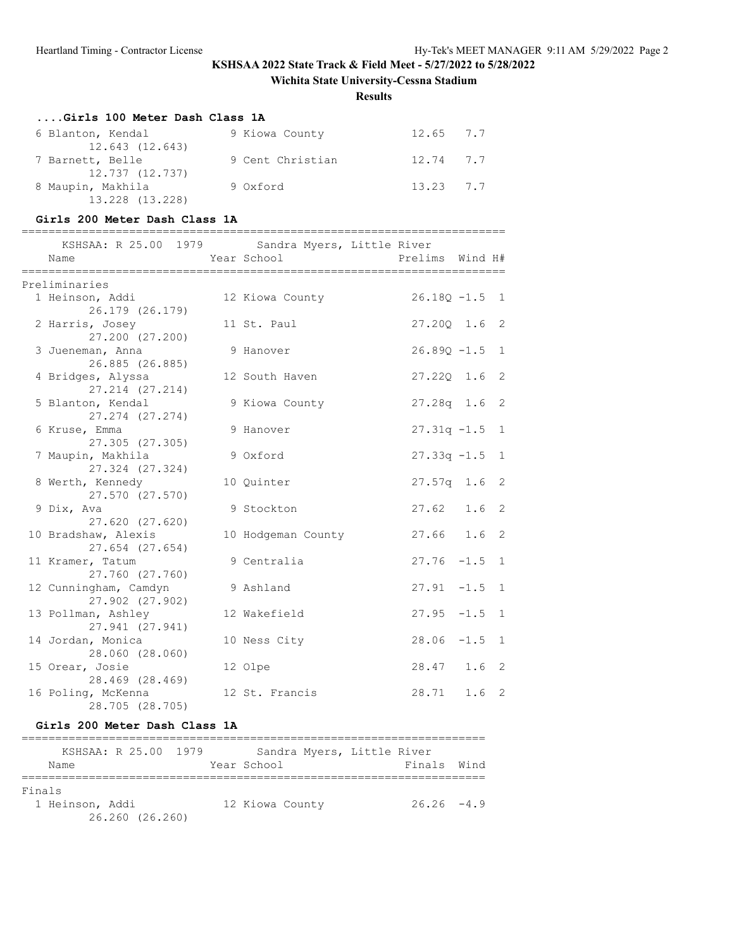**Wichita State University-Cessna Stadium**

**Results**

### **....Girls 100 Meter Dash Class 1A**

| 6 Blanton, Kendal | 9 Kiowa County   | 12.65 7.7 |  |
|-------------------|------------------|-----------|--|
| 12.643 (12.643)   |                  |           |  |
| 7 Barnett, Belle  | 9 Cent Christian | 12.74 7.7 |  |
| 12.737 (12.737)   |                  |           |  |
| 8 Maupin, Makhila | 9 Oxford         | 13.23 7.7 |  |
| 13.228 (13.228)   |                  |           |  |

### **Girls 200 Meter Dash Class 1A**

========================================================================

| KSHSAA: R 25.00 1979 Sandra Myers, Little River<br>Name | Year School        | Prelims Wind H#            |         |                |
|---------------------------------------------------------|--------------------|----------------------------|---------|----------------|
| Preliminaries                                           |                    |                            |         |                |
| 1 Heinson, Addi<br>26.179 (26.179)                      | 12 Kiowa County    | $26.18Q - 1.5$ 1           |         |                |
| 2 Harris, Josey<br>27.200 (27.200)                      | 11 St. Paul        | 27.200 1.6 2               |         |                |
| 3 Jueneman, Anna<br>26.885 (26.885)                     | 9 Hanover          | $26.89Q - 1.5$ 1           |         |                |
| 4 Bridges, Alyssa<br>27.214 (27.214)                    | 12 South Haven     | $27.220 \quad 1.6 \quad 2$ |         |                |
| 5 Blanton, Kendal<br>27.274 (27.274)                    | 9 Kiowa County     | $27.28q$ 1.6 2             |         |                |
| 6 Kruse, Emma<br>27.305 (27.305)                        | 9 Hanover          | $27.31q -1.5$ 1            |         |                |
| 7 Maupin, Makhila<br>27.324 (27.324)                    | 9 Oxford           | $27.33q -1.5$ 1            |         |                |
| 8 Werth, Kennedy<br>27.570 (27.570)                     | 10 Quinter         | $27.57q$ 1.6 2             |         |                |
| 9 Dix, Ava<br>27.620 (27.620)                           | 9 Stockton         | 27.62                      | $1.6-2$ |                |
| 10 Bradshaw, Alexis<br>27.654 (27.654)                  | 10 Hodgeman County | $27.66$ 1.6 2              |         |                |
| 11 Kramer, Tatum<br>27.760 (27.760)                     | 9 Centralia        | $27.76 - 1.5$              |         | 1              |
| 12 Cunningham, Camdyn<br>27.902 (27.902)                | 9 Ashland          | $27.91 - 1.5 1$            |         |                |
| 13 Pollman, Ashley<br>27.941 (27.941)                   | 12 Wakefield       | $27.95 -1.5 1$             |         |                |
| 14 Jordan, Monica<br>28.060 (28.060)                    | 10 Ness City       | $28.06 -1.5 1$             |         |                |
| 15 Orear, Josie<br>28.469 (28.469)                      | 12 Olpe            | 28.47 1.6 2                |         |                |
| 16 Poling, McKenna<br>28.705 (28.705)                   | 12 St. Francis     | 28.71 1.6                  |         | $\overline{2}$ |

### **Girls 200 Meter Dash Class 1A**

|                 | KSHSAA: R 25.00 1979 |  | Sandra Myers, Little River |               |  |
|-----------------|----------------------|--|----------------------------|---------------|--|
| Name            |                      |  | Year School                | Finals Wind   |  |
|                 |                      |  |                            |               |  |
| Finals          |                      |  |                            |               |  |
| 1 Heinson, Addi |                      |  | 12 Kiowa County            | $26.26 - 4.9$ |  |
|                 | 26.260 (26.260)      |  |                            |               |  |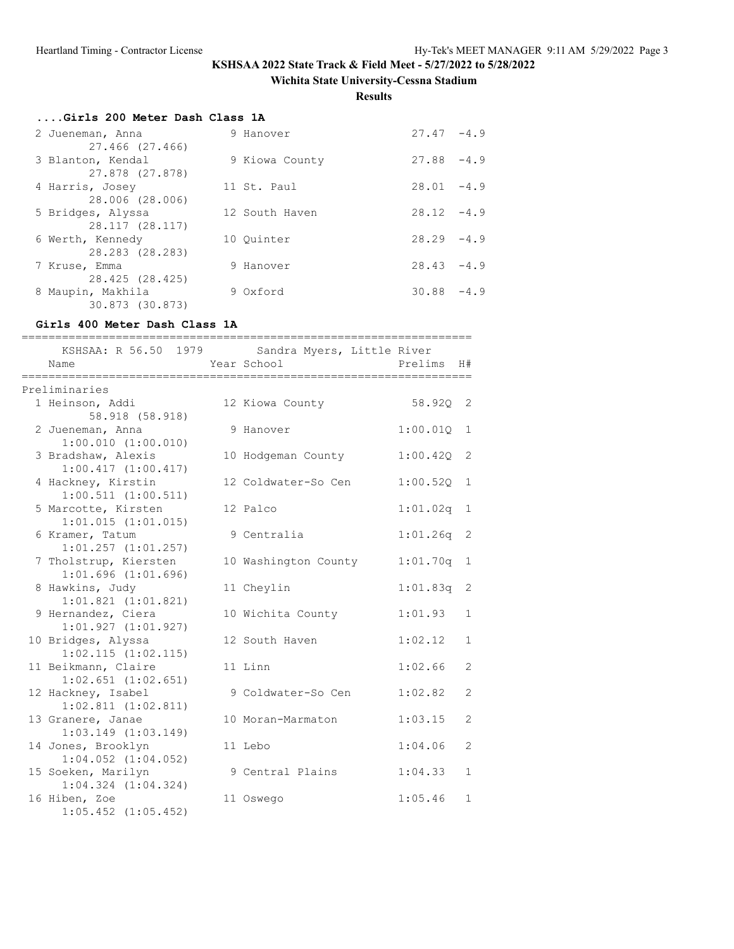# **Wichita State University-Cessna Stadium**

**Results**

|  | Girls 200 Meter Dash Class 1A |  |  |  |
|--|-------------------------------|--|--|--|
|  |                               |  |  |  |

| 2 Jueneman, Anna<br>27.466 (27.466)  | 9 Hanover      | $27.47 - 4.9$   |
|--------------------------------------|----------------|-----------------|
| 3 Blanton, Kendal<br>27.878 (27.878) | 9 Kiowa County | 27.88<br>$-4.9$ |
| 4 Harris, Josey<br>28.006 (28.006)   | 11 St. Paul    | 28.01<br>$-4.9$ |
| 5 Bridges, Alyssa<br>28.117 (28.117) | 12 South Haven | $28.12 - 4.9$   |
| 6 Werth, Kennedy<br>28.283 (28.283)  | 10 Ouinter     | $28.29 - 4.9$   |
| 7 Kruse, Emma<br>28.425 (28.425)     | 9 Hanover      | $28.43 - 4.9$   |
| 8 Maupin, Makhila<br>30.873 (30.873) | 9 Oxford       | 30.88<br>$-4.9$ |

# **Girls 400 Meter Dash Class 1A**

| =========<br>KSHSAA: R 56.50 1979<br>Name        | Sandra Myers, Little River<br>Year School | Prelims  | H#           |
|--------------------------------------------------|-------------------------------------------|----------|--------------|
| Preliminaries                                    |                                           |          |              |
| 1 Heinson, Addi<br>58.918 (58.918)               | 12 Kiowa County                           | 58.920   | 2            |
| 2 Jueneman, Anna<br>$1:00.010$ $(1:00.010)$      | 9 Hanover                                 | 1:00.01Q | 1            |
| 3 Bradshaw, Alexis<br>1:00.417(1:00.417)         | 10 Hodgeman County                        | 1:00.42Q | 2            |
| 4 Hackney, Kirstin<br>$1:00.511$ $(1:00.511)$    | 12 Coldwater-So Cen                       | 1:00.52Q | 1            |
| 5 Marcotte, Kirsten<br>1:01.015(1:01.015)        | 12 Palco                                  | 1:01.02q | 1            |
| 6 Kramer, Tatum<br>$1:01.257$ $(1:01.257)$       | 9 Centralia                               | 1:01.26q | 2            |
| 7 Tholstrup, Kiersten<br>$1:01.696$ $(1:01.696)$ | 10 Washington County                      | 1:01.70q | 1            |
| 8 Hawkins, Judy<br>$1:01.821$ $(1:01.821)$       | 11 Cheylin                                | 1:01.83q | 2            |
| 9 Hernandez, Ciera<br>1:01.927(1:01.927)         | 10 Wichita County                         | 1:01.93  | 1            |
| 10 Bridges, Alyssa<br>$1:02.115$ $(1:02.115)$    | 12 South Haven                            | 1:02.12  | 1            |
| 11 Beikmann, Claire<br>$1:02.651$ $(1:02.651)$   | 11 Linn                                   | 1:02.66  | 2            |
| 12 Hackney, Isabel<br>$1:02.811$ $(1:02.811)$    | 9 Coldwater-So Cen                        | 1:02.82  | 2            |
| 13 Granere, Janae<br>$1:03.149$ $(1:03.149)$     | 10 Moran-Marmaton                         | 1:03.15  | 2            |
| 14 Jones, Brooklyn<br>$1:04.052$ $(1:04.052)$    | 11 Lebo                                   | 1:04.06  | 2            |
| 15 Soeken, Marilyn<br>$1:04.324$ $(1:04.324)$    | 9 Central Plains                          | 1:04.33  | $\mathbf{1}$ |
| 16 Hiben, Zoe<br>$1:05.452$ $(1:05.452)$         | 11 Oswego                                 | 1:05.46  | $\mathbf{1}$ |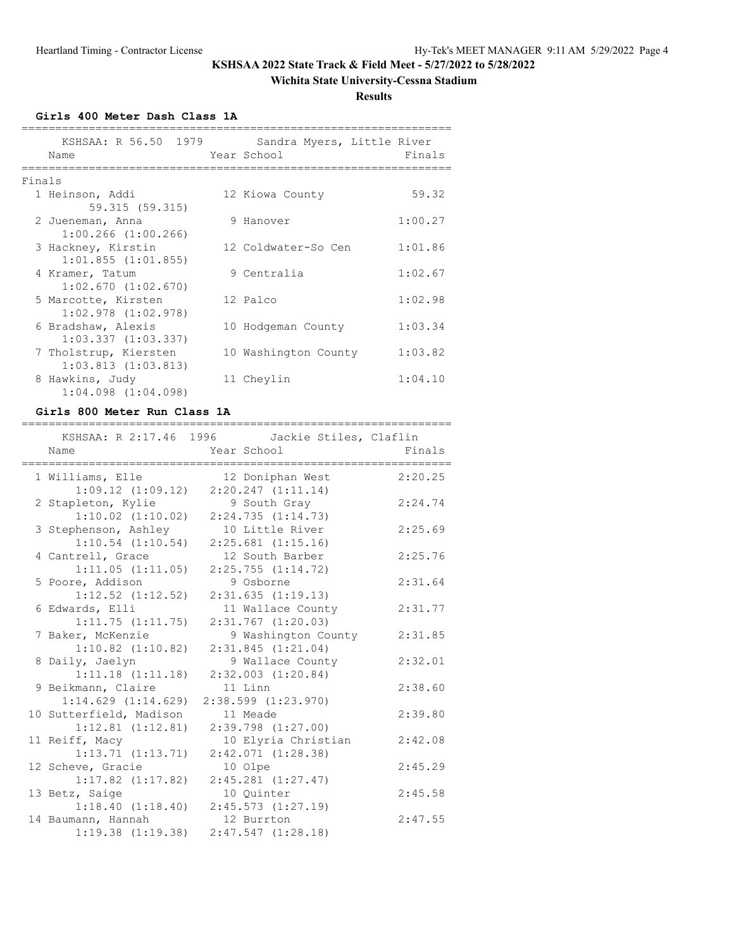### **Wichita State University-Cessna Stadium**

**Results**

**Girls 400 Meter Dash Class 1A**

|        | KSHSAA: R 56.50 1979<br>Name                     | Sandra Myers, Little River<br>Year School | Finals  |
|--------|--------------------------------------------------|-------------------------------------------|---------|
| Finals |                                                  |                                           |         |
|        | 1 Heinson, Addi<br>59.315 (59.315)               | 12 Kiowa County                           | 59.32   |
|        | 2 Jueneman, Anna<br>$1:00.266$ $(1:00.266)$      | 9 Hanover                                 | 1:00.27 |
|        | 3 Hackney, Kirstin<br>$1:01.855$ $(1:01.855)$    | 12 Coldwater-So Cen                       | 1:01.86 |
|        | 4 Kramer, Tatum<br>$1:02.670$ $(1:02.670)$       | 9 Centralia                               | 1:02.67 |
|        | 5 Marcotte, Kirsten<br>$1:02.978$ $(1:02.978)$   | 12 Palco                                  | 1:02.98 |
|        | 6 Bradshaw, Alexis<br>$1:03.337$ $(1:03.337)$    | 10 Hodgeman County                        | 1:03.34 |
|        | 7 Tholstrup, Kiersten<br>$1:03.813$ $(1:03.813)$ | 10 Washington County                      | 1:03.82 |
|        | 8 Hawkins, Judy<br>$1:04.098$ $(1:04.098)$       | 11 Cheylin                                | 1:04.10 |

#### **Girls 800 Meter Run Class 1A**

| ===========             |                                                              |         |
|-------------------------|--------------------------------------------------------------|---------|
| Name                    | KSHSAA: R 2:17.46 1996 Jackie Stiles, Claflin<br>Year School | Finals  |
|                         |                                                              |         |
| 1 Williams, Elle        | 12 Doniphan West                                             | 2:20.25 |
| $1:09.12$ $(1:09.12)$   | 2:20.247(1:11.14)                                            |         |
| 2 Stapleton, Kylie      | 9 South Gray                                                 | 2:24.74 |
| $1:10.02$ $(1:10.02)$   | 2:24.735(1:14.73)                                            |         |
| 3 Stephenson, Ashley    | 10 Little River                                              | 2:25.69 |
| $1:10.54$ $(1:10.54)$   | $2:25.681$ $(1:15.16)$                                       |         |
| 4 Cantrell, Grace       | 12 South Barber                                              | 2:25.76 |
| 1:11.05(1:11.05)        | 2:25.755(1:14.72)                                            |         |
| 5 Poore, Addison        | 9 Osborne                                                    | 2:31.64 |
| $1:12.52$ $(1:12.52)$   | 2:31.635(1:19.13)                                            |         |
| 6 Edwards, Elli         | 11 Wallace County                                            | 2:31.77 |
| 1:11.75(1:11.75)        | $2:31.767$ $(1:20.03)$                                       |         |
| 7 Baker, McKenzie       | 9 Washington County                                          | 2:31.85 |
| $1:10.82$ $(1:10.82)$   | 2:31.845(1:21.04)                                            |         |
| 8 Daily, Jaelyn         | 9 Wallace County                                             | 2:32.01 |
| $1:11.18$ $(1:11.18)$   | $2:32.003$ $(1:20.84)$                                       |         |
| 9 Beikmann, Claire      | 11 Linn                                                      | 2:38.60 |
| $1:14.629$ $(1:14.629)$ | $2:38.599$ $(1:23.970)$                                      |         |
| 10 Sutterfield, Madison | 11 Meade                                                     | 2:39.80 |
| $1:12.81$ $(1:12.81)$   | $2:39.798$ $(1:27.00)$                                       |         |
| 11 Reiff, Macy          | 10 Elyria Christian                                          | 2:42.08 |
| 1:13.71(1:13.71)        | 2:42.071(1:28.38)                                            |         |
| 12 Scheve, Gracie       | 10 Olpe                                                      | 2:45.29 |
| $1:17.82$ $(1:17.82)$   | $2:45.281$ $(1:27.47)$                                       |         |
| 13 Betz, Saige          | 10 Ouinter                                                   | 2:45.58 |
| 1:18.40(1:18.40)        | $2:45.573$ $(1:27.19)$                                       |         |
| 14 Baumann, Hannah      | 12 Burrton                                                   | 2:47.55 |
| 1:19.38(1:19.38)        | 2:47.547(1:28.18)                                            |         |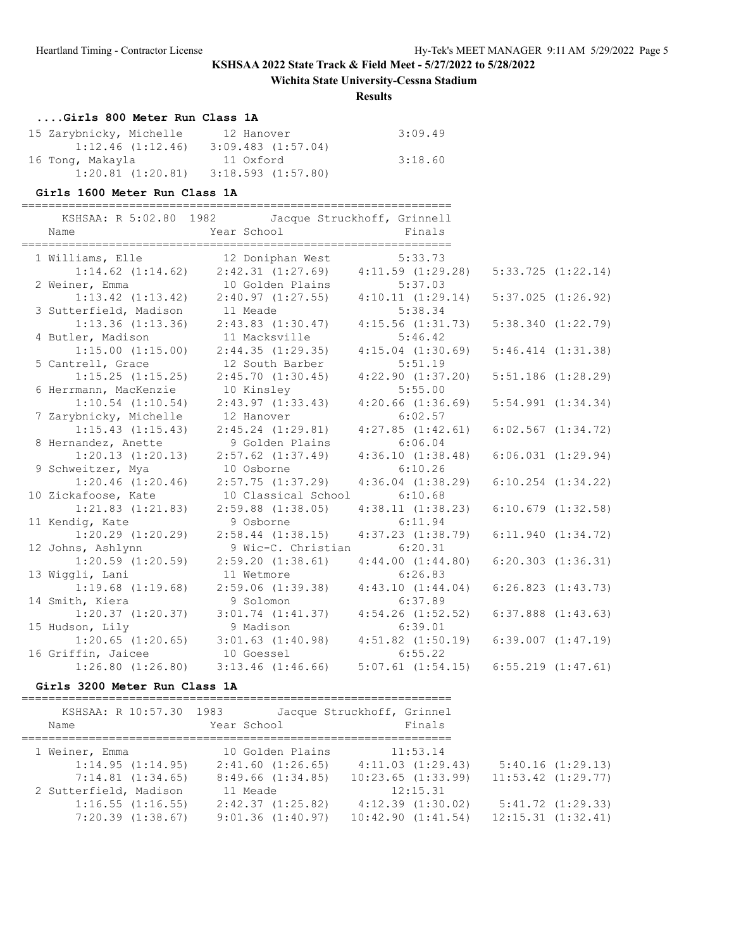### **Wichita State University-Cessna Stadium**

#### **Results**

# **....Girls 800 Meter Run Class 1A**

| 15 Zarybnicky, Michelle | 12 Hanover             | 3:09.49 |
|-------------------------|------------------------|---------|
| $1:12.46$ $(1:12.46)$   | $3:09.483$ $(1:57.04)$ |         |
| 16 Tong, Makayla        | 11 Oxford              | 3:18.60 |
| $1:20.81$ $(1:20.81)$   | 3:18.593(1:57.80)      |         |

### **Girls 1600 Meter Run Class 1A**

| Name                                       | KSHSAA: R 5:02.80 1982 Jacque Struckhoff, Grinnell<br>Year School Finals |                                              |                        |
|--------------------------------------------|--------------------------------------------------------------------------|----------------------------------------------|------------------------|
|                                            | 1 Williams, Elle 12 Doniphan West 5:33.73                                |                                              |                        |
|                                            | $1:14.62$ $(1:14.62)$ $2:42.31$ $(1:27.69)$ $4:11.59$ $(1:29.28)$        |                                              | $5:33.725$ $(1:22.14)$ |
|                                            | 2 Weiner, Emma 10 Golden Plains 5:37.03                                  |                                              |                        |
|                                            | $1:13.42$ $(1:13.42)$ $2:40.97$ $(1:27.55)$ $4:10.11$ $(1:29.14)$        |                                              | $5:37.025$ $(1:26.92)$ |
| 3 Sutterfield, Madison                     | 11 Meade<br>$1:13.36$ $(1:13.36)$ $2:43.83$ $(1:30.47)$                  | 5:38.34                                      |                        |
|                                            | 11 Macksville                                                            | 4:15.56(1:31.73)<br>5:46.42                  | 5:38.340(1:22.79)      |
| 4 Butler, Madison<br>$1:15.00$ $(1:15.00)$ | 2:44.35(1:29.35)                                                         | $4:15.04$ $(1:30.69)$                        | $5:46.414$ $(1:31.38)$ |
| 5 Cantrell, Grace                          | 12 South Barber                                                          | 5:51.19                                      |                        |
| $1:15.25$ $(1:15.25)$                      | 2:45.70(1:30.45)                                                         | 4:22.90(1:37.20)                             | $5:51.186$ $(1:28.29)$ |
| 6 Herrmann, MacKenzie                      | 10 Kinsley                                                               | 5:55.00                                      |                        |
| $1:10.54$ $(1:10.54)$                      | $2:43.97$ $(1:33.43)$                                                    | $4:20.66$ $(1:36.69)$                        | $5:54.991$ $(1:34.34)$ |
| 7 Zarybnicky, Michelle                     | 12 Hanover                                                               | 6:02.57                                      |                        |
| $1:15.43$ $(1:15.43)$                      | $2:45.24$ $(1:29.81)$                                                    | $4:27.85$ $(1:42.61)$                        | $6:02.567$ $(1:34.72)$ |
| 8 Hernandez, Anette                        | 9 Golden Plains                                                          | 6:06.04                                      |                        |
| 1:20.13(1:20.13)                           | $2:57.62$ $(1:37.49)$                                                    | 4:36.10(1:38.48)                             | $6:06.031$ $(1:29.94)$ |
| 9 Schweitzer, Mya                          | 10 Osborne                                                               | 6:10.26                                      |                        |
| $1:20.46$ $(1:20.46)$                      | 2:57.75(1:37.29)                                                         | $4:36.04$ $(1:38.29)$                        | $6:10.254$ $(1:34.22)$ |
| 10 Zickafoose, Kate                        | 10 Classical School                                                      | 6:10.68                                      |                        |
| $1:21.83$ $(1:21.83)$                      | $2:59.88$ $(1:38.05)$                                                    | 4:38.11(1:38.23)                             | $6:10.679$ $(1:32.58)$ |
| 11 Kendig, Kate                            | 9 Osborne                                                                | 6:11.94                                      |                        |
| $1:20.29$ $(1:20.29)$                      | $2:58.44$ $(1:38.15)$ $4:37.23$ $(1:38.79)$                              |                                              | 6:11.940(1:34.72)      |
| 12 Johns, Ashlynn                          | 9 Wic-C. Christian 6:20.31                                               |                                              |                        |
| $1:20.59$ $(1:20.59)$                      | 2:59.20(1:38.61)                                                         | 4:44.00(1:44.80)                             | $6:20.303$ $(1:36.31)$ |
| 13 Wiggli, Lani                            | 11 Wetmore                                                               | 6:26.83                                      |                        |
| $1:19.68$ $(1:19.68)$                      | $2:59.06$ $(1:39.38)$ $4:43.10$ $(1:44.04)$                              |                                              | 6:26.823(1:43.73)      |
| 14 Smith, Kiera                            | 9 Solomon                                                                | 6:37.89                                      |                        |
| $1:20.37$ $(1:20.37)$                      | $3:01.74$ $(1:41.37)$ $4:54.26$ $(1:52.52)$                              |                                              | $6:37.888$ $(1:43.63)$ |
| 15 Hudson, Lily                            | 9 Madison                                                                | 6:39.01                                      |                        |
| $1:20.65$ $(1:20.65)$                      | $3:01.63$ $(1:40.98)$ $4:51.82$ $(1:50.19)$                              |                                              | $6:39.007$ $(1:47.19)$ |
| 16 Griffin, Jaicee                         | 10 Goessel                                                               | 6:55.22                                      |                        |
| $1:26.80$ $(1:26.80)$                      | $3:13.46$ $(1:46.66)$                                                    | $5:07.61$ $(1:54.15)$ $6:55.219$ $(1:47.61)$ |                        |

### **Girls 3200 Meter Run Class 1A**

| KSHSAA: R 10:57.30 1983<br>Name | Year School           | Jacque Struckhoff, Grinnel<br>Finals |                        |
|---------------------------------|-----------------------|--------------------------------------|------------------------|
| 1 Weiner, Emma                  | 10 Golden Plains      | 11:53.14                             |                        |
| 1:14.95(1:14.95)                | $2:41.60$ $(1:26.65)$ | 4:11.03(1:29.43)                     | 5:40.16(1:29.13)       |
| $7:14.81$ $(1:34.65)$           | 8:49.66(1:34.85)      | $10:23.65$ $(1:33.99)$               | $11:53.42$ $(1:29.77)$ |
| 2 Sutterfield, Madison          | 11 Meade              | 12:15.31                             |                        |
| 1:16.55(1:16.55)                | 2:42.37(1:25.82)      | $4:12.39$ $(1:30.02)$                | 5:41.72(1:29.33)       |
| $7:20.39$ $(1:38.67)$           | 9:01.36(1:40.97)      | 10:42.90(1:41.54)                    | 12:15.31(1:32.41)      |
|                                 |                       |                                      |                        |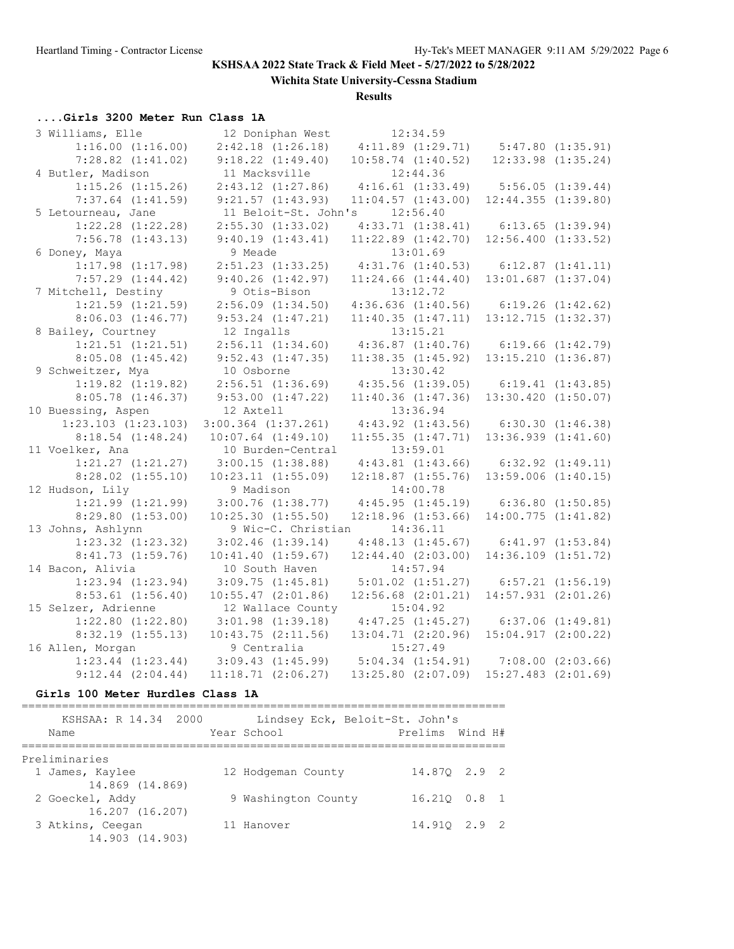**Wichita State University-Cessna Stadium**

**Results**

# **....Girls 3200 Meter Run Class 1A**

| 3 Williams, Elle        | 12 Doniphan West        | 12:34.59               |                         |
|-------------------------|-------------------------|------------------------|-------------------------|
| $1:16.00$ $(1:16.00)$   | $2:42.18$ $(1:26.18)$   | 4:11.89(1:29.71)       | 5:47.80(1:35.91)        |
| $7:28.82$ $(1:41.02)$   | $9:18.22$ $(1:49.40)$   | $10:58.74$ $(1:40.52)$ | $12:33.98$ $(1:35.24)$  |
| 4 Butler, Madison       | 11 Macksville           | 12:44.36               |                         |
| $1:15.26$ $(1:15.26)$   | $2:43.12$ $(1:27.86)$   | $4:16.61$ $(1:33.49)$  | 5:56.05(1:39.44)        |
| $7:37.64$ $(1:41.59)$   | 9:21.57(1:43.93)        | $11:04.57$ $(1:43.00)$ | 12:44.355(1:39.80)      |
| 5 Letourneau, Jane      | 11 Beloit-St. John's    | 12:56.40               |                         |
| $1:22.28$ $(1:22.28)$   | $2:55.30$ $(1:33.02)$   | 4:33.71(1:38.41)       | 6:13.65(1:39.94)        |
| $7:56.78$ $(1:43.13)$   | 9:40.19(1:43.41)        | $11:22.89$ $(1:42.70)$ | $12:56.400$ $(1:33.52)$ |
| 6 Doney, Maya           | 9 Meade                 | 13:01.69               |                         |
| $1:17.98$ $(1:17.98)$   | $2:51.23$ $(1:33.25)$   | 4:31.76(1:40.53)       | $6:12.87$ $(1:41.11)$   |
| $7:57.29$ $(1:44.42)$   | 9:40.26(1:42.97)        | $11:24.66$ $(1:44.40)$ | $13:01.687$ $(1:37.04)$ |
| 7 Mitchell, Destiny     | 9 Otis-Bison            | 13:12.72               |                         |
| $1:21.59$ $(1:21.59)$   | $2:56.09$ $(1:34.50)$   | $4:36.636$ $(1:40.56)$ | 6:19.26(1:42.62)        |
| $8:06.03$ $(1:46.77)$   | $9:53.24$ $(1:47.21)$   | 11:40.35(1:47.11)      | $13:12.715$ $(1:32.37)$ |
| 8 Bailey, Courtney      | 12 Ingalls              | 13:15.21               |                         |
| $1:21.51$ $(1:21.51)$   | 2:56.11(1:34.60)        | $4:36.87$ $(1:40.76)$  | 6:19.66(1:42.79)        |
| $8:05.08$ $(1:45.42)$   | $9:52.43$ $(1:47.35)$   | 11:38.35(1:45.92)      | $13:15.210$ $(1:36.87)$ |
| 9 Schweitzer, Mya       | 10 Osborne              | 13:30.42               |                         |
| $1:19.82$ $(1:19.82)$   | $2:56.51$ $(1:36.69)$   | $4:35.56$ $(1:39.05)$  | 6:19.41(1:43.85)        |
| $8:05.78$ $(1:46.37)$   | $9:53.00$ $(1:47.22)$   | $11:40.36$ $(1:47.36)$ | $13:30.420$ $(1:50.07)$ |
| 10 Buessing, Aspen      | 12 Axtell               | 13:36.94               |                         |
| $1:23.103$ $(1:23.103)$ | $3:00.364$ $(1:37.261)$ | $4:43.92$ $(1:43.56)$  | 6:30.30(1:46.38)        |
| $8:18.54$ $(1:48.24)$   | $10:07.64$ $(1:49.10)$  | 11:55.35(1:47.71)      | $13:36.939$ $(1:41.60)$ |
| 11 Voelker, Ana         | 10 Burden-Central       | 13:59.01               |                         |
| $1:21.27$ $(1:21.27)$   | 3:00.15(1:38.88)        | $4:43.81$ $(1:43.66)$  | $6:32.92$ $(1:49.11)$   |
| $8:28.02$ $(1:55.10)$   | 10:23.11(1:55.09)       | $12:18.87$ $(1:55.76)$ | $13:59.006$ $(1:40.15)$ |
| 12 Hudson, Lily         | 9 Madison               | 14:00.78               |                         |
| $1:21.99$ $(1:21.99)$   | $3:00.76$ $(1:38.77)$   | 4:45.95(1:45.19)       | 6:36.80(1:50.85)        |
| $8:29.80$ $(1:53.00)$   | $10:25.30$ $(1:55.50)$  | $12:18.96$ $(1:53.66)$ | 14:00.775(1:41.82)      |
| 13 Johns, Ashlynn       | 9 Wic-C. Christian      | 14:36.11               |                         |
| $1:23.32$ $(1:23.32)$   | $3:02.46$ $(1:39.14)$   | 4:48.13(1:45.67)       | 6:41.97(1:53.84)        |
| $8:41.73$ $(1:59.76)$   | 10:41.40(1:59.67)       | $12:44.40$ $(2:03.00)$ | $14:36.109$ $(1:51.72)$ |
| 14 Bacon, Alivia        | 10 South Haven          | 14:57.94               |                         |
| $1:23.94$ $(1:23.94)$   | 3:09.75(1:45.81)        | $5:01.02$ $(1:51.27)$  | $6:57.21$ $(1:56.19)$   |
| $8:53.61$ $(1:56.40)$   | $10:55.47$ $(2:01.86)$  | $12:56.68$ $(2:01.21)$ | $14:57.931$ $(2:01.26)$ |
| 15 Selzer, Adrienne     | 12 Wallace County       | 15:04.92               |                         |
| $1:22.80$ $(1:22.80)$   | $3:01.98$ $(1:39.18)$   | 4:47.25(1:45.27)       | $6:37.06$ $(1:49.81)$   |
| $8:32.19$ $(1:55.13)$   | 10:43.75(2:11.56)       | $13:04.71$ $(2:20.96)$ | $15:04.917$ $(2:00.22)$ |
| 16 Allen, Morgan        | 9 Centralia             | 15:27.49               |                         |
| $1:23.44$ $(1:23.44)$   | 3:09.43(1:45.99)        | 5:04.34(1:54.91)       | $7:08.00$ $(2:03.66)$   |
| $9:12.44$ $(2:04.44)$   | $11:18.71$ $(2:06.27)$  | $13:25.80$ $(2:07.09)$ | $15:27.483$ $(2:01.69)$ |
|                         |                         |                        |                         |

### **Girls 100 Meter Hurdles Class 1A**

| KSHSAA: R 14.34 2000<br>Name        | Lindsey Eck, Beloit-St. John's<br>Year School | Prelims Wind H# |  |
|-------------------------------------|-----------------------------------------------|-----------------|--|
| Preliminaries                       |                                               |                 |  |
| 1 James, Kaylee<br>14.869 (14.869)  | 12 Hodgeman County                            | 14.870 2.9 2    |  |
| 2 Goeckel, Addy<br>16.207 (16.207)  | 9 Washington County                           | 16.210 0.8 1    |  |
| 3 Atkins, Ceegan<br>14.903 (14.903) | 11 Hanover                                    | 14.910 2.9 2    |  |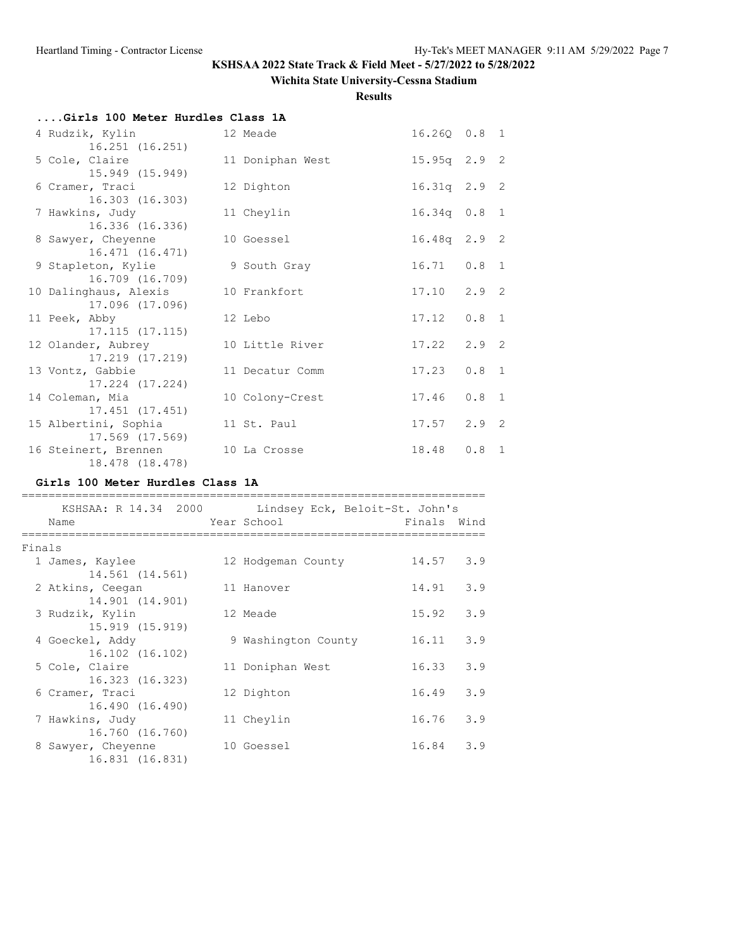# **Wichita State University-Cessna Stadium**

**Results**

| Girls 100 Meter Hurdles Class 1A                      |                  |                 |                 |
|-------------------------------------------------------|------------------|-----------------|-----------------|
| 4 Rudzik, Kylin                                       | 12 Meade         |                 | 16.260 0.8 1    |
| 16.251 (16.251)<br>5 Cole, Claire                     | 11 Doniphan West | 15.95q 2.9 2    |                 |
| 15.949 (15.949)<br>6 Cramer, Traci<br>16.303 (16.303) | 12 Dighton       |                 | 16.31q 2.9 2    |
| 7 Hawkins, Judy<br>16.336 (16.336)                    | 11 Cheylin       |                 | $16.34q$ 0.8 1  |
| 8 Sawyer, Cheyenne<br>16.471 (16.471)                 | 10 Goessel       |                 | 16.48q 2.9 2    |
| 9 Stapleton, Kylie<br>16.709 (16.709)                 | 9 South Gray     |                 | $16.71$ 0.8 1   |
| 10 Dalinghaus, Alexis<br>17.096 (17.096)              | 10 Frankfort     |                 | $17.10$ $2.9$ 2 |
| 11 Peek, Abby<br>$17.115$ $(17.115)$                  | 12 Lebo          | 17.12           | $0.8 \quad 1$   |
| 12 Olander, Aubrey<br>17.219 (17.219)                 | 10 Little River  | $17.22$ $2.9$ 2 |                 |
| 13 Vontz, Gabbie<br>17.224 (17.224)                   | 11 Decatur Comm  | 17.23           | $0.8 \quad 1$   |
| 14 Coleman, Mia<br>17.451 (17.451)                    | 10 Colony-Crest  | 17.46           | $0.8 \quad 1$   |
| 15 Albertini, Sophia<br>17.569 (17.569)               | 11 St. Paul      |                 | $17.57$ $2.9$ 2 |
| 16 Steinert, Brennen<br>18.478 (18.478)               | 10 La Crosse     |                 | 18.48  0.8  1   |

### **Girls 100 Meter Hurdles Class 1A**

|        |                                                          | KSHSAA: R 14.34 2000 Lindsey Eck, Beloit-St. John's |             |     |
|--------|----------------------------------------------------------|-----------------------------------------------------|-------------|-----|
|        | Name                                                     | Year School                                         | Finals Wind |     |
| Finals |                                                          |                                                     |             |     |
|        | 1 James, Kaylee<br>14.561 (14.561)                       | 12 Hodgeman County                                  | 14.57       | 3.9 |
|        | 2 Atkins, Ceegan                                         | 11 Hanover                                          | 14.91       | 3.9 |
|        | 14.901 (14.901)<br>3 Rudzik, Kylin                       | 12 Meade                                            | 15.92       | 3.9 |
|        | 15.919 (15.919)<br>4 Goeckel, Addy                       | 9 Washington County                                 | 16.11       | 3.9 |
|        | 16.102 (16.102)<br>5 Cole, Claire                        | 11 Doniphan West                                    | 16.33       | 3.9 |
|        | 16.323 (16.323)                                          |                                                     |             |     |
|        | 6 Cramer, Traci<br>16.490 (16.490)                       | 12 Dighton                                          | 16.49       | 3.9 |
|        | 7 Hawkins, Judy                                          | 11 Chevlin                                          | 16.76       | 3.9 |
|        | 16.760 (16.760)<br>8 Sawyer, Cheyenne<br>16.831 (16.831) | 10 Goessel                                          | 16.84       | 3.9 |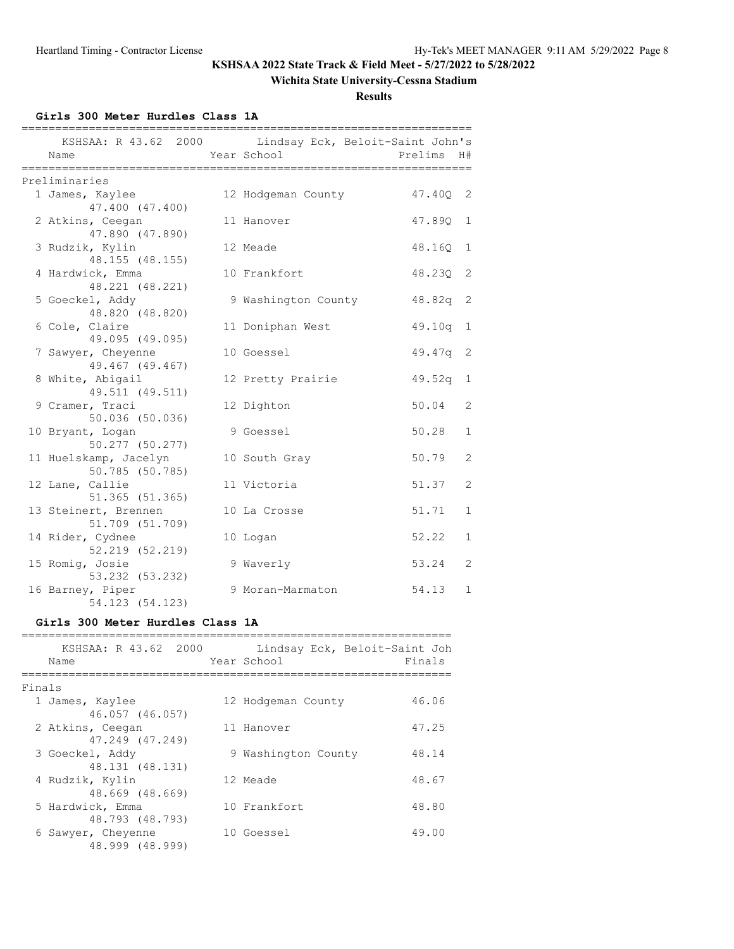# **Wichita State University-Cessna Stadium**

**Results**

**Girls 300 Meter Hurdles Class 1A**

| ===========<br>=============          |  | ======================                                               |          |              |  |  |  |
|---------------------------------------|--|----------------------------------------------------------------------|----------|--------------|--|--|--|
| Name                                  |  | KSHSAA: R 43.62 2000 Lindsay Eck, Beloit-Saint John's<br>Year School | Prelims  | H#           |  |  |  |
| Preliminaries                         |  |                                                                      |          |              |  |  |  |
| 1 James, Kaylee                       |  | 12 Hodgeman County                                                   | 47.40Q 2 |              |  |  |  |
| 47.400 (47.400)                       |  |                                                                      |          |              |  |  |  |
| 2 Atkins, Ceegan                      |  | 11 Hanover                                                           | 47.890   | $\mathbf{1}$ |  |  |  |
| 47.890 (47.890)                       |  |                                                                      |          |              |  |  |  |
| 3 Rudzik, Kylin                       |  | 12 Meade                                                             | 48.160   | 1            |  |  |  |
| 48.155 (48.155)                       |  |                                                                      |          |              |  |  |  |
| 4 Hardwick, Emma                      |  | 10 Frankfort                                                         | 48.23Q   | 2            |  |  |  |
| 48.221 (48.221)                       |  |                                                                      |          |              |  |  |  |
| 5 Goeckel, Addy                       |  | 9 Washington County                                                  | 48.82q   | -2           |  |  |  |
| 48.820 (48.820)                       |  |                                                                      |          |              |  |  |  |
| 6 Cole, Claire                        |  | 11 Doniphan West                                                     | 49.10q   | 1            |  |  |  |
| 49.095 (49.095)                       |  | 10 Goessel                                                           |          | 2            |  |  |  |
| 7 Sawyer, Cheyenne<br>49.467 (49.467) |  |                                                                      | 49.47q   |              |  |  |  |
| 8 White, Abigail                      |  | 12 Pretty Prairie                                                    | 49.52q   | $\mathbf{1}$ |  |  |  |
| 49.511 (49.511)                       |  |                                                                      |          |              |  |  |  |
| 9 Cramer, Traci                       |  | 12 Dighton                                                           | 50.04    | 2            |  |  |  |
| 50.036 (50.036)                       |  |                                                                      |          |              |  |  |  |
| 10 Bryant, Logan                      |  | 9 Goessel                                                            | 50.28    | $\mathbf{1}$ |  |  |  |
| $50.277$ (50.277)                     |  |                                                                      |          |              |  |  |  |
| 11 Huelskamp, Jacelyn                 |  | 10 South Gray                                                        | 50.79    | 2            |  |  |  |
| 50.785 (50.785)                       |  |                                                                      |          |              |  |  |  |
| 12 Lane, Callie                       |  | 11 Victoria                                                          | 51.37    | 2            |  |  |  |
| 51.365 (51.365)                       |  |                                                                      |          |              |  |  |  |
| 13 Steinert, Brennen                  |  | 10 La Crosse                                                         | 51.71    | $\mathbf{1}$ |  |  |  |
| 51.709 (51.709)                       |  |                                                                      |          |              |  |  |  |
| 14 Rider, Cydnee                      |  | 10 Logan                                                             | 52.22    | $\mathbf{1}$ |  |  |  |
| 52.219 (52.219)                       |  |                                                                      |          |              |  |  |  |
| 15 Romig, Josie<br>53.232 (53.232)    |  | 9 Waverly                                                            | 53.24    | 2            |  |  |  |
| 16 Barney, Piper                      |  | 9 Moran-Marmaton                                                     | 54.13    | $\mathbf{1}$ |  |  |  |
| 54.123 (54.123)                       |  |                                                                      |          |              |  |  |  |

### **Girls 300 Meter Hurdles Class 1A**

|        | KSHSAA: R 43.62 2000<br>Name          | Lindsay Eck, Beloit-Saint Joh<br>Year School | Finals |
|--------|---------------------------------------|----------------------------------------------|--------|
| Finals |                                       |                                              |        |
|        | 1 James, Kaylee                       | 12 Hodgeman County                           | 46.06  |
|        | 46.057 (46.057)<br>2 Atkins, Ceegan   | 11 Hanover                                   | 47.25  |
|        | 47.249 (47.249)                       |                                              |        |
|        | 3 Goeckel, Addy<br>48.131 (48.131)    | 9 Washington County                          | 48.14  |
|        | 4 Rudzik, Kylin                       | 12 Meade                                     | 48.67  |
|        | 48.669 (48.669)                       |                                              |        |
|        | 5 Hardwick, Emma                      | 10 Frankfort                                 | 48.80  |
|        | 48.793 (48.793)<br>6 Sawyer, Cheyenne | 10 Goessel                                   | 49.00  |
|        | 48.999 (48.999)                       |                                              |        |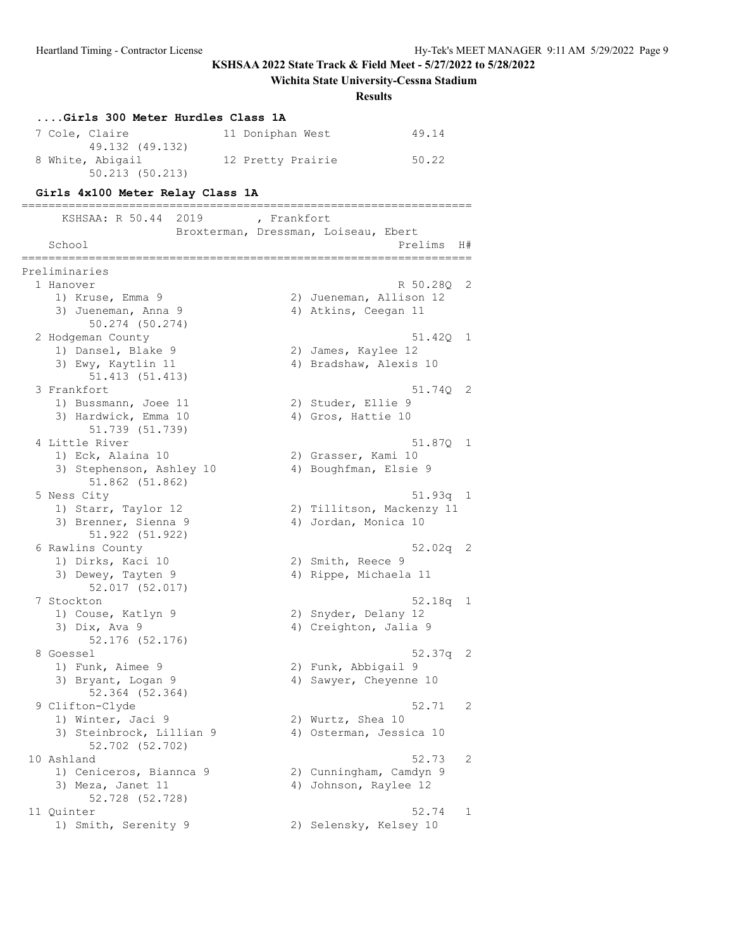# **Wichita State University-Cessna Stadium**

**Results**

| Girls 300 Meter Hurdles Class 1A                             |                                      |               |
|--------------------------------------------------------------|--------------------------------------|---------------|
| 7 Cole, Claire                                               | 11 Doniphan West                     | 49.14         |
| 49.132 (49.132)<br>8 White, Abigail<br>$50.213$ $(50.213)$   | 12 Pretty Prairie                    | 50.22         |
| Girls 4x100 Meter Relay Class 1A                             |                                      |               |
| -===================================<br>KSHSAA: R 50.44 2019 | , Frankfort                          |               |
|                                                              | Broxterman, Dressman, Loiseau, Ebert |               |
| School                                                       | Prelims                              | H#            |
| Preliminaries                                                |                                      |               |
| 1 Hanover                                                    |                                      | R 50.28Q<br>2 |
| 1) Kruse, Emma 9                                             | 2) Jueneman, Allison 12              |               |
| 3) Jueneman, Anna 9<br>50.274 (50.274)                       | 4) Atkins, Ceegan 11                 |               |
| 2 Hodgeman County                                            |                                      | 51.420<br>1   |
| 1) Dansel, Blake 9                                           | 2) James, Kaylee 12                  |               |
| 3) Ewy, Kaytlin 11                                           | 4) Bradshaw, Alexis 10               |               |
| 51.413 (51.413)                                              |                                      |               |
| 3 Frankfort                                                  |                                      | 51.74Q<br>2   |
| 1) Bussmann, Joee 11                                         | 2) Studer, Ellie 9                   |               |
| 3) Hardwick, Emma 10<br>51.739 (51.739)                      | 4) Gros, Hattie 10                   |               |
| 4 Little River                                               |                                      | 51.87Q<br>1   |
| 1) Eck, Alaina 10                                            | 2) Grasser, Kami 10                  |               |
| 3) Stephenson, Ashley 10                                     | 4) Boughfman, Elsie 9                |               |
| 51.862 (51.862)                                              |                                      |               |
| 5 Ness City                                                  |                                      | 51.93q<br>1   |
| 1) Starr, Taylor 12                                          | 2) Tillitson, Mackenzy 11            |               |
| 3) Brenner, Sienna 9                                         | 4) Jordan, Monica 10                 |               |
| 51.922 (51.922)                                              |                                      | $52.02q$ 2    |
| 6 Rawlins County<br>1) Dirks, Kaci 10                        | 2) Smith, Reece 9                    |               |
| 3) Dewey, Tayten 9                                           | 4) Rippe, Michaela 11                |               |
| 52.017 (52.017)                                              |                                      |               |
| 7 Stockton                                                   |                                      | 52.18q<br>1   |
| 1) Couse, Katlyn 9                                           | 2) Snyder, Delany 12                 |               |
| 3) $Dix, Ava$ 9                                              | 4) Creighton, Jalia 9                |               |
| 52.176 (52.176)                                              |                                      |               |
| 8 Goessel                                                    |                                      | 52.37q<br>2   |
| 1) Funk, Aimee 9                                             | 2) Funk, Abbigail 9                  |               |
| 3) Bryant, Logan 9<br>52.364 (52.364)                        | 4) Sawyer, Cheyenne 10               |               |
| 9 Clifton-Clyde                                              |                                      | 52.71<br>2    |
| 1) Winter, Jaci 9                                            | 2) Wurtz, Shea 10                    |               |
| 3) Steinbrock, Lillian 9                                     | 4) Osterman, Jessica 10              |               |
| 52.702 (52.702)                                              |                                      |               |
| 10 Ashland                                                   |                                      | 52.73<br>2    |
| 1) Ceniceros, Biannca 9                                      | 2) Cunningham, Camdyn 9              |               |
| 3) Meza, Janet 11                                            | 4) Johnson, Raylee 12                |               |
| 52.728 (52.728)                                              |                                      |               |
| 11 Quinter                                                   |                                      | 52.74<br>1    |
| 1) Smith, Serenity 9                                         | 2) Selensky, Kelsey 10               |               |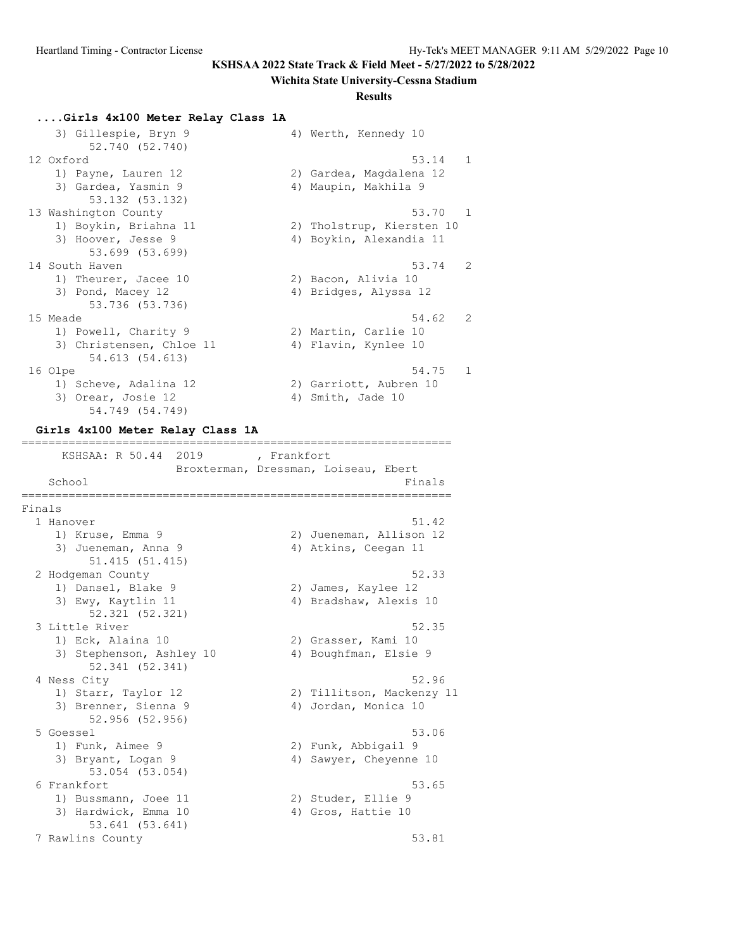#### **Wichita State University-Cessna Stadium**

#### **Results**

#### **....Girls 4x100 Meter Relay Class 1A**

| 3) Gillespie, Bryn 9     | 4) Werth, Kennedy 10      |
|--------------------------|---------------------------|
| 52.740 (52.740)          |                           |
| 12 Oxford                | 53.14<br>$\blacksquare$   |
| 1) Payne, Lauren 12      | 2) Gardea, Magdalena 12   |
| 3) Gardea, Yasmin 9      | 4) Maupin, Makhila 9      |
| 53.132 (53.132)          |                           |
| 13 Washington County     | 53.70<br>$\sim$ 1         |
| 1) Boykin, Briahna 11    | 2) Tholstrup, Kiersten 10 |
| 3) Hoover, Jesse 9       | 4) Boykin, Alexandia 11   |
| 53.699 (53.699)          |                           |
| 14 South Haven           | 53.74<br>$\overline{2}$   |
| 1) Theurer, Jacee 10     | 2) Bacon, Alivia 10       |
| 3) Pond, Macey 12        | 4) Bridges, Alyssa 12     |
| 53.736 (53.736)          |                           |
| 15 Meade                 | 54.62<br>$\overline{2}$   |
| 1) Powell, Charity 9     | 2) Martin, Carlie 10      |
| 3) Christensen, Chloe 11 | 4) Flavin, Kynlee 10      |
| 54.613 (54.613)          |                           |
| 16 Olpe                  | 54.75<br>1                |
| 1) Scheve, Adalina 12    | 2) Garriott, Aubren 10    |
| 3) Orear, Josie 12       | 4) Smith, Jade 10         |

# 54.749 (54.749) **Girls 4x100 Meter Relay Class 1A**

================================================================ KSHSAA: R 50.44 2019 , Frankfort Broxterman, Dressman, Loiseau, Ebert School Finals ================================================================ Finals 1 Hanover 51.42 1) Kruse, Emma 9 2) Jueneman, Allison 12 3) Jueneman, Anna 9 40 40 41 Atkins, Ceegan 11 51.415 (51.415) 2 Hodgeman County 52.33<br>1) Dansel, Blake 9 (2) James, Kaylee 12 1) Dansel, Blake 9 2) James, Kaylee 12 3) Ewy, Kaytlin 11 4) Bradshaw, Alexis 10 52.321 (52.321) 3 Little River 52.35 1) Eck, Alaina 10 2) Grasser, Kami 10 3) Stephenson, Ashley 10 4) Boughfman, Elsie 9 52.341 (52.341) 4 Ness City 52.96 1) Starr, Taylor 12 2) Tillitson, Mackenzy 11 3) Brenner, Sienna 9 1944 (4) Jordan, Monica 10 52.956 (52.956) 5 Goessel 53.06 1) Funk, Aimee 9 2) Funk, Abbigail 9 3) Bryant, Logan 9 4) Sawyer, Cheyenne 10 53.054 (53.054) 6 Frankfort 53.65 1) Bussmann, Joee 11 2) Studer, Ellie 9 3) Hardwick, Emma 10 4) Gros, Hattie 10 53.641 (53.641) 7 Rawlins County 53.81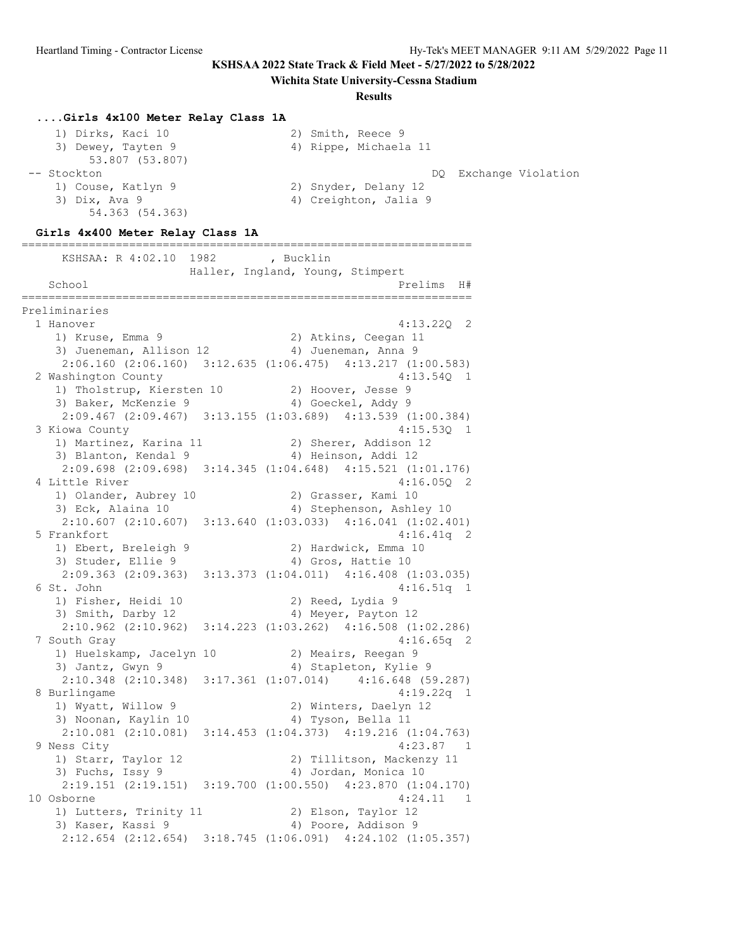**Wichita State University-Cessna Stadium**

#### **Results**

#### **....Girls 4x100 Meter Relay Class 1A**

| 1) Dirks, Kaci 10  | 2) Smith, Reece 9     |
|--------------------|-----------------------|
| 3) Dewey, Tayten 9 | 4) Rippe, Michaela 11 |
| 53.807 (53.807)    |                       |
| -- Stockton        | DQ Exchange Violation |
| 1) Couse, Katlyn 9 | 2) Snyder, Delany 12  |
| 3) Dix, Ava 9      | 4) Creighton, Jalia 9 |
| 54.363 (54.363)    |                       |

#### **Girls 4x400 Meter Relay Class 1A**

=================================================================== KSHSAA: R 4:02.10 1982 , Bucklin Haller, Ingland, Young, Stimpert School Prelims H# =================================================================== Preliminaries 1 Hanover 4:13.22Q 2 1) Kruse, Emma 9 2) Atkins, Ceegan 11 3) Jueneman, Allison 12 4) Jueneman, Anna 9 2:06.160 (2:06.160) 3:12.635 (1:06.475) 4:13.217 (1:00.583) 2 Washington County 4:13.54Q 1 1) Tholstrup, Kiersten 10 2) Hoover, Jesse 9 3) Baker, McKenzie 9 4) Goeckel, Addy 9 2:09.467 (2:09.467) 3:13.155 (1:03.689) 4:13.539 (1:00.384) 3 Kiowa County 4:15.53Q 1 1) Martinez, Karina 11 2) Sherer, Addison 12 3) Blanton, Kendal 9 1912 11 4) Heinson, Addi 12 2:09.698 (2:09.698) 3:14.345 (1:04.648) 4:15.521 (1:01.176) 4 Little River 1) Olander, Aubrey 10 (2) Grasser, Kami 10 3) Eck, Alaina 10 4) Stephenson, Ashley 10 2:10.607 (2:10.607) 3:13.640 (1:03.033) 4:16.041 (1:02.401) 5 Frankfort 4:16.41q 2 1) Ebert, Breleigh 9 2) Hardwick, Emma 10 3) Studer, Ellie 9 4) Gros, Hattie 10 2:09.363 (2:09.363) 3:13.373 (1:04.011) 4:16.408 (1:03.035) 6 St. John 4:16.51q 1 1) Fisher, Heidi 10 2) Reed, Lydia 9 3) Smith, Darby 12 4) Meyer, Payton 12 2:10.962 (2:10.962) 3:14.223 (1:03.262) 4:16.508 (1:02.286) 7 South Gray 4:16.65q 2 1) Huelskamp, Jacelyn 10 2) Meairs, Reegan 9 3) Jantz, Gwyn 9 4) Stapleton, Kylie 9 2:10.348 (2:10.348) 3:17.361 (1:07.014) 4:16.648 (59.287) 8 Burlingame 4:19.22q 1 1) Wyatt, Willow 9 2) Winters, Daelyn 12 3) Noonan, Kaylin 10  $\hskip1cm$  4) Tyson, Bella 11 2:10.081 (2:10.081) 3:14.453 (1:04.373) 4:19.216 (1:04.763) 9 Ness City 4:23.87 1 1) Starr, Taylor 12 2) Tillitson, Mackenzy 11 3) Fuchs, Issy 9 19 19 4) Jordan, Monica 10 2:19.151 (2:19.151) 3:19.700 (1:00.550) 4:23.870 (1:04.170) 10 Osborne 4:24.11 1 1) Lutters, Trinity 11 (2) Elson, Taylor 12 3) Kaser, Kassi 9 4) Poore, Addison 9 2:12.654 (2:12.654) 3:18.745 (1:06.091) 4:24.102 (1:05.357)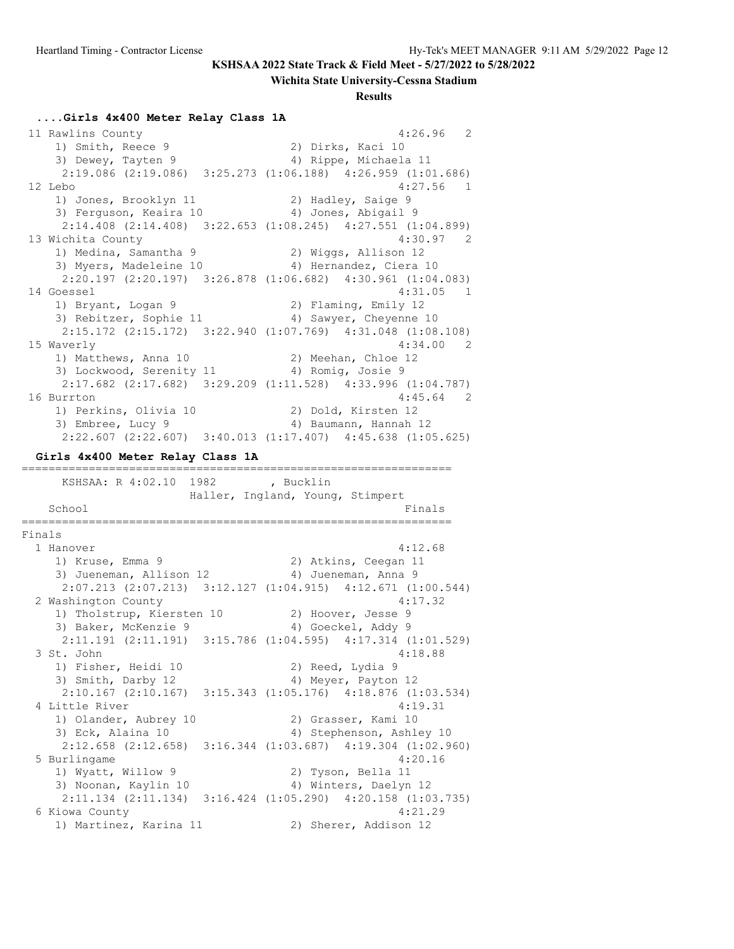#### **Wichita State University-Cessna Stadium**

**Results**

#### **....Girls 4x400 Meter Relay Class 1A**

 11 Rawlins County 4:26.96 2 1) Smith, Reece 9 2) Dirks, Kaci 10 3) Dewey, Tayten 9 4) Rippe, Michaela 11 2:19.086 (2:19.086) 3:25.273 (1:06.188) 4:26.959 (1:01.686) 12 Lebo 4:27.56 1 1) Jones, Brooklyn 11 120 2) Hadley, Saige 9 3) Ferguson, Keaira 10 4) Jones, Abigail 9 2:14.408 (2:14.408) 3:22.653 (1:08.245) 4:27.551 (1:04.899) 13 Wichita County 4:30.97 2 1) Medina, Samantha 9 2) Wiggs, Allison 12 3) Myers, Madeleine 10 4) Hernandez, Ciera 10 2:20.197 (2:20.197) 3:26.878 (1:06.682) 4:30.961 (1:04.083) 14 Goessel 4:31.05 1 1) Bryant, Logan 9 2) Flaming, Emily 12 3) Rebitzer, Sophie 11 4) Sawyer, Cheyenne 10 2:15.172 (2:15.172) 3:22.940 (1:07.769) 4:31.048 (1:08.108) 15 Waverly 15 Waver 2 (1) Matthews, Anna 10 (1) 2 (1) Meehan, Chloe 12 1) Matthews, Anna 10 2) Meehan, Chloe 12 3) Lockwood, Serenity 11  $\hskip10mm 4$ ) Romig, Josie 9 2:17.682 (2:17.682) 3:29.209 (1:11.528) 4:33.996 (1:04.787) 16 Burrton 4:45.64 2 1) Perkins, Olivia 10 2) Dold, Kirsten 12 3) Embree, Lucy 9 4) Baumann, Hannah 12 2:22.607 (2:22.607) 3:40.013 (1:17.407) 4:45.638 (1:05.625) **Girls 4x400 Meter Relay Class 1A** ================================================================ KSHSAA: R 4:02.10 1982 , Bucklin Haller, Ingland, Young, Stimpert School Finals and the set of the set of the set of the set of the set of the set of the set of the set of the s ================================================================ Finals 1 Hanover 4:12.68 1) Kruse, Emma 9 2) Atkins, Ceegan 11 3) Jueneman, Allison 12 (4) Jueneman, Anna 9 2:07.213 (2:07.213) 3:12.127 (1:04.915) 4:12.671 (1:00.544) 2 Washington County 4:17.32 1) Tholstrup, Kiersten 10 2) Hoover, Jesse 9 3) Baker, McKenzie 9 4) Goeckel, Addy 9 2:11.191 (2:11.191) 3:15.786 (1:04.595) 4:17.314 (1:01.529) 3 St. John 4:18.88 1) Fisher, Heidi 10 2) Reed, Lydia 9 3) Smith, Darby 12 4) Meyer, Payton 12 2:10.167 (2:10.167) 3:15.343 (1:05.176) 4:18.876 (1:03.534) 4 Little River 4:19.31 1) Olander, Aubrey 10 (2) Grasser, Kami 10 3) Eck, Alaina 10 4) Stephenson, Ashley 10 2:12.658 (2:12.658) 3:16.344 (1:03.687) 4:19.304 (1:02.960) 5 Burlingame 4:20.16 1) Wyatt, Willow 9 2) Tyson, Bella 11 3) Noonan, Kaylin 10 4) Winters, Daelyn 12 2:11.134 (2:11.134) 3:16.424 (1:05.290) 4:20.158 (1:03.735) 6 Kiowa County 4:21.29 1) Martinez, Karina 11 2) Sherer, Addison 12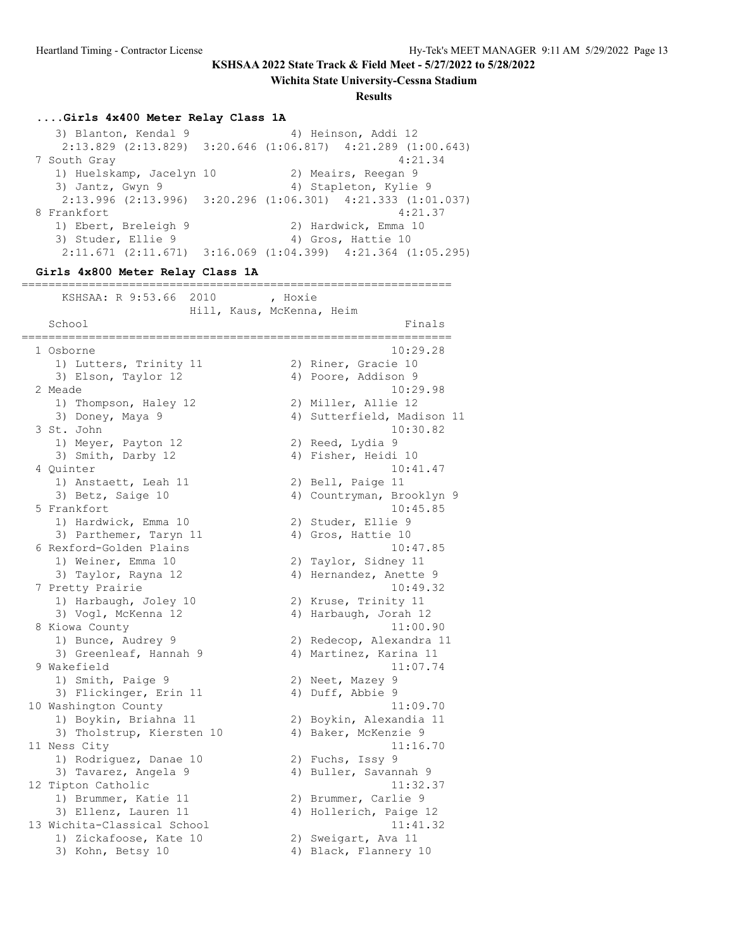**Wichita State University-Cessna Stadium**

#### **Results**

### **....Girls 4x400 Meter Relay Class 1A**

3) Blanton, Kendal 9 4) Heinson, Addi 12 2:13.829 (2:13.829) 3:20.646 (1:06.817) 4:21.289 (1:00.643) 7 South Gray 4:21.34 1) Huelskamp, Jacelyn 10 2) Meairs, Reegan 9 3) Jantz, Gwyn 9 4) Stapleton, Kylie 9 2:13.996 (2:13.996) 3:20.296 (1:06.301) 4:21.333 (1:01.037) 8 Frankfort 4:21.37<br>1) Ebert, Breleigh 9 (2) Hardwick, Emma 10 1) Ebert, Breleigh 9 2) Hardwick, Emma 10 3) Studer, Ellie 9 4) Gros, Hattie 10 2:11.671 (2:11.671) 3:16.069 (1:04.399) 4:21.364 (1:05.295)

#### **Girls 4x800 Meter Relay Class 1A**

| KSHSAA: R 9:53.66<br>2010        | , Hoxie<br>Hill, Kaus, McKenna, Heim |  |
|----------------------------------|--------------------------------------|--|
| School<br>====================== | Finals<br>===============            |  |
| 1 Osborne                        | 10:29.28                             |  |
| 1) Lutters, Trinity 11           | 2) Riner, Gracie 10                  |  |
| 3) Elson, Taylor 12              | 4) Poore, Addison 9                  |  |
| 2 Meade                          | 10:29.98                             |  |
| 1) Thompson, Haley 12            | 2) Miller, Allie 12                  |  |
| 3) Doney, Maya 9                 | 4) Sutterfield, Madison 11           |  |
| 3 St. John                       | 10:30.82                             |  |
| 1) Meyer, Payton 12              | 2) Reed, Lydia 9                     |  |
| 3) Smith, Darby 12               | 4) Fisher, Heidi 10                  |  |
| 4 Quinter                        | 10:41.47                             |  |
| 1) Anstaett, Leah 11             | 2) Bell, Paige 11                    |  |
| 3) Betz, Saige 10                | 4) Countryman, Brooklyn 9            |  |
| 5 Frankfort                      | 10:45.85                             |  |
| 1) Hardwick, Emma 10             | 2) Studer, Ellie 9                   |  |
| 3) Parthemer, Taryn 11           | 4) Gros, Hattie 10                   |  |
| 6 Rexford-Golden Plains          | 10:47.85                             |  |
| 1) Weiner, Emma 10               | 2) Taylor, Sidney 11                 |  |
| 3) Taylor, Rayna 12              | 4) Hernandez, Anette 9               |  |
| 7 Pretty Prairie                 | 10:49.32                             |  |
| 1) Harbaugh, Joley 10            | 2) Kruse, Trinity 11                 |  |
| 3) Vogl, McKenna 12              | 4) Harbaugh, Jorah 12                |  |
| 8 Kiowa County                   | 11:00.90                             |  |
| 1) Bunce, Audrey 9               | 2) Redecop, Alexandra 11             |  |
| 3) Greenleaf, Hannah 9           | 4) Martinez, Karina 11               |  |
| 9 Wakefield                      | 11:07.74                             |  |
| 1) Smith, Paige 9                | 2) Neet, Mazey 9                     |  |
| 3) Flickinger, Erin 11           | 4) Duff, Abbie 9                     |  |
| 10 Washington County             | 11:09.70                             |  |
| 1) Boykin, Briahna 11            | 2) Boykin, Alexandia 11              |  |
| 3) Tholstrup, Kiersten 10        | 4) Baker, McKenzie 9                 |  |
| 11 Ness City                     | 11:16.70                             |  |
| 1) Rodriguez, Danae 10           | 2) Fuchs, Issy 9                     |  |
| 3) Tavarez, Angela 9             | 4) Buller, Savannah 9                |  |
| 12 Tipton Catholic               | 11:32.37                             |  |
| 1) Brummer, Katie 11             | 2) Brummer, Carlie 9                 |  |
| 3) Ellenz, Lauren 11             | 4) Hollerich, Paige 12               |  |
| 13 Wichita-Classical School      | 11:41.32                             |  |
| 1) Zickafoose, Kate 10           | 2) Sweigart, Ava 11                  |  |
| 3) Kohn, Betsy 10                | 4) Black, Flannery 10                |  |
|                                  |                                      |  |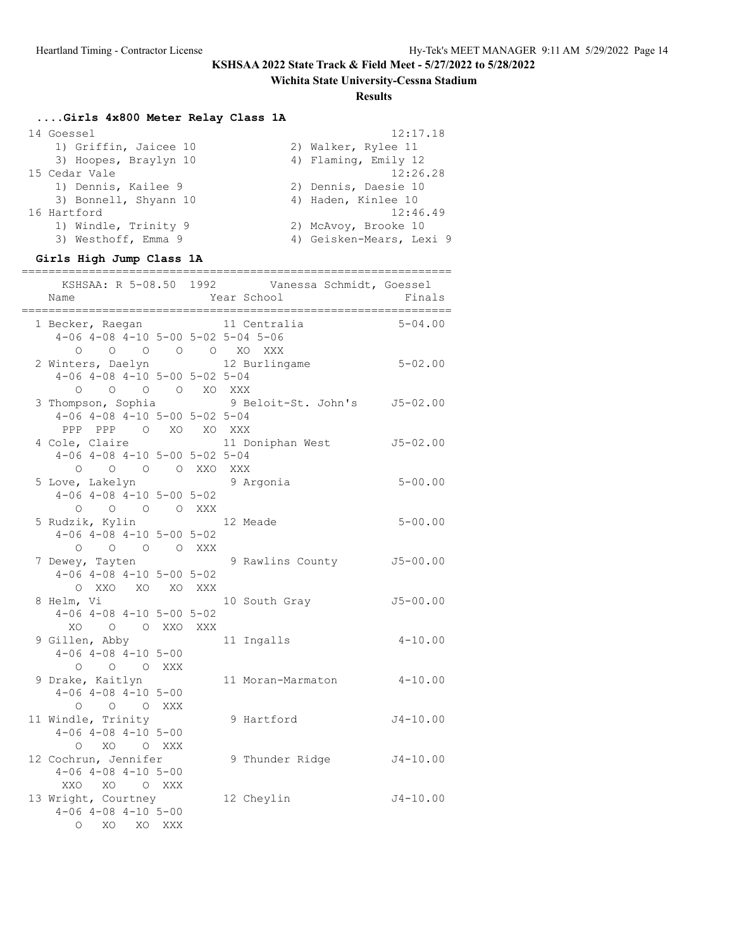# **Wichita State University-Cessna Stadium**

### **Results**

# **....Girls 4x800 Meter Relay Class 1A**

| 14 Goessel            | 12:17.18                 |
|-----------------------|--------------------------|
| 1) Griffin, Jaicee 10 | 2) Walker, Rylee 11      |
| 3) Hoopes, Braylyn 10 | 4) Flaming, Emily 12     |
| 15 Cedar Vale         | 12:26.28                 |
| 1) Dennis, Kailee 9   | 2) Dennis, Daesie 10     |
| 3) Bonnell, Shyann 10 | 4) Haden, Kinlee 10      |
| 16 Hartford           | 12:46.49                 |
| 1) Windle, Trinity 9  | 2) McAvoy, Brooke 10     |
| 3) Westhoff, Emma 9   | 4) Geisken-Mears, Lexi 9 |
|                       |                          |

### **Girls High Jump Class 1A**

| Name                                                                                       | KSHSAA: R 5-08.50 1992 Vanessa Schmidt, Goessel<br>Year School | Finals       |
|--------------------------------------------------------------------------------------------|----------------------------------------------------------------|--------------|
| 1 Becker, Raegan<br>$4-06$ $4-08$ $4-10$ $5-00$ $5-02$ $5-04$ $5-06$                       | 11 Centralia                                                   | $5 - 04.00$  |
| $\begin{matrix}0&0&0&0&0&0&\text{X0} &\text{XXX}\end{matrix}$<br>2 Winters, Daelyn         | 12 Burlingame 5-02.00                                          |              |
| $4-06$ $4-08$ $4-10$ $5-00$ $5-02$ $5-04$<br>O O O XO XXX<br>$\bigcirc$                    |                                                                |              |
| $4-06$ $4-08$ $4-10$ $5-00$ $5-02$ $5-04$<br>PPP PPP 0 XO XO XXX                           | 3 Thompson, Sophia 9 Beloit-St. John's J5-02.00                |              |
| 4 Cole, Claire<br>$4-06$ $4-08$ $4-10$ $5-00$ $5-02$ $5-04$<br>0 0 0 0 XXO XXX             | 11 Doniphan West J5-02.00                                      |              |
| 5 Love, Lakelyn<br>$4-06$ $4-08$ $4-10$ $5-00$ $5-02$                                      | 9 Argonia                                                      | $5 - 00.00$  |
| O O O O XXX<br>5 Rudzik, Kylin 12 Meade<br>$4-06$ $4-08$ $4-10$ $5-00$ $5-02$              |                                                                | $5 - 00.00$  |
| 0 0 0 0 XXX<br>7 Dewey, Tayten<br>$4-06$ $4-08$ $4-10$ $5-00$ $5-02$                       | 9 Rawlins County                                               | $J5 - 00.00$ |
| O XXO XO XO XXX<br>8 Helm, Vi<br>$4-06$ $4-08$ $4-10$ $5-00$ $5-02$                        | 10 South Gray                                                  | $J5 - 00.00$ |
| XO O O XXO XXX<br>9 Gillen, Abby<br>$4 - 06$ $4 - 08$ $4 - 10$ $5 - 00$                    | 11 Ingalls                                                     | $4 - 10.00$  |
| $O$ $O$ $O$ $XXX$<br>9 Drake, Kaitlyn<br>$4-06$ $4-08$ $4-10$ $5-00$                       | 11 Moran-Marmaton                                              | $4 - 10.00$  |
| $O$ $O$ $O$ $XXX$<br>11 Windle, Trinity<br>$4-06$ $4-08$ $4-10$ $5-00$<br>O XO O XXX       | 9 Hartford                                                     | $J4 - 10.00$ |
| 12 Cochrun, Jennifer<br>$4 - 06$ $4 - 08$ $4 - 10$ $5 - 00$                                | 9 Thunder Ridge                                                | $J4 - 10.00$ |
| XXO XO O XXX<br>13 Wright, Courtney<br>$4-06$ $4-08$ $4-10$ $5-00$<br>XO XO XXX<br>$\circ$ | 12 Cheylin                                                     | $J4 - 10.00$ |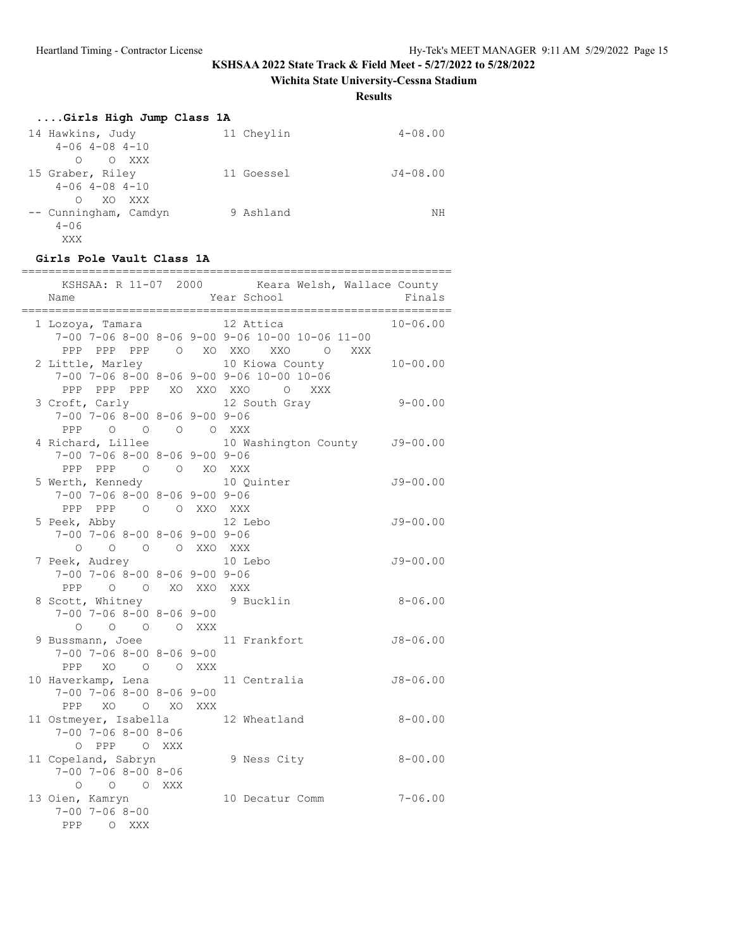**Wichita State University-Cessna Stadium**

**Results**

| Girls High Jump Class 1A   |            |             |
|----------------------------|------------|-------------|
| 14 Hawkins, Judy           | 11 Chevlin | $4 - 08.00$ |
| $4 - 06$ $4 - 08$ $4 - 10$ |            |             |
| O XXX<br>$\Omega$          |            |             |
| 15 Graber, Riley           | 11 Goessel | J4-08.00    |
| $4 - 06$ $4 - 08$ $4 - 10$ |            |             |
| XO XXX<br>$\bigcap$        |            |             |
| -- Cunningham, Camdyn      | 9 Ashland  | ΝH          |
| $4 - 06$                   |            |             |
| XXX                        |            |             |

### **Girls Pole Vault Class 1A**

| Name                                                                                                                                         | KSHSAA: R 11-07 2000 Keara Welsh, Wallace County<br>Year School                                | Finals       |
|----------------------------------------------------------------------------------------------------------------------------------------------|------------------------------------------------------------------------------------------------|--------------|
| 1 Lozoya, Tamara                                                                                                                             | 12 Attica<br>7-00 7-06 8-00 8-06 9-00 9-06 10-00 10-06 11-00                                   | $10 - 06.00$ |
| 2 Little, Marley                                                                                                                             | PPP PPP PPP 0 XO XXO XXO 0 XXX<br>10 Kiowa County<br>7-00 7-06 8-00 8-06 9-00 9-06 10-00 10-06 | $10 - 00.00$ |
| 3 Croft, Carly 12 South Gray<br>$7-00$ $7-06$ $8-00$ $8-06$ $9-00$ $9-06$<br>$\begin{matrix} 0 & 0 & 0 & 0 & \text{XXX} \end{matrix}$<br>PPP | PPP PPP PPP XO XXO XXO O XXX                                                                   | $9 - 00.00$  |
| $7-00$ $7-06$ $8-00$ $8-06$ $9-00$ $9-06$<br>PPP PPP 0 0 XO XXX                                                                              | 4 Richard, Lillee 10 Washington County J9-00.00                                                |              |
| 5 Werth, Kennedy<br>7-00 7-06 8-00 8-06 9-00 9-06<br>PPP PPP 0 0 XXO XXX                                                                     | 10 Quinter                                                                                     | $J9 - 00.00$ |
| 5 Peek, Abby<br>$7-00$ $7-06$ $8-00$ $8-06$ $9-00$ $9-06$                                                                                    | 12 Lebo                                                                                        | $J9 - 00.00$ |
| O O O O XXO XXX<br>7 Peek, Audrey<br>$7-00$ $7-06$ $8-00$ $8-06$ $9-00$ $9-06$                                                               | 10 Lebo                                                                                        | $J9 - 00.00$ |
| PPP 0 0 XO XXO XXX<br>8 Scott, Whitney<br>$7-00$ $7-06$ $8-00$ $8-06$ $9-00$                                                                 | 9 Bucklin                                                                                      | $8 - 06.00$  |
| $O$ $O$ $O$ $O$ $XXX$<br>9 Bussmann, Joee<br>$7 - 00$ $7 - 06$ $8 - 00$ $8 - 06$ $9 - 00$                                                    | 11 Frankfort                                                                                   | $J8 - 06.00$ |
| PPP XO O O XXX<br>10 Haverkamp, Lena<br>$7-00$ $7-06$ $8-00$ $8-06$ $9-00$                                                                   | 11 Centralia                                                                                   | $J8 - 06.00$ |
| PPP XO O XO XXX<br>11 Ostmeyer, Isabella<br>$7 - 00$ $7 - 06$ $8 - 00$ $8 - 06$                                                              | 12 Wheatland                                                                                   | $8 - 00.00$  |
| O PPP O XXX<br>11 Copeland, Sabryn<br>$7 - 00$ $7 - 06$ $8 - 00$ $8 - 06$                                                                    | 9 Ness City                                                                                    | $8 - 00.00$  |
| O O O XXX<br>13 Oien, Kamryn<br>$7 - 00$ $7 - 06$ $8 - 00$<br>PPP<br>O XXX                                                                   | 10 Decatur Comm                                                                                | $7 - 06.00$  |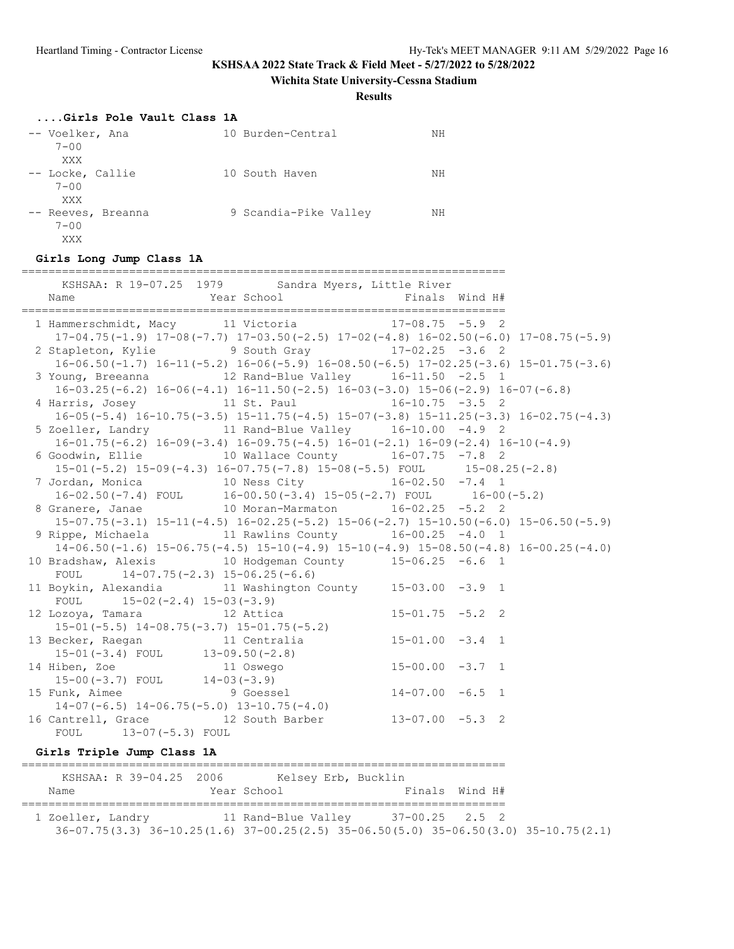**Wichita State University-Cessna Stadium**

**Results**

#### **....Girls Pole Vault Class 1A**

| -- Voelker, Ana<br>$7 - 00$           | 10 Burden-Central     | NH |
|---------------------------------------|-----------------------|----|
| XXX                                   |                       |    |
| -- Locke, Callie<br>$7 - 00$          | 10 South Haven        | NH |
| XXX                                   |                       |    |
| -- Reeves, Breanna<br>$7 - 00$<br>XXX | 9 Scandia-Pike Valley | NH |

#### **Girls Long Jump Class 1A**

| Name                                                  | KSHSAA: R 19-07.25 1979 Sandra Myers, Little River<br>Year School <a> Finals Wind<br/> H#</a>                                                            |                      |  |
|-------------------------------------------------------|----------------------------------------------------------------------------------------------------------------------------------------------------------|----------------------|--|
|                                                       | 1 Hammerschmidt, Macy 11 Victoria 17-08.75 -5.9 2                                                                                                        |                      |  |
|                                                       | $17-04.75(-1.9)$ $17-08(-7.7)$ $17-03.50(-2.5)$ $17-02(-4.8)$ $16-02.50(-6.0)$ $17-08.75(-5.9)$<br>2 Stapleton, Kylie 3 9 South Gray 17-02.25 -3.6 2     |                      |  |
|                                                       | $16-06.50(-1.7)$ $16-11(-5.2)$ $16-06(-5.9)$ $16-08.50(-6.5)$ $17-02.25(-3.6)$ $15-01.75(-3.6)$                                                          |                      |  |
|                                                       | 3 Young, Breeanna 12 Rand-Blue Valley 16-11.50 -2.5 1                                                                                                    |                      |  |
|                                                       | $16-03.25(-6.2)$ $16-06(-4.1)$ $16-11.50(-2.5)$ $16-03(-3.0)$ $15-06(-2.9)$ $16-07(-6.8)$                                                                |                      |  |
|                                                       | 4 Harris, Josey 11 St. Paul 16-10.75 -3.5 2                                                                                                              |                      |  |
|                                                       | $16-05(-5.4)$ $16-10.75(-3.5)$ $15-11.75(-4.5)$ $15-07(-3.8)$ $15-11.25(-3.3)$ $16-02.75(-4.3)$<br>5 Zoeller, Landry 11 Rand-Blue Valley 16-10.00 -4.9 2 |                      |  |
|                                                       | $16-01.75(-6.2)$ $16-09(-3.4)$ $16-09.75(-4.5)$ $16-01(-2.1)$ $16-09(-2.4)$ $16-10(-4.9)$                                                                |                      |  |
|                                                       | 6 Goodwin, Ellie 10 Wallace County 16-07.75 -7.8 2                                                                                                       |                      |  |
|                                                       | 15-01 (-5.2) 15-09 (-4.3) 16-07.75 (-7.8) 15-08 (-5.5) FOUL 15-08.25 (-2.8)                                                                              |                      |  |
|                                                       | 7 Jordan, Monica 10 Ness City 16-02.50 -7.4 1                                                                                                            |                      |  |
|                                                       | $16-02.50(-7.4)$ FOUL $16-00.50(-3.4)$ $15-05(-2.7)$ FOUL $16-00(-5.2)$                                                                                  |                      |  |
|                                                       | 8 Granere, Janae 10 Moran-Marmaton 16-02.25 -5.2 2                                                                                                       |                      |  |
|                                                       | $15-07.75(-3.1)$ $15-11(-4.5)$ $16-02.25(-5.2)$ $15-06(-2.7)$ $15-10.50(-6.0)$ $15-06.50(-5.9)$<br>9 Rippe, Michaela  11 Rawlins County  16-00.25 -4.0 1 |                      |  |
|                                                       | $14-06.50(-1.6)$ $15-06.75(-4.5)$ $15-10(-4.9)$ $15-10(-4.9)$ $15-08.50(-4.8)$ $16-00.25(-4.0)$                                                          |                      |  |
|                                                       | 10 Bradshaw, Alexis 10 Hodgeman County 15-06.25 -6.6 1                                                                                                   |                      |  |
| FOUL $14-07.75(-2.3) 15-06.25(-6.6)$                  |                                                                                                                                                          |                      |  |
|                                                       | 11 Boykin, Alexandia 11 Washington County 15-03.00 -3.9 1                                                                                                |                      |  |
| FOUL $15-02(-2.4) 15-03(-3.9)$                        |                                                                                                                                                          |                      |  |
| 12 Lozoya, Tamara 12 Attica                           |                                                                                                                                                          | $15-01.75 -5.2$ 2    |  |
|                                                       | 15-01(-5.5) 14-08.75(-3.7) 15-01.75(-5.2)<br>13 Becker, Raegan 11 Centralia                                                                              | $15 - 01.00 - 3.4$ 1 |  |
|                                                       | 15-01(-3.4) FOUL 13-09.50(-2.8)<br>14 Hiben, Zoe 11 Oswego 15-00.00 -3.7 1                                                                               |                      |  |
|                                                       |                                                                                                                                                          |                      |  |
| 15-00(-3.7) FOUL 14-03(-3.9)<br>Tunk. Aimee 9 Goessel |                                                                                                                                                          |                      |  |
| 15 Funk, Aimee                                        |                                                                                                                                                          | $14-07.00 -6.5$ 1    |  |
|                                                       | $14-07(-6.5)$ $14-06.75(-5.0)$ $13-10.75(-4.0)$<br>16 Cantrell, Grace 12 South Barber 13-07.00 -5.3 2                                                    |                      |  |
| FOUL 13-07 (-5.3) FOUL                                |                                                                                                                                                          |                      |  |
|                                                       |                                                                                                                                                          |                      |  |
| Girls Triple Jump Class 1A                            |                                                                                                                                                          |                      |  |

======================================================================== KSHSAA: R 39-04.25 2006 Kelsey Erb, Bucklin Name Year School Finals Wind H# ======================================================================== 1 Zoeller, Landry 11 Rand-Blue Valley 37-00.25 2.5 2 36-07.75(3.3) 36-10.25(1.6) 37-00.25(2.5) 35-06.50(5.0) 35-06.50(3.0) 35-10.75(2.1)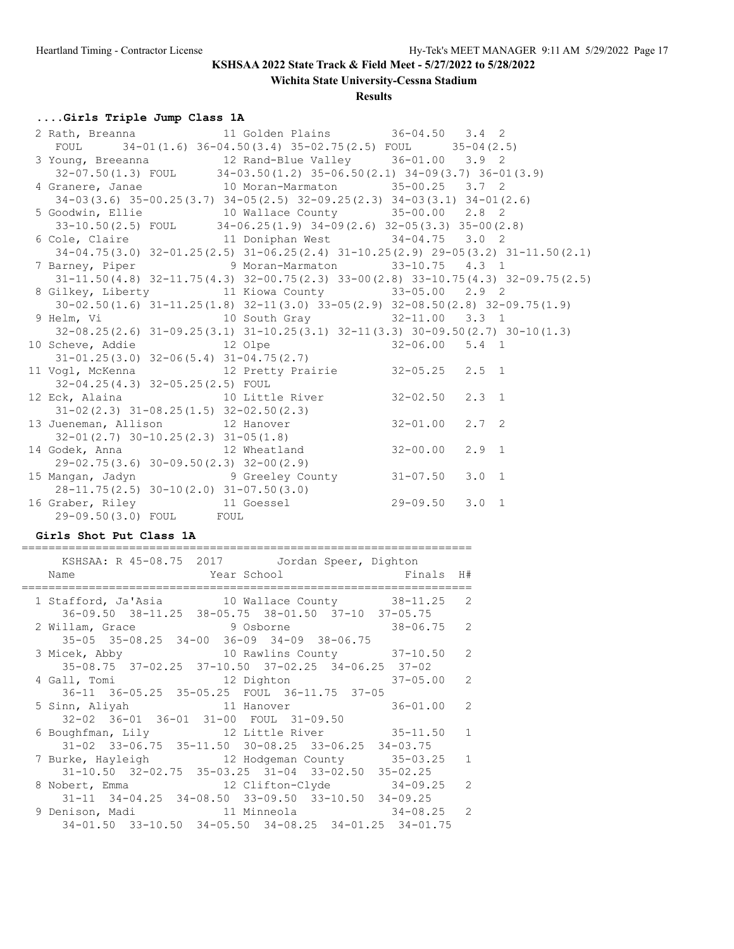**Wichita State University-Cessna Stadium**

### **Results**

# **....Girls Triple Jump Class 1A**

| 2 Rath, Breanna               11 Golden Plains           36-04.50     3.4   2                     |                                                                                              |               |  |
|---------------------------------------------------------------------------------------------------|----------------------------------------------------------------------------------------------|---------------|--|
| FOUL $34-01(1.6) 36-04.50(3.4) 35-02.75(2.5)$ FOUL $35-04(2.5)$                                   |                                                                                              |               |  |
| 3 Young, Breeanna 12 Rand-Blue Valley 36-01.00 3.9 2                                              |                                                                                              |               |  |
|                                                                                                   | $32-07.50(1.3)$ FOUL $34-03.50(1.2)$ $35-06.50(2.1)$ $34-09(3.7)$ $36-01(3.9)$               |               |  |
| 4 Granere, Janae 10 Moran-Marmaton 35-00.25 3.7 2                                                 |                                                                                              |               |  |
|                                                                                                   | $34-03(3.6)$ $35-00.25(3.7)$ $34-05(2.5)$ $32-09.25(2.3)$ $34-03(3.1)$ $34-01(2.6)$          |               |  |
| 5 Goodwin, Ellie 10 Wallace County 35-00.00 2.8 2                                                 |                                                                                              |               |  |
|                                                                                                   | $33-10.50(2.5)$ FOUL $34-06.25(1.9)$ $34-09(2.6)$ $32-05(3.3)$ $35-00(2.8)$                  |               |  |
| 6 Cole, Claire <b>11 Doniphan West</b> 34-04.75 3.0 2                                             |                                                                                              |               |  |
| $34-04.75(3.0)$ $32-01.25(2.5)$ $31-06.25(2.4)$ $31-10.25(2.9)$ $29-05(3.2)$ $31-11.50(2.1)$      |                                                                                              |               |  |
| 7 Barney, Piper 9 Moran-Marmaton 33-10.75 4.3 1                                                   |                                                                                              |               |  |
|                                                                                                   | $31-11.50(4.8)$ $32-11.75(4.3)$ $32-00.75(2.3)$ $33-00(2.8)$ $33-10.75(4.3)$ $32-09.75(2.5)$ |               |  |
| 8 Gilkey, Liberty 11 Kiowa County 33-05.00 2.9 2                                                  |                                                                                              |               |  |
| $30-02.50(1.6)$ $31-11.25(1.8)$ $32-11(3.0)$ $33-05(2.9)$ $32-08.50(2.8)$ $32-09.75(1.9)$         |                                                                                              |               |  |
| 9 Helm, Vi                           10 South Gray               32-11.00     3.3   1             |                                                                                              |               |  |
|                                                                                                   | 32-08.25(2.6) 31-09.25(3.1) 31-10.25(3.1) 32-11(3.3) 30-09.50(2.7) 30-10(1.3)                |               |  |
| 10 Scheve, Addie 12 Olpe 32-06.00 5.4 1                                                           |                                                                                              |               |  |
| $31 - 01.25(3.0)$ $32 - 06(5.4)$ $31 - 04.75(2.7)$                                                |                                                                                              |               |  |
| $31-01.25(3.0)$ $32-06(5.4)$ $31-04.75(2.7)$<br>11 Vogl, McKenna 12 Pretty Prairie 32-05.25 2.5 1 |                                                                                              |               |  |
| 32-04.25(4.3) 32-05.25(2.5) FOUL                                                                  |                                                                                              |               |  |
| 12 Eck, Alaina 10 Little River 32-02.50 2.3 1                                                     |                                                                                              |               |  |
| $31 - 02(2.3)$ $31 - 08.25(1.5)$ $32 - 02.50(2.3)$                                                |                                                                                              |               |  |
| $31 - 02(2.3)$ $31 - 08.25(1.5)$ $32 - 02.50(2.3)$<br>13 Jueneman, Allison 12 Hanover 32-01.00    |                                                                                              | $2.7 \quad 2$ |  |
| 32-01(2.7) $30-10.25(2.3)$ $31-05(1.8)$<br>14 Godek, Anna 12 Wheatland 32-00.00                   |                                                                                              |               |  |
|                                                                                                   |                                                                                              | $2.9$ 1       |  |
| 29-02.75(3.6) 30-09.50(2.3) 32-00(2.9)                                                            |                                                                                              |               |  |
|                                                                                                   |                                                                                              | $3.0 \quad 1$ |  |
| 28-11.75(2.5) 30-10(2.0) 31-07.50(3.0)<br>16 Graber, Riley 11 Goessel 29-09.50 3.0 1              |                                                                                              |               |  |
|                                                                                                   |                                                                                              |               |  |
| 29-09.50(3.0) FOUL FOUL                                                                           |                                                                                              |               |  |

### **Girls Shot Put Class 1A**

| KSHSAA: R 45-08.75 2017 Jordan Speer, Dighton<br>Finals H#<br>Year School The Manuscript School<br>Name |  |
|---------------------------------------------------------------------------------------------------------|--|
|                                                                                                         |  |
| 1 Stafford, Ja'Asia 10 Wallace County 38-11.25 2                                                        |  |
| 36-09.50 38-11.25 38-05.75 38-01.50 37-10 37-05.75                                                      |  |
| 2 Willam, Grace 9 Osborne 38-06.75 2                                                                    |  |
|                                                                                                         |  |
| $35-05$ $35-08.25$ $34-00$ $36-09$ $34-09$ $38-06.75$                                                   |  |
| 3 Micek, Abby                 10 Rawlins County         37-10.50   2                                    |  |
| 35-08.75 37-02.25 37-10.50 37-02.25 34-06.25 37-02                                                      |  |
| $37 - 05.00$ 2<br>4 Gall, Tomi 12 Dighton                                                               |  |
| 36-11 36-05.25 35-05.25 FOUL 36-11.75 37-05                                                             |  |
| $36 - 01.00$ 2<br>5 Sinn, Aliyah 11 Hanover                                                             |  |
| 32-02 36-01 36-01 31-00 FOUL 31-09.50                                                                   |  |
| 6 Boughfman, Lily 12 Little River 35-11.50 1                                                            |  |
| $31-02$ $33-06.75$ $35-11.50$ $30-08.25$ $33-06.25$ $34-03.75$                                          |  |
| 7 Burke, Hayleigh 12 Hodgeman County 35-03.25 1                                                         |  |
|                                                                                                         |  |
| $31-10.50$ $32-02.75$ $35-03.25$ $31-04$ $33-02.50$ $35-02.25$                                          |  |
| 8 Nobert, Emma 12 Clifton-Clyde 34-09.25 2                                                              |  |
| $31-11$ $34-04.25$ $34-08.50$ $33-09.50$ $33-10.50$ $34-09.25$                                          |  |
|                                                                                                         |  |
| 34-01.50 33-10.50 34-05.50 34-08.25 34-01.25 34-01.75                                                   |  |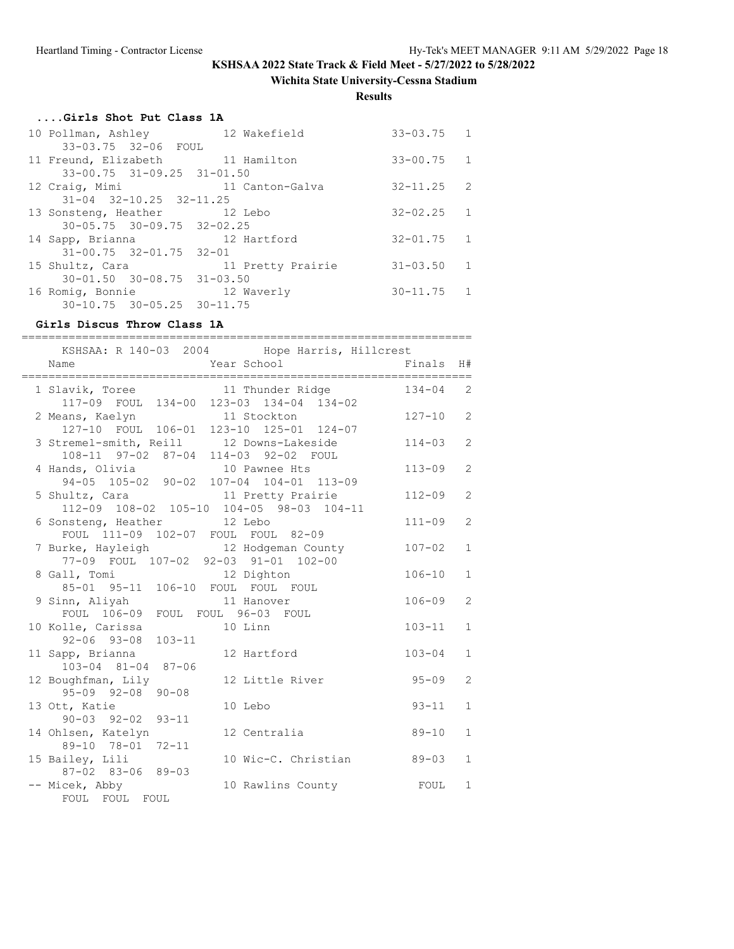**Wichita State University-Cessna Stadium**

**Results**

| Girls Shot Put Class 1A                |                   |                |  |
|----------------------------------------|-------------------|----------------|--|
| 10 Pollman, Ashley 12 Wakefield        |                   | $33 - 03.75$ 1 |  |
| 33-03.75 32-06 FOUL                    |                   |                |  |
| 11 Freund, Elizabeth 11 Hamilton       |                   | $33 - 00.75$ 1 |  |
| 33-00.75 31-09.25 31-01.50             |                   |                |  |
| 12 Craig, Mimi                         | 11 Canton-Galva   | $32 - 11.25$ 2 |  |
| $31-04$ $32-10.25$ $32-11.25$          |                   |                |  |
| 13 Sonsteng, Heather 12 Lebo           |                   | $32 - 02.25$ 1 |  |
| $30 - 05.75$ $30 - 09.75$ $32 - 02.25$ |                   |                |  |
| 14 Sapp, Brianna                       | 12 Hartford       | $32 - 01.75$ 1 |  |
| $31 - 00.75$ $32 - 01.75$ $32 - 01$    |                   |                |  |
| 15 Shultz, Cara                        | 11 Pretty Prairie | $31 - 03.50$ 1 |  |
| $30 - 01.50$ $30 - 08.75$ $31 - 03.50$ |                   |                |  |
| 16 Romig, Bonnie                       | 12 Waverly        | $30 - 11.75$ 1 |  |
| 30-10.75 30-05.25 30-11.75             |                   |                |  |

# **Girls Discus Throw Class 1A**

| :============<br>KSHSAA: R 140-03 2004 Hope Harris, Hillcrest                    | ;===================== |              |                |
|----------------------------------------------------------------------------------|------------------------|--------------|----------------|
| Year School<br>Name                                                              |                        | Finals       | H#             |
| 1 Slavik, Toree 11 Thunder Ridge<br>117-09 FOUL 134-00 123-03 134-04 134-02      |                        | $134 - 04$ 2 |                |
| 2 Means, Kaelyn 11 Stockton<br>127-10 FOUL 106-01 123-10 125-01 124-07           |                        | $127 - 10$   | 2              |
| 3 Stremel-smith, Reill 12 Downs-Lakeside<br>108-11 97-02 87-04 114-03 92-02 FOUL |                        | $114 - 03$   | $\overline{2}$ |
| 4 Hands, Olivia 10 Pawnee Hts<br>94-05 105-02 90-02 107-04 104-01 113-09         |                        | $113 - 09$   | 2              |
| 5 Shultz, Cara 11 Pretty Prairie<br>112-09 108-02 105-10 104-05 98-03 104-11     |                        | $112 - 09$   | 2              |
| 6 Sonsteng, Heather 12 Lebo<br>FOUL 111-09 102-07 FOUL FOUL 82-09                |                        | $111 - 09$   | 2              |
| 7 Burke, Hayleigh 12 Hodgeman County<br>77-09 FOUL 107-02 92-03 91-01 102-00     |                        | $107 - 02$   | $\mathbf{1}$   |
| 8 Gall, Tomi 12 Dighton<br>85-01 95-11 106-10 FOUL FOUL FOUL                     |                        | $106 - 10$   | $\mathbf{1}$   |
| 9 Sinn, Aliyah 11 Hanover<br>FOUL 106-09 FOUL FOUL 96-03 FOUL                    |                        | $106 - 09$   | 2              |
| 10 Kolle, Carissa<br>92-06 93-08 103-11                                          | 10 Linn                | $103 - 11$   | $\mathbf{1}$   |
| 11 Sapp, Brianna<br>103-04 81-04 87-06                                           | 12 Hartford            | $103 - 04$   | $\mathbf{1}$   |
| 12 Boughfman, Lily<br>$95 - 09$ $92 - 08$ $90 - 08$                              | 12 Little River        | $95 - 09$    | $\overline{2}$ |
| 13 Ott, Katie<br>$90 - 03$ $92 - 02$ $93 - 11$                                   | 10 Lebo                | $93 - 11$    | $\mathbf{1}$   |
| 14 Ohlsen, Katelyn<br>89-10 78-01 72-11                                          | 12 Centralia           | $89 - 10$    | $\mathbf{1}$   |
| 15 Bailey, Lili<br>87-02 83-06 89-03                                             | 10 Wic-C. Christian    | $89 - 03$    | $\mathbf{1}$   |
| -- Micek, Abby<br>FOUL FOUL FOUL                                                 | 10 Rawlins County      | FOUL         | $\mathbf{1}$   |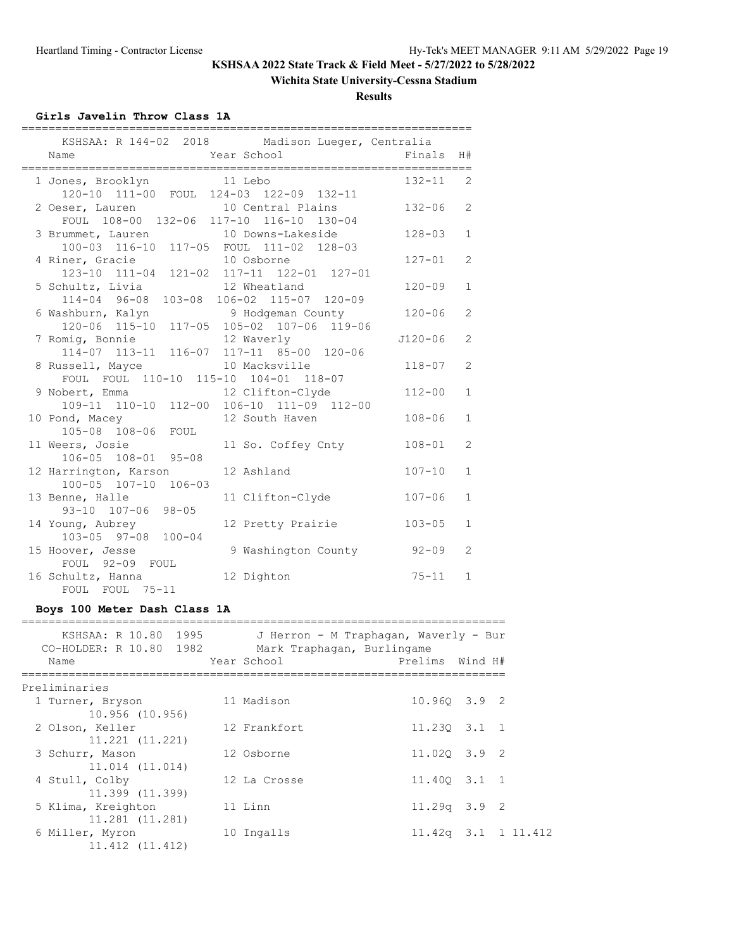### **Wichita State University-Cessna Stadium**

**Results**

### **Girls Javelin Throw Class 1A**

| KSHSAA: R 144-02 2018 Madison Lueger, Centralia<br>Year School<br>Name                  | Finals      | H#             |
|-----------------------------------------------------------------------------------------|-------------|----------------|
| 1 Jones, Brooklyn 11 Lebo<br>120-10 111-00 FOUL 124-03 122-09 132-11                    | $132 - 11$  | 2              |
| 10 Central Plains<br>2 Oeser, Lauren<br>FOUL 108-00 132-06 117-10 116-10 130-04         | $132 - 06$  | $\overline{2}$ |
| 3 Brummet, Lauren 10 Downs-Lakeside<br>100-03 116-10 117-05 FOUL 111-02 128-03          | $128 - 03$  | $\mathbf{1}$   |
| 4 Riner, Gracie 10 Osborne<br>123-10 111-04 121-02 117-11 122-01 127-01                 | $127 - 01$  | $\overline{2}$ |
| 5 Schultz, Livia 12 Wheatland<br>114-04 96-08 103-08 106-02 115-07 120-09               | $120 - 09$  | $\mathbf{1}$   |
| 6 Washburn, Kalyn Mandar 9 Hodgeman County<br>120-06 115-10 117-05 105-02 107-06 119-06 | $120 - 06$  | 2              |
| 7 Romig, Bonnie<br>12 Waverly<br>114-07 113-11 116-07 117-11 85-00 120-06               | $J120 - 06$ | $\overline{2}$ |
| 8 Russell, Mayce 10 Macksville<br>FOUL FOUL 110-10 115-10 104-01 118-07                 | $118 - 07$  | $\overline{2}$ |
| 9 Nobert, Emma<br>12 Clifton-Clyde<br>109-11 110-10 112-00 106-10 111-09 112-00         | $112 - 00$  | $\mathbf{1}$   |
| 10 Pond, Macey<br>12 South Haven<br>105-08 108-06 FOUL                                  | $108 - 06$  | $\mathbf{1}$   |
| 11 Weers, Josie<br>11 So. Coffey Cnty<br>106-05 108-01 95-08                            | $108 - 01$  | $\overline{2}$ |
| 12 Harrington, Karson<br>12 Ashland<br>100-05 107-10 106-03                             | $107 - 10$  | $\mathbf{1}$   |
| 13 Benne, Halle<br>11 Clifton-Clyde<br>93-10 107-06 98-05                               | $107 - 06$  | $\mathbf{1}$   |
| 12 Pretty Prairie<br>14 Young, Aubrey<br>$103 - 05$ 97-08 100-04                        | $103 - 05$  | $\mathbf{1}$   |
| 15 Hoover, Jesse<br>9 Washington County<br>FOUL 92-09 FOUL                              | $92 - 09$   | 2              |
| 16 Schultz, Hanna<br>12 Dighton<br>FOUL FOUL 75-11                                      | $75 - 11$   | $\mathbf{1}$   |

# **Boys 100 Meter Dash Class 1A**

| KSHSAA: R 10.80 1995<br>CO-HOLDER: R 10.80 1982<br>Name | J Herron - M Traphagan, Waverly - Bur<br>Mark Traphagan, Burlingame<br>Year School | Prelims Wind H#           |  |
|---------------------------------------------------------|------------------------------------------------------------------------------------|---------------------------|--|
| Preliminaries                                           |                                                                                    |                           |  |
| 1 Turner, Bryson                                        | 11 Madison                                                                         | 10.960 3.9 2              |  |
| 10.956 (10.956)<br>2 Olson, Keller                      | 12 Frankfort                                                                       | $11.230$ $3.1$ 1          |  |
| 11.221 (11.221)                                         |                                                                                    |                           |  |
| 3 Schurr, Mason                                         | 12 Osborne                                                                         | 11.020 3.9 2              |  |
| 11.014 (11.014)                                         |                                                                                    |                           |  |
| 4 Stull, Colby                                          | 12 La Crosse                                                                       | 11.400 3.1 1              |  |
| 11.399 (11.399)<br>5 Klima, Kreighton                   | 11 Linn                                                                            | $11.29q$ 3.9 2            |  |
| 11.281 (11.281)                                         |                                                                                    |                           |  |
| 6 Miller, Myron<br>11.412 (11.412)                      | 10 Ingalls                                                                         | $11.42q$ $3.1$ $1 11.412$ |  |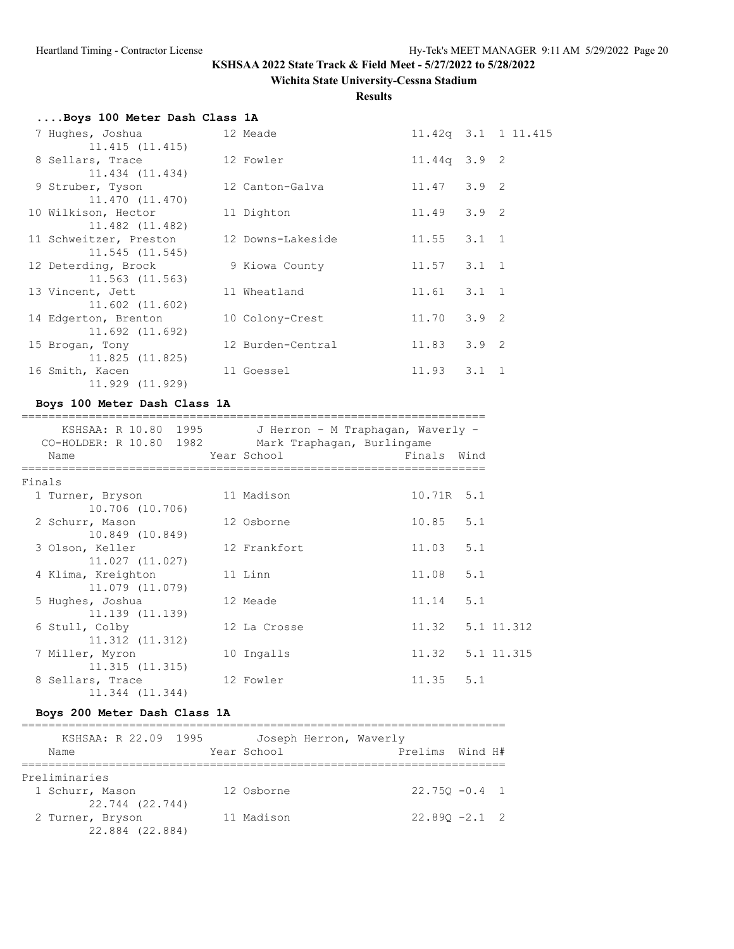### **Wichita State University-Cessna Stadium**

**Results**

# **....Boys 100 Meter Dash Class 1A**

| 7 Hughes, Joshua       | 12 Meade          |                   | $11.42q$ $3.1$ $11.415$ |
|------------------------|-------------------|-------------------|-------------------------|
| 11.415(11.415)         |                   |                   |                         |
| 8 Sellars, Trace       | 12 Fowler         | $11.44q$ 3.9 2    |                         |
| 11.434 (11.434)        |                   |                   |                         |
| 9 Struber, Tyson       | 12 Canton-Galva   | $11.47$ $3.9$ 2   |                         |
| 11.470 (11.470)        |                   |                   |                         |
| 10 Wilkison, Hector    | 11 Dighton        | $11.49$ $3.9$ 2   |                         |
| 11.482 (11.482)        |                   |                   |                         |
| 11 Schweitzer, Preston | 12 Downs-Lakeside | $11.55$ $3.1$ 1   |                         |
| 11.545(11.545)         |                   |                   |                         |
| 12 Deterding, Brock    | 9 Kiowa County    | $11.57$ $3.1$ 1   |                         |
| $11.563$ $(11.563)$    |                   |                   |                         |
| 13 Vincent, Jett       | 11 Wheatland      | $11.61$ $3.1$ 1   |                         |
| $11.602$ $(11.602)$    |                   |                   |                         |
| 14 Edgerton, Brenton   | 10 Colony-Crest   | $11.70 \t3.9 \t2$ |                         |
| 11.692 (11.692)        |                   |                   |                         |
| 15 Brogan, Tony        | 12 Burden-Central | $11.83$ $3.9$ 2   |                         |
| 11.825(11.825)         |                   |                   |                         |
| 16 Smith, Kacen        | 11 Goessel        | $11.93$ $3.1$ 1   |                         |
| 11.929 (11.929)        |                   |                   |                         |

### **Boys 100 Meter Dash Class 1A**

| KSHSAA: R 10.80 1995<br>CO-HOLDER: R 10.80 1982<br>Name |         | J Herron - M Traphagan, Waverly -<br>Mark Traphagan, Burlingame<br>Year School | Finals Wind      |  |
|---------------------------------------------------------|---------|--------------------------------------------------------------------------------|------------------|--|
|                                                         |         |                                                                                |                  |  |
| Finals                                                  |         |                                                                                |                  |  |
| 1 Turner, Bryson                                        |         | 11 Madison                                                                     | 10.71R 5.1       |  |
| 10.706 (10.706)                                         |         |                                                                                |                  |  |
| 2 Schurr, Mason                                         |         | 12 Osborne                                                                     | $10.85$ 5.1      |  |
| 10.849 (10.849)                                         |         |                                                                                |                  |  |
| 3 Olson, Keller                                         |         | 12 Frankfort                                                                   | $11.03$ 5.1      |  |
| 11.027 (11.027)                                         |         |                                                                                |                  |  |
| 4 Klima, Kreighton                                      | 11 Linn |                                                                                | $11.08$ 5.1      |  |
| 11,079 (11,079)<br>5 Hughes, Joshua                     |         | 12 Meade                                                                       | $11.14$ 5.1      |  |
| 11.139 (11.139)                                         |         |                                                                                |                  |  |
| 6 Stull, Colby                                          |         | 12 La Crosse                                                                   | 11.32 5.1 11.312 |  |
| $11.312$ $(11.312)$                                     |         |                                                                                |                  |  |
| 7 Miller, Myron                                         |         | 10 Ingalls                                                                     | 11.32 5.1 11.315 |  |
| 11.315(11.315)                                          |         |                                                                                |                  |  |
| 8 Sellars, Trace                                        |         | 12 Fowler                                                                      | $11.35$ $5.1$    |  |
| 11.344 (11.344)                                         |         |                                                                                |                  |  |

### **Boys 200 Meter Dash Class 1A**

| KSHSAA: R 22.09 1995 | Joseph Herron, Waverly |                  |
|----------------------|------------------------|------------------|
| Name                 | Year School            | Prelims Wind H#  |
|                      |                        |                  |
| Preliminaries        |                        |                  |
| 1 Schurr, Mason      | 12 Osborne             | $22.750 - 0.4$ 1 |
| 22.744 (22.744)      |                        |                  |
| 2 Turner, Bryson     | 11 Madison             | $22.890 - 2.1$ 2 |
| 22.884 (22.884)      |                        |                  |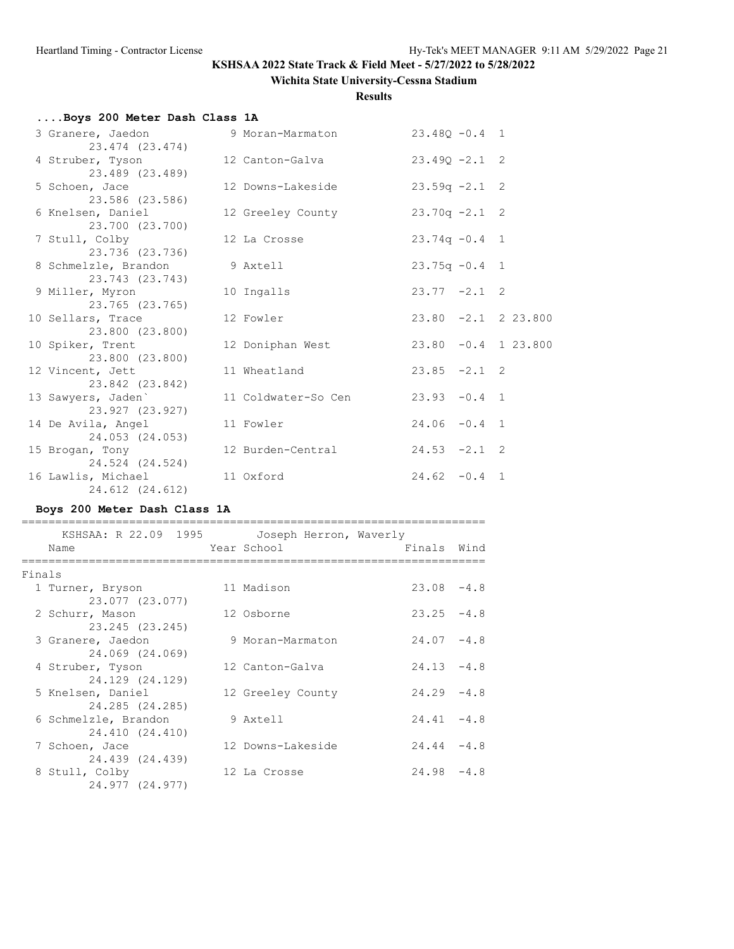### **Wichita State University-Cessna Stadium**

**Results**

# **....Boys 200 Meter Dash Class 1A**

| 3 Granere, Jaedon<br>23.474 (23.474)    | 9 Moran-Marmaton    | $23.48Q - 0.4$ 1      |  |  |
|-----------------------------------------|---------------------|-----------------------|--|--|
| 4 Struber, Tyson<br>23.489 (23.489)     | 12 Canton-Galva     | $23.490 - 2.1$ 2      |  |  |
| 5 Schoen, Jace<br>23.586 (23.586)       | 12 Downs-Lakeside   | $23.59q -2.1$ 2       |  |  |
| 6 Knelsen, Daniel<br>23.700 (23.700)    | 12 Greeley County   | $23.70q - 2.1$ 2      |  |  |
| 7 Stull, Colby<br>23.736 (23.736)       | 12 La Crosse        | $23.74q - 0.4$ 1      |  |  |
| 8 Schmelzle, Brandon<br>23.743 (23.743) | 9 Axtell            | $23.75q - 0.4$ 1      |  |  |
| 9 Miller, Myron<br>23.765 (23.765)      | 10 Ingalls          | $23.77 -2.1$ 2        |  |  |
| 10 Sellars, Trace<br>23.800 (23.800)    | 12 Fowler           | $23.80 -2.1 2 23.800$ |  |  |
| 10 Spiker, Trent<br>23.800 (23.800)     | 12 Doniphan West    | $23.80 -0.4$ 1 23.800 |  |  |
| 12 Vincent, Jett<br>23.842 (23.842)     | 11 Wheatland        | $23.85 -2.1$ 2        |  |  |
| 13 Sawyers, Jaden`<br>23.927 (23.927)   | 11 Coldwater-So Cen | $23.93 - 0.4$ 1       |  |  |
| 14 De Avila, Angel<br>24.053 (24.053)   | 11 Fowler           | $24.06 - 0.4$ 1       |  |  |
| 15 Brogan, Tony<br>24.524 (24.524)      | 12 Burden-Central   | $24.53 - 2.1$ 2       |  |  |
| 16 Lawlis, Michael<br>24.612 (24.612)   | 11 Oxford           | $24.62 - 0.4$ 1       |  |  |

### **Boys 200 Meter Dash Class 1A**

|        | KSHSAA: R 22.09 1995 Joseph Herron, Waverly<br>Name | Year School       | Finals Wind   |  |
|--------|-----------------------------------------------------|-------------------|---------------|--|
| Finals |                                                     |                   |               |  |
|        | 1 Turner, Bryson                                    | 11 Madison        | $23.08 - 4.8$ |  |
|        | 23.077 (23.077)                                     |                   |               |  |
|        | 2 Schurr, Mason                                     | 12 Osborne        | $23.25 - 4.8$ |  |
|        | 23.245 (23.245)                                     |                   |               |  |
|        | 3 Granere, Jaedon                                   | 9 Moran-Marmaton  | $24.07 - 4.8$ |  |
|        | 24.069 (24.069)                                     |                   |               |  |
|        | 4 Struber, Tyson                                    | 12 Canton-Galva   | $24.13 - 4.8$ |  |
|        | 24.129 (24.129)                                     |                   |               |  |
|        | 5 Knelsen, Daniel                                   | 12 Greeley County | $24.29 - 4.8$ |  |
|        | 24.285 (24.285)                                     |                   |               |  |
|        | 6 Schmelzle, Brandon                                | 9 Axtell          | $24.41 - 4.8$ |  |
|        | 24.410 (24.410)                                     |                   |               |  |
|        | 7 Schoen, Jace                                      | 12 Downs-Lakeside | $24.44 - 4.8$ |  |
|        | 24.439 (24.439)                                     |                   |               |  |
|        | 8 Stull, Colby                                      | 12 La Crosse      | $24.98 - 4.8$ |  |
|        | 24.977 (24.977)                                     |                   |               |  |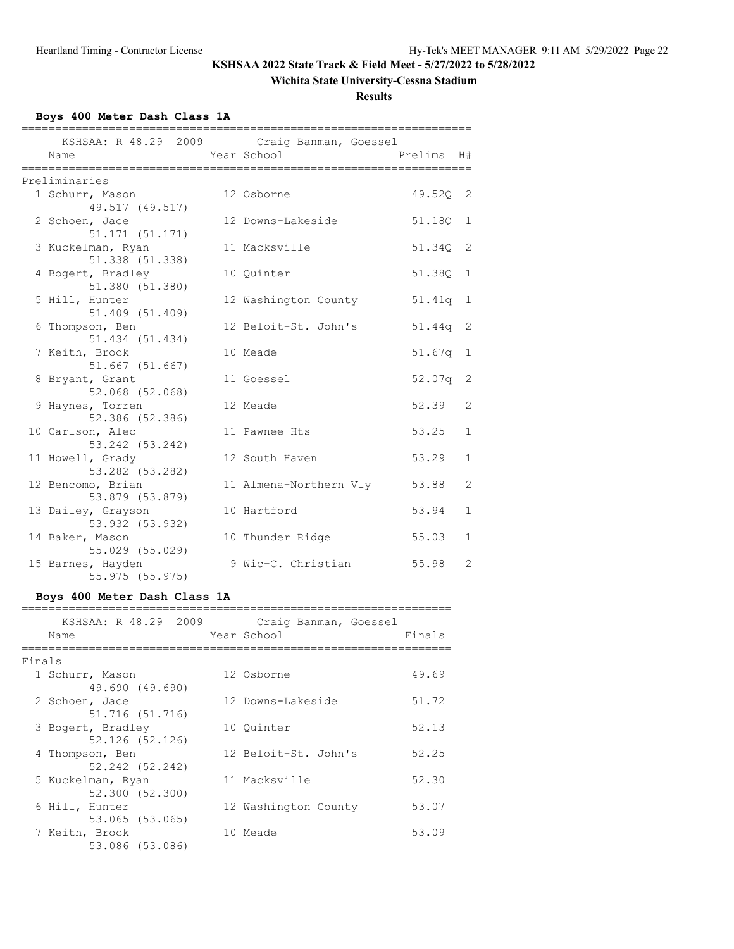### **Wichita State University-Cessna Stadium**

**Results**

### **Boys 400 Meter Dash Class 1A**

|                                       | KSHSAA: R 48.29 2009 Craig Banman, Goessel |          |                |
|---------------------------------------|--------------------------------------------|----------|----------------|
| Name                                  | Year School                                | Prelims  | H#             |
| Preliminaries                         |                                            |          |                |
| 1 Schurr, Mason                       | 12 Osborne                                 | 49.520 2 |                |
| 49.517 (49.517)                       |                                            |          |                |
| 2 Schoen, Jace<br>51.171 (51.171)     | 12 Downs-Lakeside                          | 51.18Q   | 1              |
| 3 Kuckelman, Ryan                     | 11 Macksville                              | 51.34Q   | 2              |
| 51.338 (51.338)                       |                                            |          |                |
| 4 Bogert, Bradley                     | 10 Ouinter                                 | 51.38Q   | 1              |
| 51.380 (51.380)                       |                                            |          |                |
| 5 Hill, Hunter                        | 12 Washington County                       | 51.41q   | 1              |
| 51.409 (51.409)                       |                                            |          |                |
| 6 Thompson, Ben<br>51.434 (51.434)    | 12 Beloit-St. John's                       | 51.44q   | 2              |
| 7 Keith, Brock                        | 10 Meade                                   | 51.67q   | 1              |
| 51.667 (51.667)                       |                                            |          |                |
| 8 Bryant, Grant                       | 11 Goessel                                 | 52.07q   | 2              |
| 52.068 (52.068)                       |                                            |          |                |
| 9 Haynes, Torren                      | 12 Meade                                   | 52.39    | $\overline{2}$ |
| 52.386 (52.386)<br>10 Carlson, Alec   | 11 Pawnee Hts                              | 53.25    | $\mathbf{1}$   |
| 53.242 (53.242)                       |                                            |          |                |
| 11 Howell, Grady                      | 12 South Haven                             | 53.29    | $\mathbf{1}$   |
| 53.282 (53.282)                       |                                            |          |                |
| 12 Bencomo, Brian                     | 11 Almena-Northern Vly                     | 53.88    | 2              |
| 53.879 (53.879)                       |                                            |          |                |
| 13 Dailey, Grayson<br>53.932 (53.932) | 10 Hartford                                | 53.94    | $\mathbf{1}$   |
| 14 Baker, Mason                       | 10 Thunder Ridge                           | 55.03    | $\mathbf{1}$   |
| 55.029 (55.029)                       |                                            |          |                |
| 15 Barnes, Hayden                     | 9 Wic-C. Christian                         | 55.98    | $\overline{2}$ |
| 55.975 (55.975)                       |                                            |          |                |

### **Boys 400 Meter Dash Class 1A**

|        | KSHSAA: R 48.29 2009<br>Name         | Craig Banman, Goessel<br>Year School | Finals |
|--------|--------------------------------------|--------------------------------------|--------|
| Finals |                                      |                                      |        |
|        | 1 Schurr, Mason<br>49.690 (49.690)   | 12 Osborne                           | 49.69  |
|        | 2 Schoen, Jace<br>51.716 (51.716)    | 12 Downs-Lakeside                    | 51.72  |
|        | 3 Bogert, Bradley<br>52.126 (52.126) | 10 Ouinter                           | 52.13  |
|        | 4 Thompson, Ben<br>52.242 (52.242)   | 12 Beloit-St. John's                 | 52.25  |
|        | 5 Kuckelman, Ryan<br>52.300 (52.300) | 11 Macksville                        | 52.30  |
|        | 6 Hill, Hunter<br>53.065 (53.065)    | 12 Washington County                 | 53.07  |
|        | 7 Keith, Brock<br>53.086 (53.086)    | 10 Meade                             | 53.09  |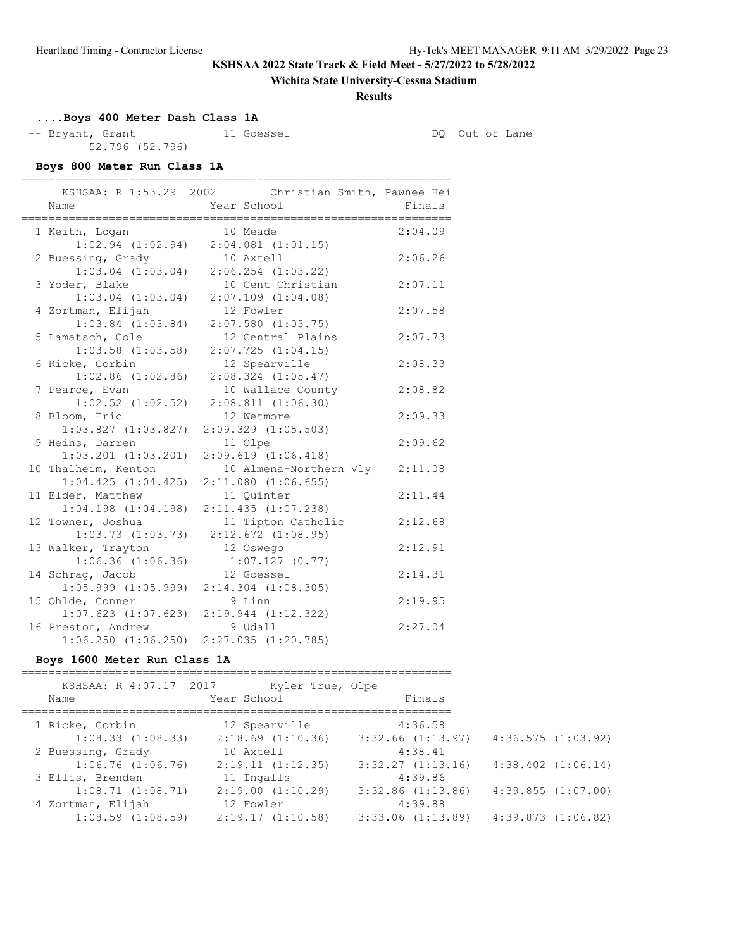### **Wichita State University-Cessna Stadium**

**Results**

# **....Boys 400 Meter Dash Class 1A**

-- Bryant, Grant 11 Goessel 11 Goessel DQ Out of Lane 52.796 (52.796)

### **Boys 800 Meter Run Class 1A**

| =============<br>Name                         | ============================<br>KSHSAA: R 1:53.29 2002 Christian Smith, Pawnee Hei<br>Year School | Finals  |
|-----------------------------------------------|---------------------------------------------------------------------------------------------------|---------|
| 1 Keith, Logan                                | 10 Meade                                                                                          | 2:04.09 |
|                                               | $1:02.94$ $(1:02.94)$ $2:04.081$ $(1:01.15)$<br>10 Axtell                                         | 2:06.26 |
| 2 Buessing, Grady<br>$1:03.04$ $(1:03.04)$    | $2:06.254$ $(1:03.22)$                                                                            |         |
| 3 Yoder, Blake                                | 10 Cent Christian                                                                                 | 2:07.11 |
| $1:03.04$ $(1:03.04)$                         | $2:07.109$ $(1:04.08)$                                                                            |         |
| 4 Zortman, Elijah                             | 12 Fowler                                                                                         | 2:07.58 |
| $1:03.84$ $(1:03.84)$                         | $2:07.580$ $(1:03.75)$                                                                            |         |
| 5 Lamatsch, Cole                              | 12 Central Plains                                                                                 | 2:07.73 |
| $1:03.58$ $(1:03.58)$                         | 2:07.725(1:04.15)                                                                                 |         |
| 6 Ricke, Corbin                               | 12 Spearville                                                                                     | 2:08.33 |
| $1:02.86$ $(1:02.86)$                         | $2:08.324$ $(1:05.47)$                                                                            |         |
| 7 Pearce, Evan                                | 10 Wallace County                                                                                 | 2:08.82 |
| $1:02.52$ $(1:02.52)$                         | 2:08.811(1:06.30)                                                                                 |         |
| 8 Bloom, Eric<br>$1:03.827$ $(1:03.827)$      | 12 Wetmore<br>$2:09.329$ $(1:05.503)$                                                             | 2:09.33 |
| 9 Heins, Darren                               | 11 Olpe                                                                                           | 2:09.62 |
| $1:03.201$ $(1:03.201)$                       | $2:09.619$ $(1:06.418)$                                                                           |         |
| 10 Thalheim, Kenton                           | 10 Almena-Northern Vly                                                                            | 2:11.08 |
| 1:04.425(1:04.425)                            | $2:11.080$ $(1:06.655)$                                                                           |         |
| 11 Elder, Matthew                             | 11 Quinter                                                                                        | 2:11.44 |
| $1:04.198$ $(1:04.198)$                       | $2:11.435$ $(1:07.238)$                                                                           |         |
| 12 Towner, Joshua                             | 11 Tipton Catholic                                                                                | 2:12.68 |
| $1:03.73$ $(1:03.73)$                         | $2:12.672$ $(1:08.95)$                                                                            |         |
| 13 Walker, Trayton                            | 12 Oswego                                                                                         | 2:12.91 |
| $1:06.36$ $(1:06.36)$                         | 1:07.127(0.77)                                                                                    |         |
| 14 Schrag, Jacob                              | 12 Goessel                                                                                        | 2:14.31 |
| $1:05.999$ $(1:05.999)$                       | 2:14.304 (1:08.305)                                                                               |         |
| 15 Ohlde, Conner                              | 9 Linn                                                                                            | 2:19.95 |
|                                               | $1:07.623$ $(1:07.623)$ $2:19.944$ $(1:12.322)$                                                   |         |
| 16 Preston, Andrew<br>$1:06.250$ $(1:06.250)$ | 9 Udall<br>2:27.035 (1:20.785)                                                                    | 2:27.04 |
|                                               |                                                                                                   |         |

### **Boys 1600 Meter Run Class 1A**

| KSHSAA: R 4:07.17 2017 | Kyler True, Olpe      |                       |
|------------------------|-----------------------|-----------------------|
| Name                   | Year School           | Finals                |
| 1 Ricke, Corbin        | 12 Spearville         | 4:36.58               |
| $1:08.33$ $(1:08.33)$  | $2:18.69$ $(1:10.36)$ | $3:32.66$ $(1:13.97)$ |
| 2 Buessing, Grady      | 10 Axtell             | 4:38.41               |
| $1:06.76$ $(1:06.76)$  | 2:19.11(1:12.35)      | $3:32.27$ $(1:13.16)$ |
| 3 Ellis, Brenden       | 11 Ingalls            | 4:39.86               |
| 1:08.71(1:08.71)       | 2:19.00(1:10.29)      | $3:32.86$ $(1:13.86)$ |
| 4 Zortman, Elijah      | 12 Fowler             | 4:39.88               |
| $1:08.59$ $(1:08.59)$  | 2:19.17(1:10.58)      | $3:33.06$ $(1:13.89)$ |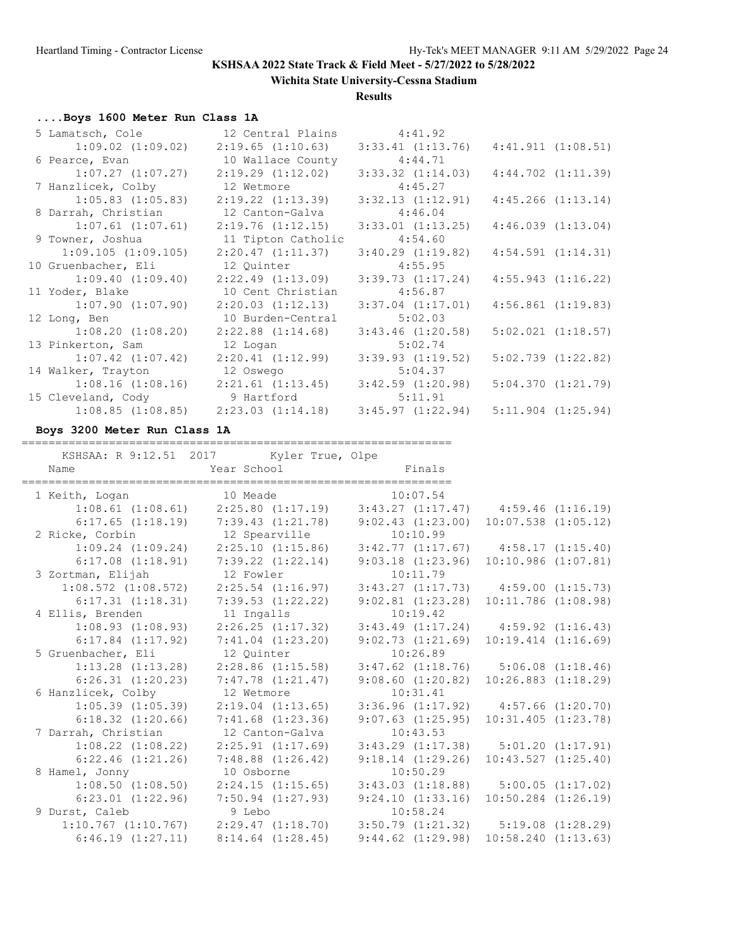**Wichita State University-Cessna Stadium**

### **Results**

# **....Boys 1600 Meter Run Class 1A**

| 5 Lamatsch, Cole                            | 12 Central Plains                           | 4:41.92               |                                              |
|---------------------------------------------|---------------------------------------------|-----------------------|----------------------------------------------|
|                                             | $1:09.02$ $(1:09.02)$ $2:19.65$ $(1:10.63)$ | 3:33.41(1:13.76)      | 4:41.911(1:08.51)                            |
| 6 Pearce, Evan                              | 10 Wallace County                           | 4:44.71               |                                              |
| $1:07.27$ $(1:07.27)$                       | 2:19.29 (1:12.02)                           | $3:33.32$ $(1:14.03)$ | $4:44.702$ $(1:11.39)$                       |
| 7 Hanzlicek, Colby                          | 12 Wetmore                                  | 4:45.27               |                                              |
| $1:05.83$ $(1:05.83)$                       | 2:19.22 (1:13.39)                           | 3:32.13(1:12.91)      | $4:45.266$ $(1:13.14)$                       |
| 8 Darrah, Christian                         | 12 Canton-Galva                             | 4:46.04               |                                              |
| $1:07.61$ $(1:07.61)$                       | 2:19.76 (1:12.15)                           | $3:33.01$ $(1:13.25)$ | 4:46.039(1:13.04)                            |
| 9 Towner, Joshua                            | 11 Tipton Catholic                          | 4:54.60               |                                              |
| $1:09.105$ $(1:09.105)$                     | 2:20.47 (1:11.37)                           | 3:40.29(1:19.82)      | $4:54.591$ $(1:14.31)$                       |
| 10 Gruenbacher, Eli                         | 12 Quinter                                  | 4:55.95               |                                              |
| 1:09.40(1:09.40)                            | 2:22.49 (1:13.09)                           | 3:39.73(1:17.24)      | 4:55.943(1:16.22)                            |
| 11 Yoder, Blake                             | 10 Cent Christian                           | 4:56.87               |                                              |
| $1:07.90$ (1:07.90)                         | 2:20.03(1:12.13)                            | $3:37.04$ $(1:17.01)$ | $4:56.861$ $(1:19.83)$                       |
| 12 Long, Ben                                | 10 Burden-Central                           | 5:02.03               |                                              |
| $1:08.20$ $(1:08.20)$ $2:22.88$ $(1:14.68)$ |                                             | $3:43.46$ $(1:20.58)$ | $5:02.021$ $(1:18.57)$                       |
| 13 Pinkerton, Sam                           | 12 Logan                                    | 5:02.74               |                                              |
| $1:07.42$ $(1:07.42)$                       | 2:20.41(1:12.99)                            | $3:39.93$ $(1:19.52)$ | $5:02.739$ $(1:22.82)$                       |
| 14 Walker, Trayton 12 Oswego                |                                             | 5:04.37               |                                              |
| $1:08.16$ $(1:08.16)$ $2:21.61$ $(1:13.45)$ |                                             | $3:42.59$ $(1:20.98)$ | 5:04.370(1:21.79)                            |
| 15 Cleveland, Cody 5 9 Hartford             |                                             | 5:11.91               |                                              |
|                                             | $1:08.85$ $(1:08.85)$ $2:23.03$ $(1:14.18)$ |                       | $3:45.97$ $(1:22.94)$ $5:11.904$ $(1:25.94)$ |

**Boys 3200 Meter Run Class 1A**

================================================================

| KSHSAA: R 9:12.51 2017 Kyler True, Olpe                                                   |                       |                                                                                                      |          |          |                                               |  |
|-------------------------------------------------------------------------------------------|-----------------------|------------------------------------------------------------------------------------------------------|----------|----------|-----------------------------------------------|--|
| Year School Finals<br>Name                                                                |                       |                                                                                                      |          |          |                                               |  |
| 1 Keith, Logan 10 Meade 10:07.54                                                          |                       |                                                                                                      |          |          |                                               |  |
| $1:08.61$ (1:08.61) $2:25.80$ (1:17.19) $3:43.27$ (1:17.47) $4:59.46$ (1:16.19)           |                       |                                                                                                      |          |          |                                               |  |
| $6:17.65$ (1:18.19) $7:39.43$ (1:21.78) $9:02.43$ (1:23.00) 10:07.538 (1:05.12)           |                       |                                                                                                      |          |          |                                               |  |
| 2 Ricke, Corbin 12 Spearville                                                             |                       |                                                                                                      | 10:10.99 |          |                                               |  |
| $1:09.24$ $(1:09.24)$ $2:25.10$ $(1:15.86)$                                               |                       |                                                                                                      |          |          | $3:42.77$ $(1:17.67)$ $4:58.17$ $(1:15.40)$   |  |
| $6:17.08$ $(1:18.91)$ $7:39.22$ $(1:22.14)$                                               |                       |                                                                                                      |          |          | 9:03.18 (1:23.96) 10:10.986 (1:07.81)         |  |
| 3 Zortman, Elijah                                                                         |                       | 12 Fowler                                                                                            |          | 10:11.79 |                                               |  |
| $1:08.572$ $(1:08.572)$ $2:25.54$ $(1:16.97)$                                             |                       |                                                                                                      |          |          | $3:43.27$ $(1:17.73)$ $4:59.00$ $(1:15.73)$   |  |
| $6:17.31$ $(1:18.31)$ $7:39.53$ $(1:22.22)$                                               |                       |                                                                                                      |          |          | $9:02.81$ $(1:23.28)$ $10:11.786$ $(1:08.98)$ |  |
| 4 Ellis, Brenden 11 Ingalls                                                               |                       |                                                                                                      | 10:19.42 |          |                                               |  |
| $1:08.93$ (1:08.93) $2:26.25$ (1:17.32) $3:43.49$ (1:17.24) $4:59.92$ (1:16.43)           |                       |                                                                                                      |          |          |                                               |  |
| $6:17.84$ $(1:17.92)$                                                                     |                       | $7:41.04$ $(1:23.20)$                                                                                |          |          | $9:02.73$ $(1:21.69)$ $10:19.414$ $(1:16.69)$ |  |
| 5 Gruenbacher, Eli                                                                        |                       | 12 Ouinter                                                                                           | 10:26.89 |          |                                               |  |
| $1:13.28$ (1:13.28) $2:28.86$ (1:15.58) $3:47.62$ (1:18.76) $5:06.08$ (1:18.46)           |                       |                                                                                                      |          |          |                                               |  |
| $6:26.31$ $(1:20.23)$ $7:47.78$ $(1:21.47)$                                               |                       |                                                                                                      |          |          | $9:08.60$ $(1:20.82)$ $10:26.883$ $(1:18.29)$ |  |
| 6 Hanzlicek, Colby                                                                        | 12 Wetmore            |                                                                                                      | 10:31.41 |          |                                               |  |
| $1:05.39$ $(1:05.39)$ $2:19.04$ $(1:13.65)$                                               |                       |                                                                                                      |          |          | $3:36.96$ $(1:17.92)$ $4:57.66$ $(1:20.70)$   |  |
| $6:18.32$ $(1:20.66)$                                                                     | $7:41.68$ $(1:23.36)$ |                                                                                                      |          |          | $9:07.63$ $(1:25.95)$ $10:31.405$ $(1:23.78)$ |  |
| 7 Darrah, Christian                                                                       |                       | 12 Canton-Galva                                                                                      |          | 10:43.53 |                                               |  |
| $1:08.22$ $(1:08.22)$                                                                     |                       | $2:25.91$ $(1:17.69)$                                                                                |          |          | $3:43.29$ $(1:17.38)$ $5:01.20$ $(1:17.91)$   |  |
| $6:22.46$ $(1:21.26)$ $7:48.88$ $(1:26.42)$                                               |                       |                                                                                                      |          |          | $9:18.14$ $(1:29.26)$ $10:43.527$ $(1:25.40)$ |  |
| 8 Hamel, Jonny                                                                            | 10 Osborne            |                                                                                                      | 10:50.29 |          |                                               |  |
| $1:08.50$ $(1:08.50)$                                                                     |                       | $2:24.15$ (1:15.65) 3:43.03 (1:18.88) 5:00.05 (1:17.02)                                              |          |          |                                               |  |
| $6:23.01$ $(1:22.96)$                                                                     | $7:50.94$ $(1:27.93)$ |                                                                                                      |          |          | $9:24.10$ $(1:33.16)$ $10:50.284$ $(1:26.19)$ |  |
| 9 Durst, Caleb                                                                            |                       | 9 Lebo and the state of the state of the state of the state of the state of the state of the state o | 10:58.24 |          |                                               |  |
| $1:10.767$ $(1:10.767)$ $2:29.47$ $(1:18.70)$ $3:50.79$ $(1:21.32)$ $5:19.08$ $(1:28.29)$ |                       |                                                                                                      |          |          |                                               |  |
| 6:46.19(1:27.11)                                                                          | $8:14.64$ $(1:28.45)$ |                                                                                                      |          |          | $9:44.62$ $(1:29.98)$ $10:58.240$ $(1:13.63)$ |  |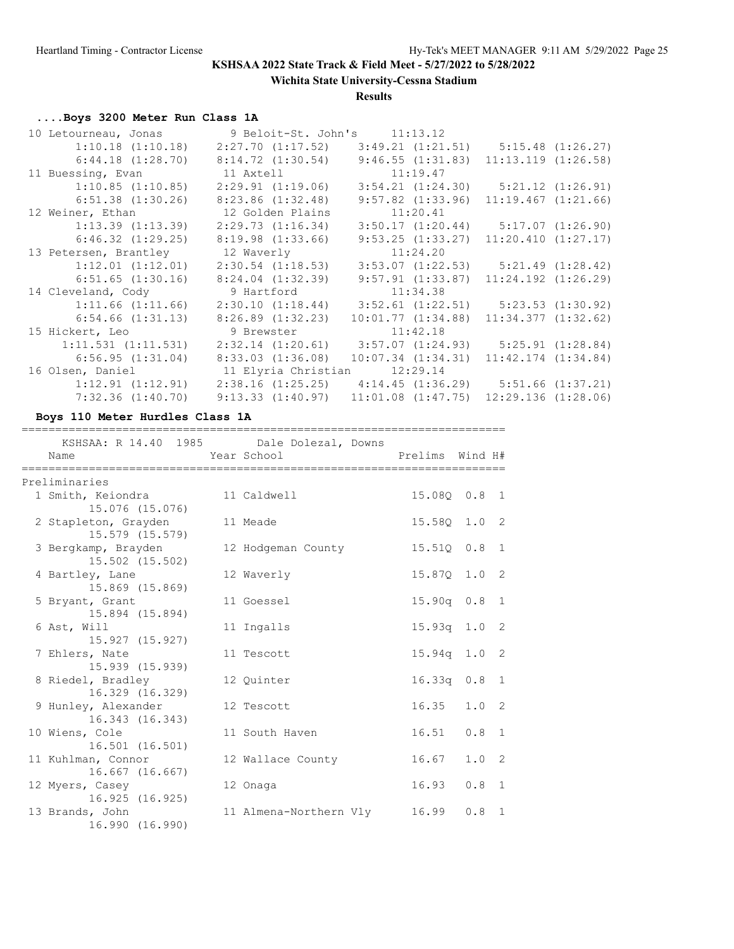**Wichita State University-Cessna Stadium**

### **Results**

# **....Boys 3200 Meter Run Class 1A**

| 10 Letourneau, Jonas    | 9 Beloit-St. John's 11:13.12 |                                             |                                                             |
|-------------------------|------------------------------|---------------------------------------------|-------------------------------------------------------------|
| $1:10.18$ $(1:10.18)$   | 2:27.70 (1:17.52)            |                                             | $3:49.21$ $(1:21.51)$ $5:15.48$ $(1:26.27)$                 |
| $6:44.18$ $(1:28.70)$   | 8:14.72(1:30.54)             | 9:46.55(1:31.83)                            | 11:13.119(1:26.58)                                          |
| 11 Buessing, Evan       | 11 Axtell                    | 11:19.47                                    |                                                             |
| 1:10.85(1:10.85)        | $2:29.91$ $(1:19.06)$        |                                             | $3:54.21$ $(1:24.30)$ $5:21.12$ $(1:26.91)$                 |
| $6:51.38$ $(1:30.26)$   | $8:23.86$ $(1:32.48)$        | $9:57.82$ $(1:33.96)$                       | 11:19.467(1:21.66)                                          |
| 12 Weiner, Ethan        | 12 Golden Plains             | 11:20.41                                    |                                                             |
| $1:13.39$ $(1:13.39)$   | 2:29.73(1:16.34)             |                                             | $3:50.17$ $(1:20.44)$ $5:17.07$ $(1:26.90)$                 |
| 6:46.32(1:29.25)        | $8:19.98$ $(1:33.66)$        | $9:53.25$ $(1:33.27)$                       | 11:20.410(1:27.17)                                          |
| 13 Petersen, Brantley   | 12 Waverly                   | 11:24.20                                    |                                                             |
| $1:12.01$ $(1:12.01)$   | 2:30.54 (1:18.53)            |                                             | $3:53.07$ $(1:22.53)$ $5:21.49$ $(1:28.42)$                 |
| 6:51.65(1:30.16)        | $8:24.04$ $(1:32.39)$        | 9:57.91(1:33.87)                            | $11:24.192$ $(1:26.29)$                                     |
| 14 Cleveland, Cody      | 9 Hartford                   | 11:34.38                                    |                                                             |
| 1:11.66(1:11.66)        | 2:30.10(1:18.44)             | 3:52.61 (1:22.51)                           | 5:23.53(1:30.92)                                            |
| 6:54.66(1:31.13)        | $8:26.89$ $(1:32.23)$        | 10:01.77(1:34.88)                           | $11:34.377$ $(1:32.62)$                                     |
| 15 Hickert, Leo         | 9 Brewster 11:42.18          |                                             |                                                             |
| $1:11.531$ $(1:11.531)$ |                              | $2:32.14$ $(1:20.61)$ $3:57.07$ $(1:24.93)$ | 5:25.91(1:28.84)                                            |
| 6:56.95(1:31.04)        | 8:33.03(1:36.08)             | $10:07.34$ $(1:34.31)$                      | $11:42.174$ $(1:34.84)$                                     |
| 16 Olsen, Daniel        | 11 Elyria Christian 12:29.14 |                                             |                                                             |
| $1:12.91$ $(1:12.91)$   |                              |                                             | $2:38.16$ (1:25.25) $4:14.45$ (1:36.29) $5:51.66$ (1:37.21) |
| 7:32.36(1:40.70)        | 9:13.33(1:40.97)             | $11:01.08$ $(1:47.75)$                      | 12:29.136(1:28.06)                                          |

**Boys 110 Meter Hurdles Class 1A**

| Name                                             | KSHSAA: R 14.40 1985 Dale Dolezal, Downs<br>Year School | Prelims Wind H# |                  |                |
|--------------------------------------------------|---------------------------------------------------------|-----------------|------------------|----------------|
| Preliminaries                                    |                                                         |                 |                  |                |
| 1 Smith, Keiondra 11 Caldwell<br>15.076 (15.076) |                                                         | 15.080 0.8 1    |                  |                |
| 2 Stapleton, Grayden<br>15.579 (15.579)          | 11 Meade                                                | 15.58Q 1.0 2    |                  |                |
| 3 Bergkamp, Brayden<br>15.502 (15.502)           | 12 Hodgeman County                                      | 15.510 0.8      |                  | $\overline{1}$ |
| 4 Bartley, Lane<br>15.869 (15.869)               | 12 Waverly                                              | $15.87Q$ 1.0    |                  | -2             |
| 5 Bryant, Grant<br>15.894 (15.894)               | 11 Goessel                                              | $15.90q$ $0.8$  |                  | $\overline{1}$ |
| 6 Ast, Will<br>15.927 (15.927)                   | 11 Ingalls                                              | 15.93q 1.0      |                  | -2             |
| 7 Ehlers, Nate<br>15.939 (15.939)                | 11 Tescott                                              | $15.94q$ 1.0 2  |                  |                |
| 8 Riedel, Bradley<br>16.329 (16.329)             | 12 Quinter                                              | $16.33q$ $0.8$  |                  | 1              |
| 9 Hunley, Alexander<br>16.343 (16.343)           | 12 Tescott                                              | 16.35           | 1.0 <sub>2</sub> |                |
| 10 Wiens, Cole<br>16.501 (16.501)                | 11 South Haven                                          | 16.51           | 0.8              | $\mathbf{1}$   |
| 11 Kuhlman, Connor<br>16.667 (16.667)            | 12 Wallace County                                       | 16.67           | $1.0 \t2$        |                |
| 12 Myers, Casey<br>16.925(16.925)                | 12 Onaga                                                | 16.93           | 0.8              | 1              |
| 13 Brands, John<br>16.990 (16.990)               | 11 Almena-Northern Vly                                  | 16.99           | 0.8              | 1              |

========================================================================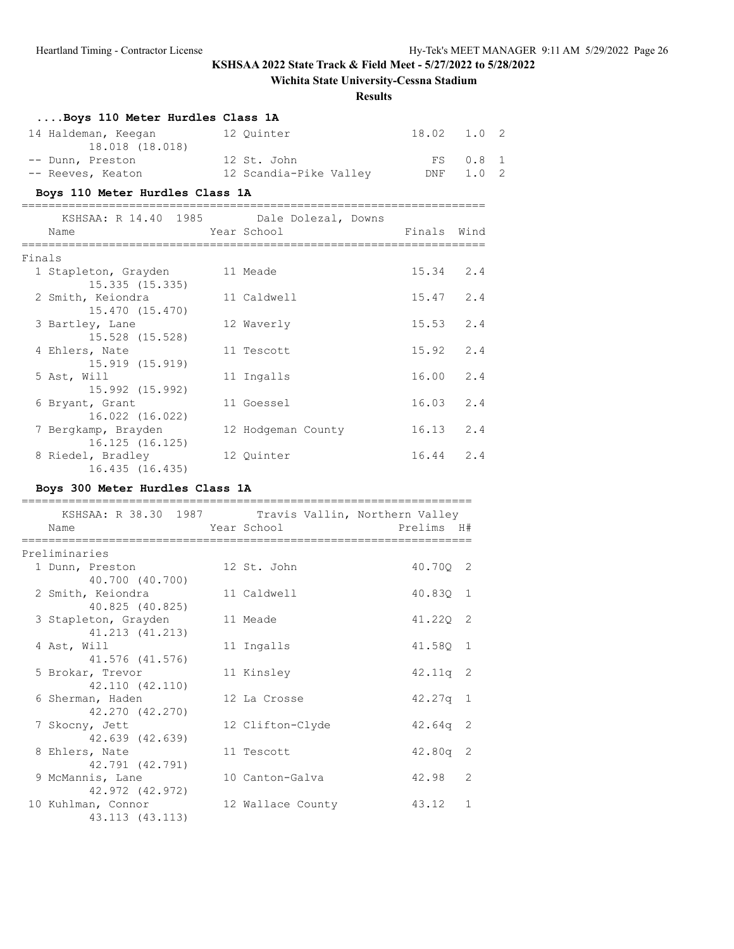# **Wichita State University-Cessna Stadium**

### **Results**

|        | Boys 110 Meter Hurdles Class 1A                                          |                                        |                   |          |  |
|--------|--------------------------------------------------------------------------|----------------------------------------|-------------------|----------|--|
|        | 14 Haldeman, Keegan 12 Quinter<br>18.018 (18.018)                        |                                        | 18.02             | 1.0 2    |  |
|        | -- Dunn, Preston 12 St. John                                             |                                        |                   | FS 0.8 1 |  |
|        | -- Reeves, Keaton               12 Scandia-Pike Valley         DNF       |                                        |                   | 1.0 2    |  |
|        | Boys 110 Meter Hurdles Class 1A                                          | ______________________________________ |                   |          |  |
|        | KSHSAA: R 14.40 1985 Dale Dolezal, Downs<br>External Year School<br>Name | mals Wind                              |                   |          |  |
| Finals |                                                                          |                                        |                   |          |  |
|        | 1 Stapleton, Grayden 11 Meade<br>15.335(15.335)                          |                                        | 15.34 2.4         |          |  |
|        | 2 Smith, Keiondra<br>15.470 (15.470)                                     | 11 Caldwell                            | 15.47 2.4         |          |  |
|        | 3 Bartley, Lane<br>15.528 (15.528)                                       | 12 Waverly                             | $15.53$ $2.4$     |          |  |
|        | 4 Ehlers, Nate<br>15.919 (15.919)                                        | 11 Tescott                             | $15.92 \quad 2.4$ |          |  |
|        | 5 Ast, Will<br>15.992 (15.992)                                           | 11 Ingalls                             | 16.00 2.4         |          |  |
|        | 6 Bryant, Grant<br>16.022 (16.022)                                       | 11 Goessel                             | 16.03 2.4         |          |  |
|        | 7 Bergkamp, Brayden<br>16.125 (16.125)                                   | 12 Hodgeman County                     | $16.13$ $2.4$     |          |  |
|        | 8 Riedel, Bradley<br>16.435 (16.435)                                     | 12 Ouinter                             | $16.44$ 2.4       |          |  |

# **Boys 300 Meter Hurdles Class 1A**

| KSHSAA: R 38.30 1987 Travis Vallin, Northern Valley<br>Name | Year School       | Prelims H# |               |
|-------------------------------------------------------------|-------------------|------------|---------------|
| =========                                                   |                   |            |               |
| Preliminaries                                               |                   |            |               |
| 1 Dunn, Preston                                             | 12 St. John       | 40.700 2   |               |
| 40.700 (40.700)                                             |                   |            |               |
| 2 Smith, Keiondra                                           | 11 Caldwell       | 40.830 1   |               |
| 40.825 (40.825)                                             |                   |            |               |
| 3 Stapleton, Grayden                                        | 11 Meade          | 41.220 2   |               |
| 41.213 (41.213)                                             |                   |            |               |
| 4 Ast, Will                                                 | 11 Ingalls        | 41.58Q 1   |               |
| 41.576 (41.576)                                             |                   |            |               |
| 5 Brokar, Trevor                                            | 11 Kinsley        | $42.11q$ 2 |               |
| 42.110 (42.110)                                             | 12 La Crosse      |            |               |
| 6 Sherman, Haden<br>42.270 (42.270)                         |                   | $42.27q$ 1 |               |
| 7 Skocny, Jett                                              | 12 Clifton-Clyde  | $42.64q$ 2 |               |
| 42.639 (42.639)                                             |                   |            |               |
| 8 Ehlers, Nate                                              | 11 Tescott        | $42.80q$ 2 |               |
| 42.791 (42.791)                                             |                   |            |               |
| 9 McMannis, Lane                                            | 10 Canton-Galva   | 42.98      | $\mathcal{L}$ |
| 42.972 (42.972)                                             |                   |            |               |
| 10 Kuhlman, Connor                                          | 12 Wallace County | 43.12      | $\mathbf{1}$  |
| 43.113 (43.113)                                             |                   |            |               |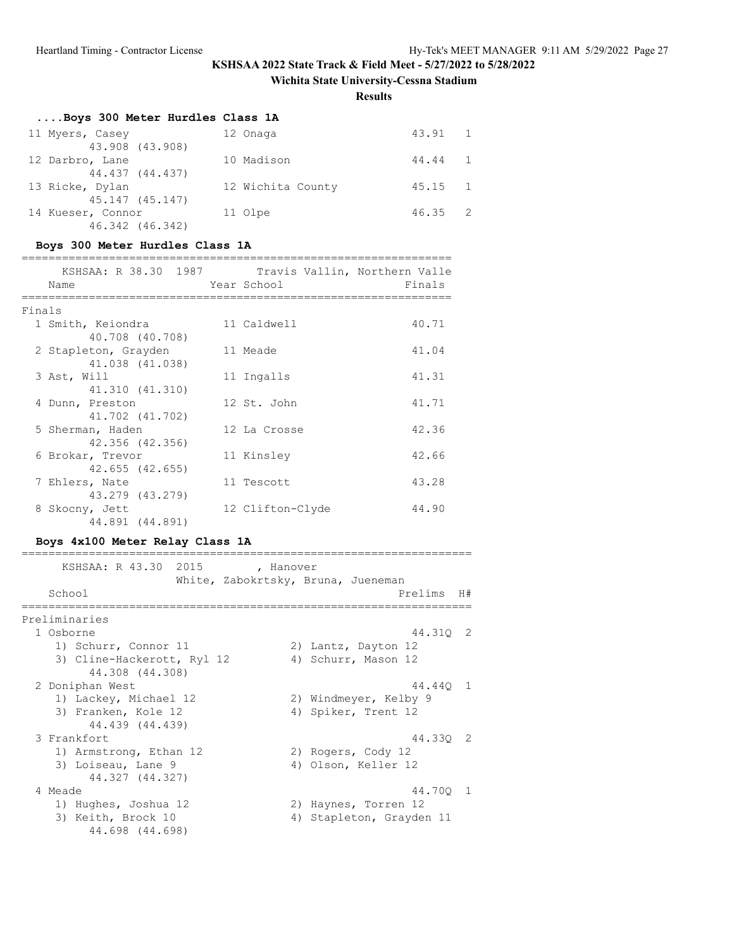### **Wichita State University-Cessna Stadium**

**Results**

# **....Boys 300 Meter Hurdles Class 1A**

| 11 Myers, Casey   | 12 Onaga          | 43.91 1         |  |
|-------------------|-------------------|-----------------|--|
| 43.908 (43.908)   |                   |                 |  |
| 12 Darbro, Lane   | 10 Madison        | 44.44 1         |  |
| 44.437 (44.437)   |                   |                 |  |
| 13 Ricke, Dylan   | 12 Wichita County | $45.15 \quad 1$ |  |
| 45.147 (45.147)   |                   |                 |  |
| 14 Kueser, Connor | 11 Olpe           | $46.35 \quad 2$ |  |
| 46.342 (46.342)   |                   |                 |  |

### **Boys 300 Meter Hurdles Class 1A**

|        | KSHSAA: R 38.30 1987 | Travis Vallin, Northern Valle |        |
|--------|----------------------|-------------------------------|--------|
|        | Name                 | Year School                   | Finals |
|        |                      |                               |        |
| Finals |                      |                               |        |
|        | 1 Smith, Keiondra    | 11 Caldwell                   | 40.71  |
|        | 40.708 (40.708)      |                               |        |
|        | 2 Stapleton, Grayden | 11 Meade                      | 41.04  |
|        | 41.038 (41.038)      |                               |        |
|        | 3 Ast, Will          | 11 Ingalls                    | 41.31  |
|        | 41.310 (41.310)      |                               |        |
|        | 4 Dunn, Preston      | 12 St. John                   | 41.71  |
|        | 41.702 (41.702)      |                               |        |
|        | 5 Sherman, Haden     | 12 La Crosse                  | 42.36  |
|        | 42.356 (42.356)      |                               |        |
|        | 6 Brokar, Trevor     | 11 Kinsley                    | 42.66  |
|        | 42.655 (42.655)      |                               |        |
|        | 7 Ehlers, Nate       | 11 Tescott                    | 43.28  |
|        | 43.279 (43.279)      |                               |        |
|        | 8 Skocny, Jett       | 12 Clifton-Clyde              | 44.90  |
|        | 44.891 (44.891)      |                               |        |

#### **Boys 4x100 Meter Relay Class 1A**

===================================================================

| KSHSAA: R 43.30 2015<br>, Hanover                 |            |  |
|---------------------------------------------------|------------|--|
| White, Zabokrtsky, Bruna, Jueneman                |            |  |
| School                                            | Prelims H# |  |
|                                                   |            |  |
| Preliminaries                                     |            |  |
| 1 Osborne                                         | 44.310 2   |  |
| 1) Schurr, Connor 11<br>2) Lantz, Dayton 12       |            |  |
| 3) Cline-Hackerott, Ryl 12<br>4) Schurr, Mason 12 |            |  |
| 44.308 (44.308)                                   |            |  |
| 2 Doniphan West                                   | 44.440 1   |  |
| 1) Lackey, Michael 12<br>2) Windmeyer, Kelby 9    |            |  |
| 3) Franken, Kole 12<br>4) Spiker, Trent 12        |            |  |
| 44.439 (44.439)                                   |            |  |
| 3 Frankfort                                       | 44.330 2   |  |
| 1) Armstrong, Ethan 12<br>2) Rogers, Cody 12      |            |  |
| 3) Loiseau, Lane 9<br>4) Olson, Keller 12         |            |  |
| 44.327 (44.327)                                   |            |  |
| 4 Meade                                           | 44.700 1   |  |
| 1) Hughes, Joshua 12<br>2) Haynes, Torren 12      |            |  |
| 3) Keith, Brock 10<br>4) Stapleton, Grayden 11    |            |  |
| 44.698 (44.698)                                   |            |  |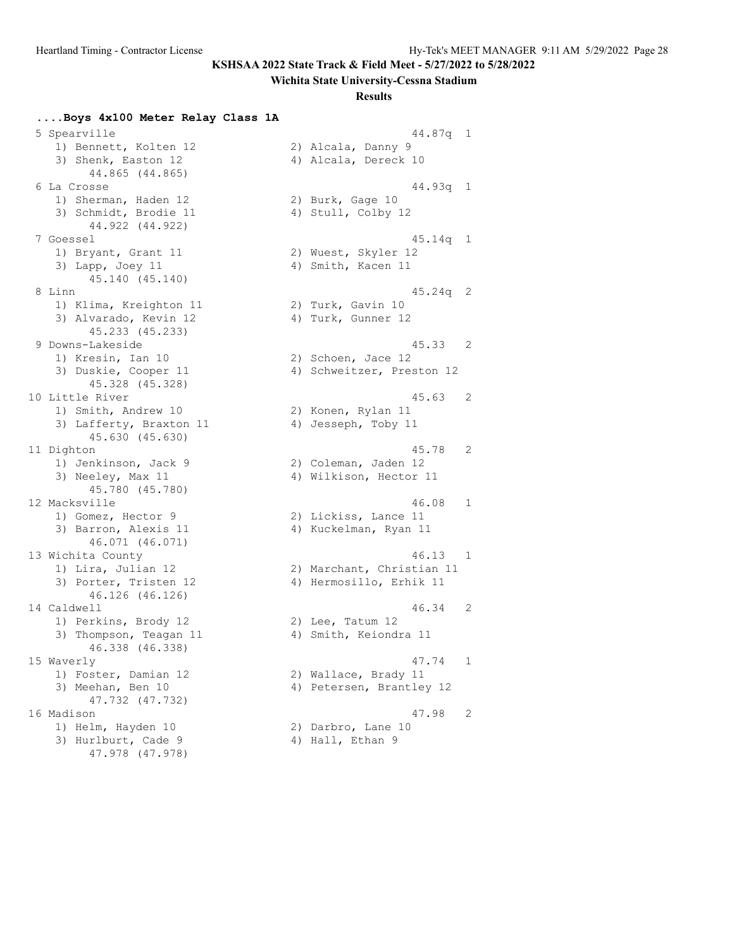#### **Wichita State University-Cessna Stadium**

#### **Results**

**....Boys 4x100 Meter Relay Class 1A**

 5 Spearville 44.87q 1 1) Bennett, Kolten 12 (2) Alcala, Danny 9 3) Shenk, Easton 12 (4) Alcala, Dereck 10 44.865 (44.865) 1) Sherman, Haden 12 2) Burk, Gage 10 3) Schmidt, Brodie 11 4) Stull, Colby 12 44.922 (44.922) 1) Bryant, Grant 11 2) Wuest, Skyler 12 3) Lapp, Joey 11 4) Smith, Kacen 11 45.140 (45.140) 1) Klima, Kreighton 11 120 20 Turk, Gavin 10 3) Alvarado, Kevin 12 (4) Turk, Gunner 12 45.233 (45.233) 1) Kresin, Ian 10 2) Schoen, Jace 12 45.328 (45.328) 1) Smith, Andrew 10 2) Konen, Rylan 11 3) Lafferty, Braxton 11 (4) Jesseph, Toby 11 45.630 (45.630) 1) Jenkinson, Jack 9 2) Coleman, Jaden 12 3) Neeley, Max 11 4) Wilkison, Hector 11 45.780 (45.780) 1) Gomez, Hector 9 2) Lickiss, Lance 11 3) Barron, Alexis 11 4) Kuckelman, Ryan 11 46.071 (46.071) 46.126 (46.126) 1) Perkins, Brody 12 2) Lee, Tatum 12 3) Thompson, Teagan 11 4) Smith, Keiondra 11 46.338 (46.338) 1) Foster, Damian 12 2) Wallace, Brady 11 47.732 (47.732) 1) Helm, Hayden 10 2) Darbro, Lane 10 3) Hurlburt, Cade 9 4) Hall, Ethan 9

```
 47.978 (47.978)
```
 6 La Crosse 44.93q 1 7 Goessel 45.14q 1 8 Linn 45.24q 2 9 Downs-Lakeside 45.33 2 3) Duskie, Cooper 11 4) Schweitzer, Preston 12 10 Little River 45.63 2 11 Dighton 45.78 2 12 Macksville 46.08 1 13 Wichita County 46.13 1 1) Lira, Julian 12 2) Marchant, Christian 11 3) Porter, Tristen 12 4) Hermosillo, Erhik 11 14 Caldwell 46.34 2 15 Waverly 47.74 1 3) Meehan, Ben 10 4) Petersen, Brantley 12 16 Madison 47.98 2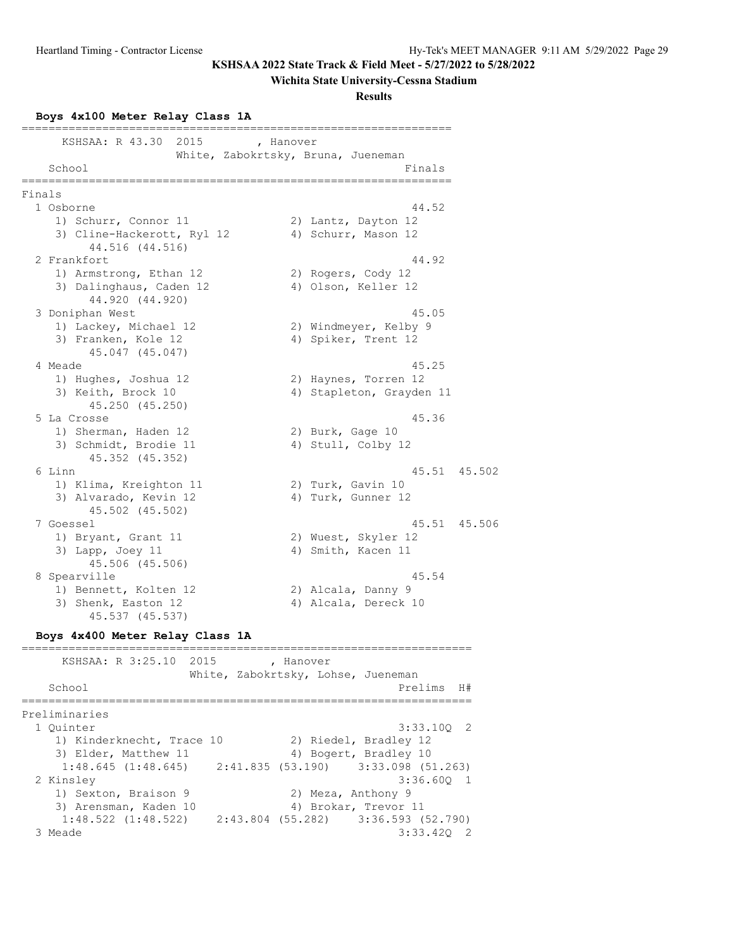### **Wichita State University-Cessna Stadium**

**Results**

#### **Boys 4x100 Meter Relay Class 1A**

|        | KSHSAA: R 43.30<br>2015                       | , Hanover<br>White, Zabokrtsky, Bruna, Jueneman                 |           |
|--------|-----------------------------------------------|-----------------------------------------------------------------|-----------|
|        | School<br>========================            | Finals<br>===========                                           |           |
| Finals |                                               |                                                                 |           |
|        | 1 Osborne                                     | 44.52                                                           |           |
|        | 1) Schurr, Connor 11                          | 2) Lantz, Dayton 12                                             |           |
|        | 3) Cline-Hackerott, Ryl 12<br>44.516 (44.516) | 4) Schurr, Mason 12                                             |           |
|        | 2 Frankfort                                   | 44.92                                                           |           |
|        | 1) Armstrong, Ethan 12                        | 2) Rogers, Cody 12                                              |           |
|        | 3) Dalinghaus, Caden 12<br>44.920 (44.920)    | 4) Olson, Keller 12                                             |           |
|        | 3 Doniphan West                               | 45.05                                                           |           |
|        | 1) Lackey, Michael 12                         | 2) Windmeyer, Kelby 9                                           |           |
|        | 3) Franken, Kole 12<br>45.047 (45.047)        | 4) Spiker, Trent 12                                             |           |
|        | 4 Meade                                       | 45.25                                                           |           |
|        | 1) Hughes, Joshua 12                          | 2) Haynes, Torren 12                                            |           |
|        | 3) Keith, Brock 10<br>45.250 (45.250)         | 4) Stapleton, Grayden 11                                        |           |
|        | 5 La Crosse                                   | 45.36                                                           |           |
|        | 1) Sherman, Haden 12                          | 2) Burk, Gage 10                                                |           |
|        | 3) Schmidt, Brodie 11<br>45.352 (45.352)      | 4) Stull, Colby 12                                              |           |
|        | 6 Linn                                        | 45.51 45.502                                                    |           |
|        | 1) Klima, Kreighton 11                        | 2) Turk, Gavin 10                                               |           |
|        | 3) Alvarado, Kevin 12<br>45.502 (45.502)      | 4) Turk, Gunner 12                                              |           |
|        | 7 Goessel                                     | 45.51 45.506                                                    |           |
|        | 1) Bryant, Grant 11                           | 2) Wuest, Skyler 12                                             |           |
|        | 3) Lapp, Joey 11<br>45.506 (45.506)           | 4) Smith, Kacen 11                                              |           |
|        | 8 Spearville                                  | 45.54                                                           |           |
|        | 1) Bennett, Kolten 12                         | 2) Alcala, Danny 9                                              |           |
|        | 3) Shenk, Easton 12<br>45.537 (45.537)        | 4) Alcala, Dereck 10                                            |           |
|        | Boys 4x400 Meter Relay Class 1A               |                                                                 |           |
|        | KSHSAA: R 3:25.10                             | 2015<br>, Hanover                                               |           |
|        | School                                        | White, Zabokrtsky, Lohse, Jueneman<br>Prelims<br>============== | <b>H#</b> |

Preliminaries 1 Quinter 3:33.10Q 2 1) Kinderknecht, Trace 10 2) Riedel, Bradley 12 3) Elder, Matthew 11 4) Bogert, Bradley 10 3) Elder, Matthew 11 (1:48.645) 4) Bogert, Bradley 10<br>1:48.645 (1:48.645) 2:41.835 (53.190) 3:33.098 (51.263)<br>2 Kinsley 3:36.60Q 1  $3:36.60Q$  1<br>2) Meza, Anthony 9 1) Sexton, Braison 9 3) Arensman, Kaden 10 4) Brokar, Trevor 11 1:48.522 (1:48.522) 2:43.804 (55.282) 3:36.593 (52.790)  $3:33.420$  2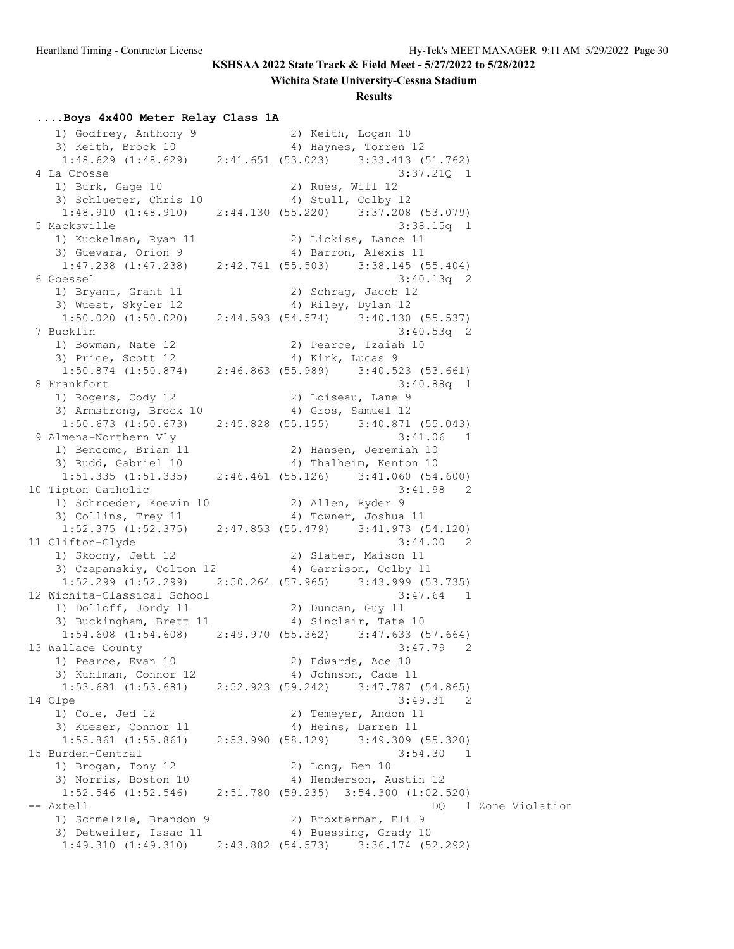#### **Wichita State University-Cessna Stadium**

#### **Results**

#### **....Boys 4x400 Meter Relay Class 1A**

 1) Godfrey, Anthony 9 2) Keith, Logan 10 3) Keith, Brock 10 (4) Haynes, Torren 12 1:48.629 (1:48.629) 2:41.651 (53.023) 3:33.413 (51.762) 4 La Crosse 3:37.21Q 1 1) Burk, Gage 10 2) Rues, Will 12 3) Schlueter, Chris 10 4) Stull, Colby 12 1:48.910 (1:48.910) 2:44.130 (55.220) 3:37.208 (53.079) 5 Macksville 3:38.15q 1 1) Kuckelman, Ryan 11 2) Lickiss, Lance 11 3) Guevara, Orion 9 4) Barron, Alexis 11 1:47.238 (1:47.238) 2:42.741 (55.503) 3:38.145 (55.404) 6 Goessel 3:40.13q 2 1) Bryant, Grant 11 2) Schrag, Jacob 12 3) Wuest, Skyler 12 (4) Riley, Dylan 12 1:50.020 (1:50.020) 2:44.593 (54.574) 3:40.130 (55.537) 7 Bucklin 3:40.53q 2 1) Bowman, Nate 12 2) Pearce, Izaiah 10<br>3) Price, Scott 12 4) Kirk, Lucas 9 3) Price, Scott 12 (4) Kirk, Lucas 9 1:50.874 (1:50.874) 2:46.863 (55.989) 3:40.523 (53.661) 8 Frankfort 3:40.88q 1 1) Rogers, Cody 12 2) Loiseau, Lane 9 3) Armstrong, Brock 10 4) Gros, Samuel 12 1:50.673 (1:50.673) 2:45.828 (55.155) 3:40.871 (55.043)<br>9 Almena-Northern Vly 3:41.06 1 9 Almena-Northern Vly 3:41.06 1 1) Bencomo, Brian 11 2) Hansen, Jeremiah 10 3) Rudd, Gabriel 10 4) Thalheim, Kenton 10 1:51.335 (1:51.335) 2:46.461 (55.126) 3:41.060 (54.600) 10 Tipton Catholic 3:41.98 2 1) Schroeder, Koevin 10 2) Allen, Ryder 9 3) Collins, Trey 11 4) Towner, Joshua 11 1:52.375 (1:52.375) 2:47.853 (55.479) 3:41.973 (54.120) 11 Clifton-Clyde 3:44.00 2 1) Skocny, Jett 12 2) Slater, Maison 11 3) Czapanskiy, Colton 12 4) Garrison, Colby 11 1:52.299 (1:52.299) 2:50.264 (57.965) 3:43.999 (53.735) 12 Wichita-Classical School 3:47.64 1 1) Dolloff, Jordy 11 2) Duncan, Guy 11 3) Buckingham, Brett 11 (4) Sinclair, Tate 10 1:54.608 (1:54.608) 2:49.970 (55.362) 3:47.633 (57.664)<br>13 Wallace County 3:47.79 2 13 Wallace County 3:47.79 2 1) Pearce, Evan 10 2) Edwards, Ace 10 3) Kuhlman, Connor 12 (a) 4) Johnson, Cade 11 1:53.681 (1:53.681) 2:52.923 (59.242) 3:47.787 (54.865) 14 Olpe 3:49.31 2 1) Cole, Jed 12 2) Temeyer, Andon 11 3) Kueser, Connor 11 and 4) Heins, Darren 11 1:55.861 (1:55.861) 2:53.990 (58.129) 3:49.309 (55.320) 15 Burden-Central 3:54.30 1 1) Brogan, Tony 12 2) Long, Ben 10 3) Norris, Boston 10 4) Henderson, Austin 12 1:52.546 (1:52.546) 2:51.780 (59.235) 3:54.300 (1:02.520) -- Axtell DQ 1 Zone Violation 1) Schmelzle, Brandon 9 (2) Broxterman, Eli 9 3) Detweiler, Issac 11 4) Buessing, Grady 10 1:49.310 (1:49.310) 2:43.882 (54.573) 3:36.174 (52.292)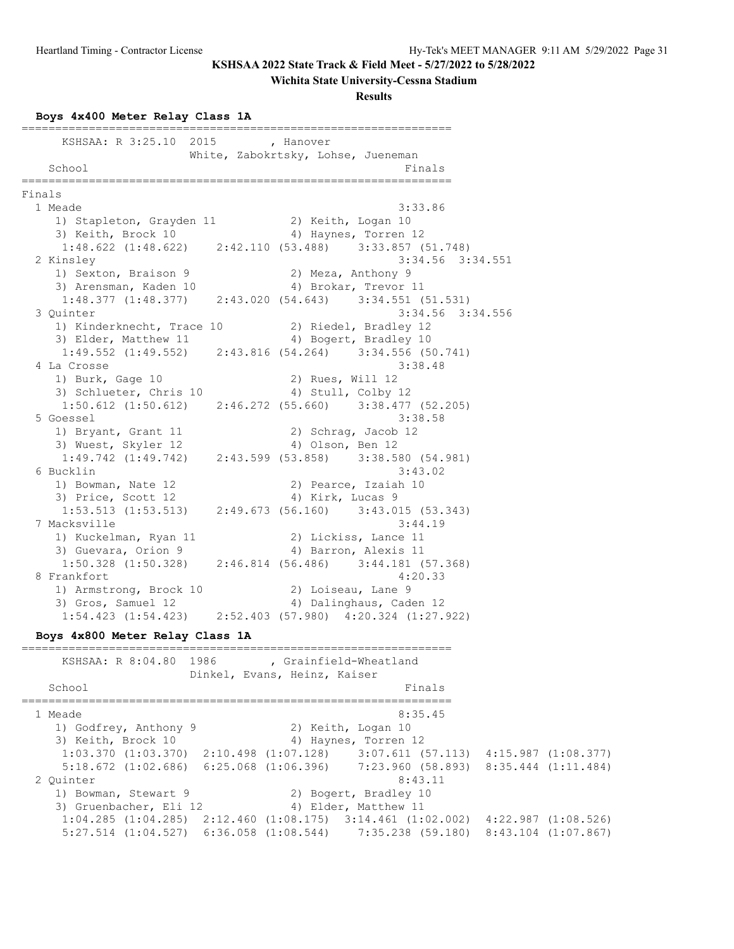# **Wichita State University-Cessna Stadium**

### **Results**

### **Boys 4x400 Meter Relay Class 1A**

| KSHSAA: R 3:25.10 2015 , Hanover                                                                       |                                                                                                                       |
|--------------------------------------------------------------------------------------------------------|-----------------------------------------------------------------------------------------------------------------------|
| School                                                                                                 | White, Zabokrtsky, Lohse, Jueneman<br>Finals                                                                          |
|                                                                                                        |                                                                                                                       |
| Finals                                                                                                 |                                                                                                                       |
| 1 Meade                                                                                                | 3:33.86                                                                                                               |
| 1) Stapleton, Grayden 11 (2) Keith, Logan 10                                                           |                                                                                                                       |
| 3) Keith, Brock 10 (4) Haynes, Torren 12                                                               |                                                                                                                       |
| $1:48.622$ $(1:48.622)$ $2:42.110$ $(53.488)$ $3:33.857$ $(51.748)$                                    |                                                                                                                       |
| 2 Kinsley<br>1) Sexton, Braison 9                                                                      | $3:34.56$ $3:34.551$                                                                                                  |
| 3) Arensman, Kaden 10                                                                                  | 2) Meza, Anthony 9<br>4) Brokar, Trevor 11                                                                            |
| $1:48.377$ $(1:48.377)$ $2:43.020$ $(54.643)$ $3:34.551$ $(51.531)$                                    |                                                                                                                       |
| 3 Quinter                                                                                              | $3:34.56$ $3:34.556$                                                                                                  |
| 1) Kinderknecht, Trace 10 2) Riedel, Bradley 12                                                        |                                                                                                                       |
|                                                                                                        |                                                                                                                       |
| 3) Elder, Matthew 11 (4) Bogert, Bradley 10<br>1:49.552 (1:49.552) 2:43.816 (54.264) 3:34.556 (50.741) |                                                                                                                       |
| 4 La Crosse                                                                                            | 3:38.48                                                                                                               |
| 1) Burk, Gage 10                                                                                       | 2) Rues, Will 12                                                                                                      |
| 3) Schlueter, Chris 10                                                                                 | 4) Stull, Colby 12                                                                                                    |
| $1:50.612$ $(1:50.612)$ $2:46.272$ $(55.660)$ $3:38.477$ $(52.205)$                                    |                                                                                                                       |
| 5 Goessel                                                                                              | 3:38.58                                                                                                               |
| 1) Bryant, Grant 11                                                                                    | 2) Schrag, Jacob 12                                                                                                   |
| 3) Wuest, Skyler 12                                                                                    | 4) Olson, Ben 12                                                                                                      |
| 1:49.742 (1:49.742) 2:43.599 (53.858) 3:38.580 (54.981)                                                |                                                                                                                       |
| 6 Bucklin                                                                                              | 3:43.02                                                                                                               |
| 1) Bowman, Nate 12<br>3) Price, Scott 12                                                               | 2) Pearce, Izaiah 10<br>4) Kirk, Lucas 9                                                                              |
| 3) Price, Scott 12 (1:53.513) (1:53.513) 2:49.673 (56.160) 3:43.015 (53.343)                           |                                                                                                                       |
| 7 Macksville                                                                                           | 3:44.19                                                                                                               |
| 1) Kuckelman, Ryan 11                                                                                  | 2) Lickiss, Lance 11                                                                                                  |
| 3) Guevara, Orion 9                                                                                    | 4) Barron, Alexis 11                                                                                                  |
| $1:50.328$ (1:50.328) 2:46.814 (56.486) 3:44.181 (57.368)                                              |                                                                                                                       |
| 8 Frankfort                                                                                            | 4:20.33                                                                                                               |
| 1) Armstrong, Brock 10<br>3) Gros, Samuel 12                                                           | 2) Loiseau, Lane 9                                                                                                    |
|                                                                                                        | 4) Dalinghaus, Caden 12                                                                                               |
| $1:54.423$ $(1:54.423)$ $2:52.403$ $(57.980)$ $4:20.324$ $(1:27.922)$                                  |                                                                                                                       |
| Boys 4x800 Meter Relay Class 1A                                                                        |                                                                                                                       |
|                                                                                                        |                                                                                                                       |
| KSHSAA: R 8:04.80 1986 , Grainfield-Wheatland                                                          |                                                                                                                       |
|                                                                                                        | Dinkel, Evans, Heinz, Kaiser                                                                                          |
| School                                                                                                 | Finals                                                                                                                |
|                                                                                                        | ------------------                                                                                                    |
| 1 Meade                                                                                                | 8:35.45                                                                                                               |
| 1) Godfrey, Anthony 9                                                                                  | 2) Keith, Logan 10                                                                                                    |
| 3) Keith, Brock 10                                                                                     | 4) Haynes, Torren 12<br>$1:03.370$ $(1:03.370)$ $2:10.498$ $(1:07.128)$ $3:07.611$ $(57.113)$ $4:15.987$ $(1:08.377)$ |
|                                                                                                        | $5:18.672$ (1:02.686) 6:25.068 (1:06.396) 7:23.960 (58.893)<br>8:35.444 (1:11.484)                                    |
| 2 Quinter                                                                                              | 8:43.11                                                                                                               |
| 1) Bowman, Stewart 9                                                                                   | 2) Bogert, Bradley 10                                                                                                 |
| 3) Gruenbacher, Eli 12                                                                                 | 4) Elder, Matthew 11                                                                                                  |
|                                                                                                        | $1:04.285$ (1:04.285) 2:12.460 (1:08.175) 3:14.461 (1:02.002)<br>$4:22.987$ $(1:08.526)$                              |
|                                                                                                        | 5:27.514 (1:04.527) 6:36.058 (1:08.544) 7:35.238 (59.180) 8:43.104 (1:07.867)                                         |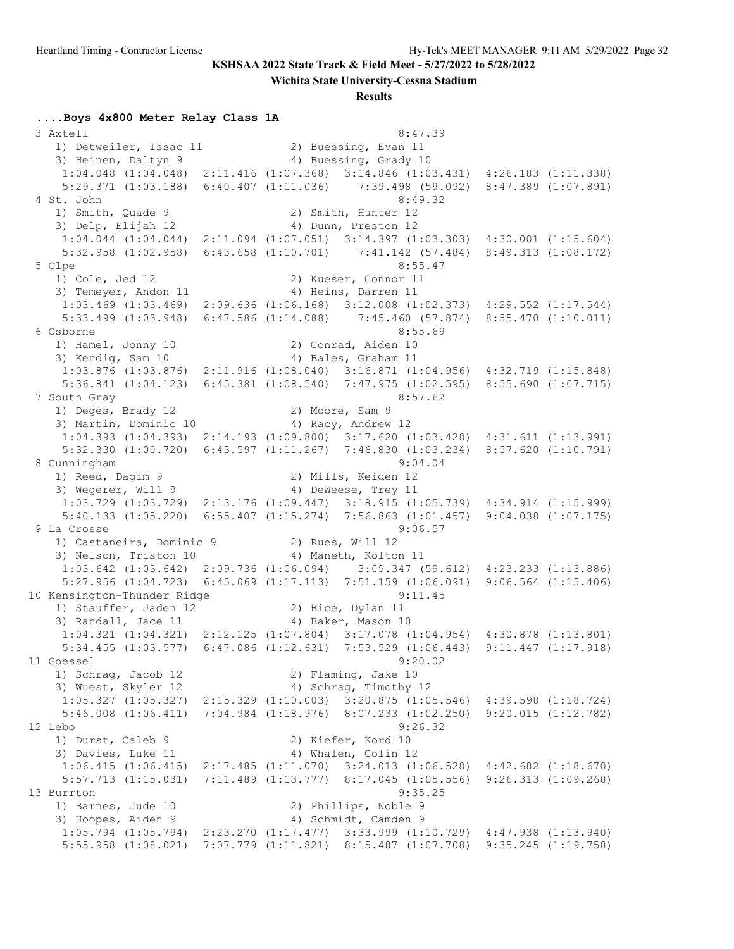**Wichita State University-Cessna Stadium**

#### **Results**

#### **....Boys 4x800 Meter Relay Class 1A**

 3 Axtell 8:47.39 1) Detweiler, Issac 11 12) Buessing, Evan 11 3) Heinen, Daltyn 9 1944 (4) Buessing, Grady 10 1:04.048 (1:04.048) 2:11.416 (1:07.368) 3:14.846 (1:03.431) 4:26.183 (1:11.338) 5:29.371 (1:03.188) 6:40.407 (1:11.036) 7:39.498 (59.092) 8:47.389 (1:07.891) 4 St. John 8:49.32 1) Smith, Quade 9 2) Smith, Hunter 12 3) Delp, Elijah 12 (4) Dunn, Preston 12 1:04.044 (1:04.044) 2:11.094 (1:07.051) 3:14.397 (1:03.303) 4:30.001 (1:15.604) 5:32.958 (1:02.958) 6:43.658 (1:10.701) 7:41.142 (57.484) 8:49.313 (1:08.172) 5 Olpe 8:55.47<br>1) Cole, Jed 12 (2) Kueser, Connor 11 1) Cole, Jed 12 2) Kueser, Connor 11 3) Temeyer, Andon 11 4) Heins, Darren 11 1:03.469 (1:03.469) 2:09.636 (1:06.168) 3:12.008 (1:02.373) 4:29.552 (1:17.544) 5:33.499 (1:03.948) 6:47.586 (1:14.088) 7:45.460 (57.874) 8:55.470 (1:10.011) 6 Osborne 8:55.69 1) Hamel, Jonny 10 2) Conrad, Aiden 10 3) Kendig, Sam 10 4) Bales, Graham 11 1:03.876 (1:03.876) 2:11.916 (1:08.040) 3:16.871 (1:04.956) 4:32.719 (1:15.848) 5:36.841 (1:04.123) 6:45.381 (1:08.540) 7:47.975 (1:02.595) 8:55.690 (1:07.715) 7 South Gray 8:57.62 1) Deges, Brady 12 2) Moore, Sam 9 3) Martin, Dominic 10 4) Racy, Andrew 12 1:04.393 (1:04.393) 2:14.193 (1:09.800) 3:17.620 (1:03.428) 4:31.611 (1:13.991) 5:32.330 (1:00.720) 6:43.597 (1:11.267) 7:46.830 (1:03.234) 8:57.620 (1:10.791) 8 Cunningham 9:04.04 1) Reed, Dagim 9 2) Mills, Keiden 12 3) Wegerer, Will 9 4) DeWeese, Trey 11 1:03.729 (1:03.729) 2:13.176 (1:09.447) 3:18.915 (1:05.739) 4:34.914 (1:15.999) 5:40.133 (1:05.220) 6:55.407 (1:15.274) 7:56.863 (1:01.457) 9:04.038 (1:07.175) 9 La Crosse 9:06.57 1) Castaneira, Dominic 9 2) Rues, Will 12 3) Nelson, Triston 10 (4) Maneth, Kolton 11 1:03.642 (1:03.642) 2:09.736 (1:06.094) 3:09.347 (59.612) 4:23.233 (1:13.886) 5:27.956 (1:04.723) 6:45.069 (1:17.113) 7:51.159 (1:06.091) 9:06.564 (1:15.406) 10 Kensington-Thunder Ridge 9:11.45 1) Stauffer, Jaden 12 2) Bice, Dylan 11 3) Randall, Jace 11 4) Baker, Mason 10 1:04.321 (1:04.321) 2:12.125 (1:07.804) 3:17.078 (1:04.954) 4:30.878 (1:13.801) 5:34.455 (1:03.577) 6:47.086 (1:12.631) 7:53.529 (1:06.443) 9:11.447 (1:17.918) 11 Goessel 9:20.02 1) Schrag, Jacob 12 2) Flaming, Jake 10 3) Wuest, Skyler 12 4) Schrag, Timothy 12 1:05.327 (1:05.327) 2:15.329 (1:10.003) 3:20.875 (1:05.546) 4:39.598 (1:18.724) 5:46.008 (1:06.411) 7:04.984 (1:18.976) 8:07.233 (1:02.250) 9:20.015 (1:12.782) 12 Lebo 9:26.32 1) Durst, Caleb 9 2) Kiefer, Kord 10 3) Davies, Luke 11 4) Whalen, Colin 12 1:06.415 (1:06.415) 2:17.485 (1:11.070) 3:24.013 (1:06.528) 4:42.682 (1:18.670) 5:57.713 (1:15.031) 7:11.489 (1:13.777) 8:17.045 (1:05.556) 9:26.313 (1:09.268) 13 Burrton 9:35.25 1) Barnes, Jude 10 2) Phillips, Noble 9 3) Hoopes, Aiden 9 4) Schmidt, Camden 9 1:05.794 (1:05.794) 2:23.270 (1:17.477) 3:33.999 (1:10.729) 4:47.938 (1:13.940) 5:55.958 (1:08.021) 7:07.779 (1:11.821) 8:15.487 (1:07.708) 9:35.245 (1:19.758)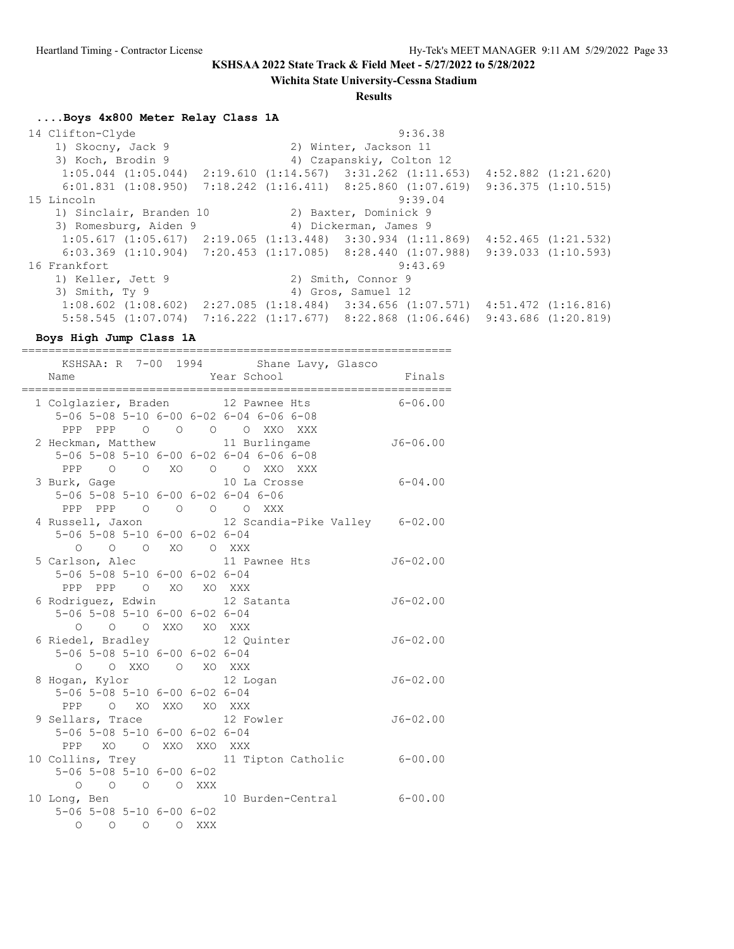**Wichita State University-Cessna Stadium**

#### **Results**

#### **....Boys 4x800 Meter Relay Class 1A**

 14 Clifton-Clyde 9:36.38 1) Skocny, Jack 9 2) Winter, Jackson 11 3) Koch, Brodin 9 4) Czapanskiy, Colton 12 1:05.044 (1:05.044) 2:19.610 (1:14.567) 3:31.262 (1:11.653) 4:52.882 (1:21.620) 6:01.831 (1:08.950) 7:18.242 (1:16.411) 8:25.860 (1:07.619) 9:36.375 (1:10.515) 15 Lincoln 9:39.04 1) Sinclair, Branden 10 2) Baxter, Dominick 9 3) Romesburg, Aiden 9 4) Dickerman, James 9 1:05.617 (1:05.617) 2:19.065 (1:13.448) 3:30.934 (1:11.869) 4:52.465 (1:21.532) 6:03.369 (1:10.904) 7:20.453 (1:17.085) 8:28.440 (1:07.988) 9:39.033 (1:10.593) 16 Frankfort 9:43.69 1) Keller, Jett 9 2) Smith, Connor 9 3) Smith, Ty 9 4) Gros, Samuel 12 1:08.602 (1:08.602) 2:27.085 (1:18.484) 3:34.656 (1:07.571) 4:51.472 (1:16.816) 5:58.545 (1:07.074) 7:16.222 (1:17.677) 8:22.868 (1:06.646) 9:43.686 (1:20.819)

**Boys High Jump Class 1A**

================================================================

|                                              |                     |  | KSHSAA: R 7-00 1994 Shane Lavy, Glasco          |              |
|----------------------------------------------|---------------------|--|-------------------------------------------------|--------------|
| Name                                         |                     |  | Year School                                     | Finals       |
|                                              |                     |  |                                                 |              |
|                                              |                     |  | 1 Colglazier, Braden 12 Pawnee Hts 6-06.00      |              |
|                                              |                     |  | 5-06 5-08 5-10 6-00 6-02 6-04 6-06 6-08         |              |
|                                              |                     |  | PPP PPP 0 0 0 0 XXO XXX                         |              |
|                                              |                     |  | 2 Heckman, Matthew 11 Burlingame                | $J6 - 06.00$ |
|                                              |                     |  | 5-06 5-08 5-10 6-00 6-02 6-04 6-06 6-08         |              |
|                                              |                     |  | PPP 0 0 XO 0 0 XXO XXX                          |              |
|                                              |                     |  | 3 Burk, Gage 10 La Crosse                       | $6 - 04.00$  |
|                                              |                     |  | 5-06 5-08 5-10 6-00 6-02 6-04 6-06              |              |
|                                              |                     |  | PPP PPP 0 0 0 0 XXX                             |              |
|                                              |                     |  | 4 Russell, Jaxon 12 Scandia-Pike Valley 6-02.00 |              |
| 5-06 5-08 5-10 6-00 6-02 6-04                |                     |  |                                                 |              |
| O O O XO O XXX                               |                     |  |                                                 |              |
|                                              |                     |  | 5 Carlson, Alec 11 Pawnee Hts                   | $J6 - 02.00$ |
| 5-06 5-08 5-10 6-00 6-02 6-04                |                     |  |                                                 |              |
| PPP PPP 0 XO XO XXX                          |                     |  |                                                 |              |
|                                              |                     |  | 6 Rodriguez, Edwin 12 Satanta                   | $J6 - 02.00$ |
| 5-06 5-08 5-10 6-00 6-02 6-04                |                     |  |                                                 |              |
| $\circ$                                      | O O XXO XO XXX      |  |                                                 |              |
|                                              |                     |  | 6 Riedel, Bradley 12 Quinter                    | $J6 - 02.00$ |
| 5-06 5-08 5-10 6-00 6-02 6-04                |                     |  |                                                 |              |
|                                              |                     |  | O OXXO OXOXXX                                   |              |
|                                              |                     |  | 8 Hogan, Kylor 12 Logan                         | $J6 - 02.00$ |
| 5-06 5-08 5-10 6-00 6-02 6-04                |                     |  |                                                 |              |
|                                              | PPP O XO XXO XO XXX |  |                                                 |              |
| 9 Sellars, Trace                             |                     |  | 12 Fowler                                       | $J6 - 02.00$ |
| 5-06 5-08 5-10 6-00 6-02 6-04                |                     |  |                                                 |              |
| PPP XO O XXO XXO XXX                         |                     |  |                                                 |              |
|                                              |                     |  | 10 Collins, Trey 11 Tipton Catholic 6-00.00     |              |
| $5 - 06$ $5 - 08$ $5 - 10$ $6 - 00$ $6 - 02$ |                     |  |                                                 |              |
|                                              | 0 0 0 0 XXX         |  |                                                 |              |
|                                              |                     |  | 10 Long, Ben 10 Burden-Central 6-00.00          |              |
| $5 - 06$ $5 - 08$ $5 - 10$ $6 - 00$ $6 - 02$ |                     |  |                                                 |              |
| O O O O XXX                                  |                     |  |                                                 |              |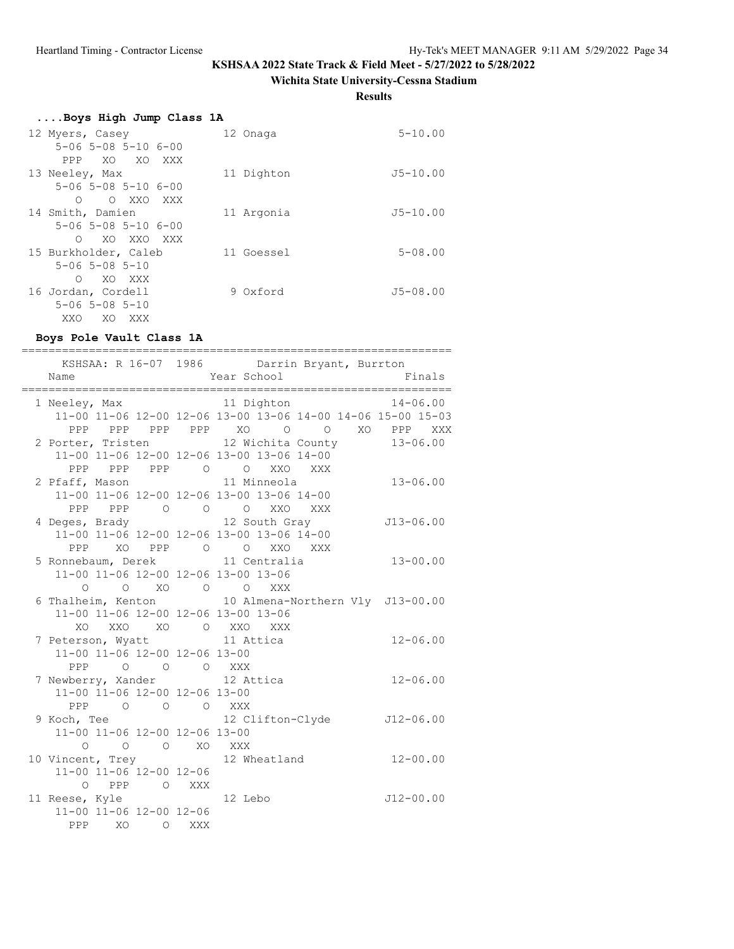# **Wichita State University-Cessna Stadium**

**Results**

| Boys High Jump Class 1A             |            |              |
|-------------------------------------|------------|--------------|
| 12 Myers, Casey                     | 12 Onaga   | $5 - 10.00$  |
| $5 - 06$ $5 - 08$ $5 - 10$ $6 - 00$ |            |              |
| XO XO XXX<br>PPP                    |            |              |
| 13 Neeley, Max                      | 11 Dighton | $J5 - 10.00$ |
| $5 - 06$ $5 - 08$ $5 - 10$ $6 - 00$ |            |              |
| O XXO XXX<br>$\bigcirc$             |            |              |
| 14 Smith, Damien                    | 11 Argonia | $J5 - 10.00$ |
| $5 - 06$ $5 - 08$ $5 - 10$ $6 - 00$ |            |              |
| XO XXO XXX<br>$\circ$               |            |              |
| 15 Burkholder, Caleb                | 11 Goessel | $5 - 08.00$  |
| $5 - 06$ $5 - 08$ $5 - 10$          |            |              |
| O XO XXX                            |            |              |
| 16 Jordan, Cordell                  | 9 Oxford   | $J5 - 08.00$ |
| $5 - 06$ $5 - 08$ $5 - 10$          |            |              |
| XXO<br>XO XXX                       |            |              |

# **Boys Pole Vault Class 1A**

| Name                            |                                                        |       |  |                                           |  | KSHSAA: R 16-07 1986 Darrin Bryant, Burrton<br>Year School Finals                                |  |
|---------------------------------|--------------------------------------------------------|-------|--|-------------------------------------------|--|--------------------------------------------------------------------------------------------------|--|
|                                 |                                                        |       |  |                                           |  | 1 Neeley, Max 11 Dighton 14-06.00<br>11-00 11-06 12-00 12-06 13-00 13-06 14-00 14-06 15-00 15-03 |  |
|                                 |                                                        |       |  |                                           |  | PPP PPP PPP PPP XO O O XO PPP XXX                                                                |  |
|                                 |                                                        |       |  |                                           |  | 2 Porter, Tristen 12 Wichita County 13-06.00                                                     |  |
|                                 |                                                        |       |  | 11-00 11-06 12-00 12-06 13-00 13-06 14-00 |  |                                                                                                  |  |
|                                 |                                                        |       |  | PPP PPP PPP 0 0 XXO XXX                   |  |                                                                                                  |  |
| 2 Pfaff, Mason                  |                                                        |       |  | 11 Minneola                               |  | $13 - 06.00$                                                                                     |  |
|                                 |                                                        |       |  | 11-00 11-06 12-00 12-06 13-00 13-06 14-00 |  |                                                                                                  |  |
|                                 |                                                        |       |  | PPP PPP 0 0 0 XXO XXX                     |  |                                                                                                  |  |
| 4 Deges, Brady 12 South Gray    |                                                        |       |  |                                           |  | J13-06.00                                                                                        |  |
|                                 |                                                        |       |  | 11-00 11-06 12-00 12-06 13-00 13-06 14-00 |  |                                                                                                  |  |
|                                 |                                                        |       |  | PPP XO PPP 0 0 XXO XXX                    |  |                                                                                                  |  |
| 5 Ronnebaum, Derek 11 Centralia |                                                        |       |  |                                           |  | $13 - 00.00$                                                                                     |  |
|                                 | 11-00 11-06 12-00 12-06 13-00 13-06                    |       |  |                                           |  |                                                                                                  |  |
|                                 | $\begin{matrix} 0 & 0 & X0 & 0 & 0 & XXX \end{matrix}$ |       |  |                                           |  |                                                                                                  |  |
|                                 |                                                        |       |  |                                           |  | 6 Thalheim, Kenton 10 Almena-Northern Vly J13-00.00                                              |  |
|                                 | 11-00 11-06 12-00 12-06 13-00 13-06                    |       |  |                                           |  |                                                                                                  |  |
|                                 | XO XXO XO O XXO XXX                                    |       |  |                                           |  |                                                                                                  |  |
| 7 Peterson, Wyatt 11 Attica     |                                                        |       |  |                                           |  | $12 - 06.00$                                                                                     |  |
|                                 | 11-00 11-06 12-00 12-06 13-00                          |       |  |                                           |  |                                                                                                  |  |
|                                 | PPP 0 0 0 XXX                                          |       |  |                                           |  |                                                                                                  |  |
| 7 Newberry, Xander 12 Attica    |                                                        |       |  |                                           |  | $12 - 06.00$                                                                                     |  |
|                                 | 11-00 11-06 12-00 12-06 13-00                          |       |  |                                           |  |                                                                                                  |  |
|                                 | PPP 0 0 0 XXX                                          |       |  |                                           |  |                                                                                                  |  |
|                                 |                                                        |       |  |                                           |  | 9 Koch, Tee<br>12 Clifton-Clyde<br>J12-06.00                                                     |  |
|                                 | 11-00 11-06 12-00 12-06 13-00                          |       |  |                                           |  |                                                                                                  |  |
| O O O XO XXX                    |                                                        |       |  |                                           |  |                                                                                                  |  |
|                                 |                                                        |       |  |                                           |  | 10 Vincent, Trey 12 Wheatland 12-00.00                                                           |  |
|                                 | 11-00 11-06 12-00 12-06                                |       |  |                                           |  |                                                                                                  |  |
|                                 | O PPP O XXX                                            |       |  |                                           |  |                                                                                                  |  |
| 11 Reese, Kyle 12 Lebo          |                                                        |       |  |                                           |  | $J12-00.00$                                                                                      |  |
|                                 | 11-00 11-06 12-00 12-06                                |       |  |                                           |  |                                                                                                  |  |
| PPP XO                          |                                                        | O XXX |  |                                           |  |                                                                                                  |  |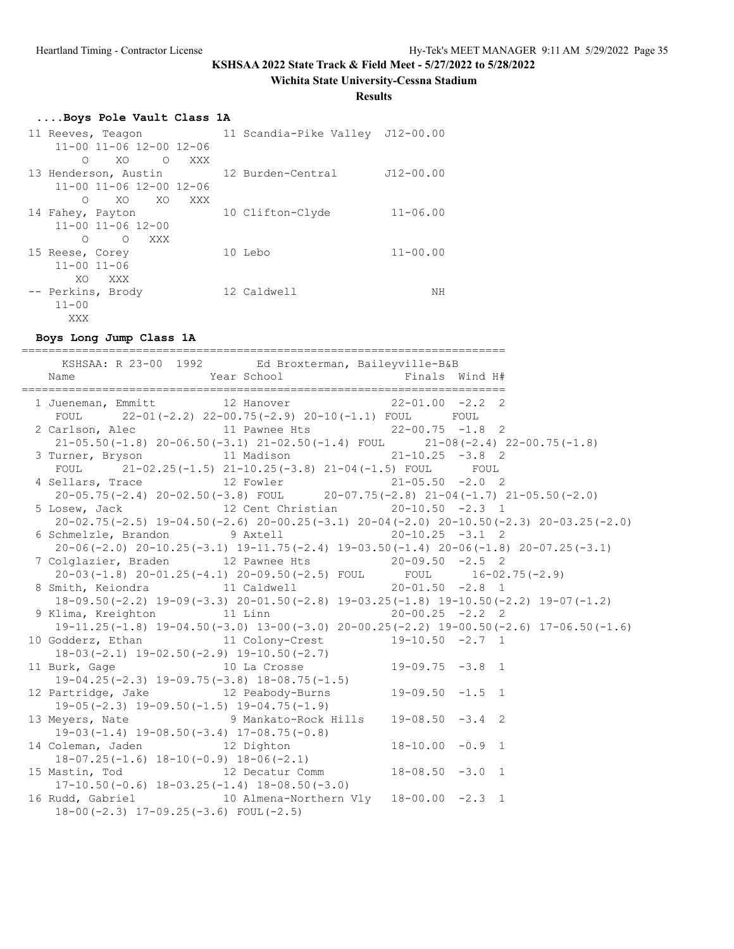#### **Wichita State University-Cessna Stadium**

#### **Results**

#### **....Boys Pole Vault Class 1A**

| 11 Reeves, Teagon                       | 11 Scandia-Pike Valley J12-00.00 |               |
|-----------------------------------------|----------------------------------|---------------|
| $11 - 00$ $11 - 06$ $12 - 00$ $12 - 06$ |                                  |               |
| XO<br>$\Omega$<br>$\Omega$<br>XXX       |                                  |               |
| 13 Henderson, Austin                    | 12 Burden-Central                | $J12 - 00.00$ |
| $11 - 00$ $11 - 06$ $12 - 00$ $12 - 06$ |                                  |               |
| XO<br>XO<br>XXX<br>∩                    |                                  |               |
| 14 Fahey, Payton                        | 10 Clifton-Clyde                 | $11 - 06.00$  |
| $11 - 00$ $11 - 06$ $12 - 00$           |                                  |               |
| ∩<br>$\bigcirc$<br>XXX                  |                                  |               |
| 15 Reese, Corey                         | 10 Lebo                          | $11 - 00.00$  |
| $11 - 00$ $11 - 06$                     |                                  |               |
| XO.<br>XXX                              |                                  |               |
| -- Perkins, Brody                       | 12 Caldwell                      | ΝH            |
| $11 - 00$                               |                                  |               |
| XXX                                     |                                  |               |

#### **Boys Long Jump Class 1A**

======================================================================== KSHSAA: R 23-00 1992 Ed Broxterman, Baileyville-B&B Name  $Year School$  Finals Wind H# ======================================================================== 1 Jueneman, Emmitt 12 Hanover 22-01.00 -2.2 2 FOUL 22-01(-2.2) 22-00.75(-2.9) 20-10(-1.1) FOUL FOUL 2 Carlson, Alec 11 Pawnee Hts 22-00.75 -1.8 2 21-05.50(-1.8) 20-06.50(-3.1) 21-02.50(-1.4) FOUL 21-08(-2.4) 22-00.75(-1.8) 3 Turner, Bryson 11 Madison 21-10.25 -3.8 2 FOUL 21-02.25(-1.5) 21-10.25(-3.8) 21-04(-1.5) FOUL FOUL 4 Sellars, Trace 12 Fowler 21-05.50 -2.0 2 20-05.75(-2.4) 20-02.50(-3.8) FOUL 20-07.75(-2.8) 21-04(-1.7) 21-05.50(-2.0) 5 Losew, Jack 12 Cent Christian 20-10.50 -2.3 1 20-02.75(-2.5) 19-04.50(-2.6) 20-00.25(-3.1) 20-04(-2.0) 20-10.50(-2.3) 20-03.25(-2.0) 6 Schmelzle, Brandon 9 Axtell 20-10.25 -3.1 2 20-06(-2.0) 20-10.25(-3.1) 19-11.75(-2.4) 19-03.50(-1.4) 20-06(-1.8) 20-07.25(-3.1) 7 Colglazier, Braden 12 Pawnee Hts 20-09.50 -2.5 2<br>20-03(-1.8) 20-01.25(-4.1) 20-09.50(-2.5) FOUL FOUL 16-02 20-03(-1.8) 20-01.25(-4.1) 20-09.50(-2.5) FOUL FOUL 16-02.75(-2.9) 8 Smith, Keiondra 11 Caldwell 20-01.50 -2.8 1 18-09.50(-2.2) 19-09(-3.3) 20-01.50(-2.8) 19-03.25(-1.8) 19-10.50(-2.2) 19-07(-1.2) 9 Klima, Kreighton 11 Linn 20-00.25 -2.2 2 19-11.25(-1.8) 19-04.50(-3.0) 13-00(-3.0) 20-00.25(-2.2) 19-00.50(-2.6) 17-06.50(-1.6) 10 Godderz, Ethan 11 Colony-Crest 19-10.50 -2.7 1 18-03(-2.1) 19-02.50(-2.9) 19-10.50(-2.7) 11 Burk, Gage 10 La Crosse 19-09.75 -3.8 1 19-04.25(-2.3) 19-09.75(-3.8) 18-08.75(-1.5) 12 Partridge, Jake 12 Peabody-Burns 19-09.50 -1.5 1 19-05(-2.3) 19-09.50(-1.5) 19-04.75(-1.9) 13 Meyers, Nate 9 Mankato-Rock Hills 19-08.50 -3.4 2 19-03(-1.4) 19-08.50(-3.4) 17-08.75(-0.8) 14 Coleman, Jaden 12 Dighton 18-10.00 -0.9 1 18-07.25(-1.6) 18-10(-0.9) 18-06(-2.1) 15 Mastin, Tod 12 Decatur Comm 18-08.50 -3.0 1 12 Decatur Comm<br>17-10.50(-0.6) 18-03.25(-1.4) 18-08.50(-3.0)<br>2014 Sabail 16 Rudd, Gabriel 10 Almena-Northern Vly 18-00.00 -2.3 1 18-00(-2.3) 17-09.25(-3.6) FOUL(-2.5)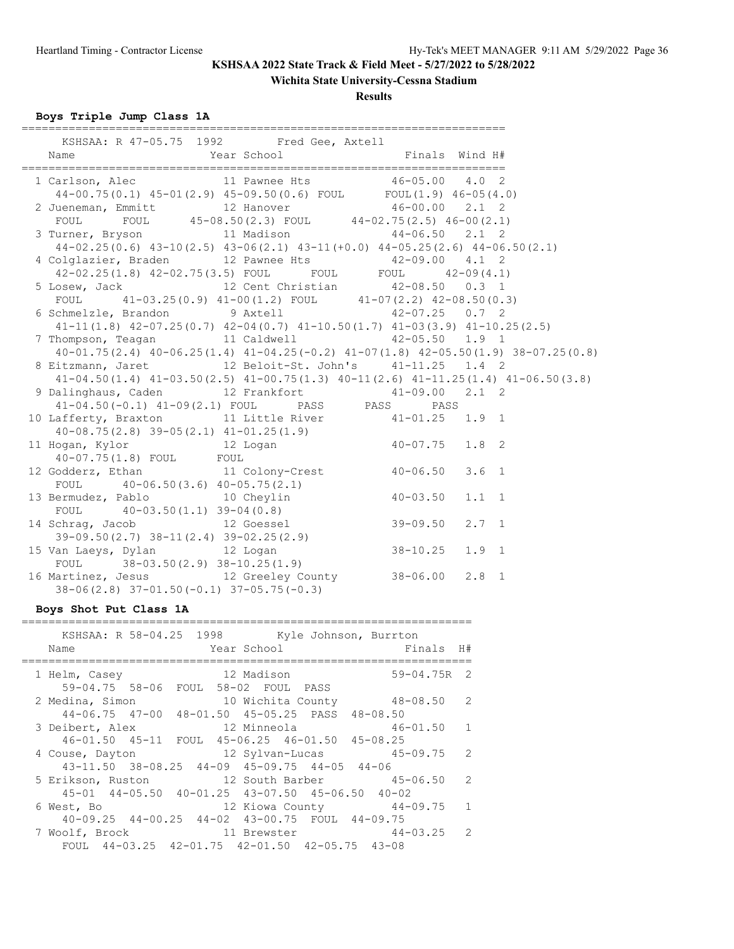**Wichita State University-Cessna Stadium**

### **Results**

**Boys Triple Jump Class 1A**

| KSHSAA: R 47-05.75 1992 Fred Gee, Axtell                                                                             |                                                                                              |  |
|----------------------------------------------------------------------------------------------------------------------|----------------------------------------------------------------------------------------------|--|
|                                                                                                                      |                                                                                              |  |
|                                                                                                                      |                                                                                              |  |
| 1 Carlson, Alec 11 Pawnee Hts 46-05.00 4.0 2                                                                         |                                                                                              |  |
| $44-00.75(0.1)$ $45-01(2.9)$ $45-09.50(0.6)$ FOUL FOUL $(1.9)$ $46-05(4.0)$                                          |                                                                                              |  |
| 2 Jueneman, Emmitt 12 Hanover 46-00.00 2.1 2                                                                         |                                                                                              |  |
|                                                                                                                      | FOUL FOUL $45-08.50(2.3)$ FOUL $44-02.75(2.5)$ $46-00(2.1)$                                  |  |
| 3 Turner, Bryson 11 Madison 44-06.50 2.1 2                                                                           |                                                                                              |  |
|                                                                                                                      | $44-02.25(0.6)$ $43-10(2.5)$ $43-06(2.1)$ $43-11(+0.0)$ $44-05.25(2.6)$ $44-06.50(2.1)$      |  |
| 4 Colglazier, Braden 12 Pawnee Hts 42-09.00 4.1 2                                                                    |                                                                                              |  |
|                                                                                                                      | $42-02.25(1.8)$ $42-02.75(3.5)$ FOUL FOUL FOUL $42-09(4.1)$                                  |  |
| 5 Losew, Jack 12 Cent Christian 42-08.50 0.3 1<br>TOUL 41-03.25(0.9) 41-00(1.2) FOUL 41-07(2.2) 42-08.50(0.3)        |                                                                                              |  |
|                                                                                                                      |                                                                                              |  |
| 6 Schmelzle, Brandon 9 Axtell 42-07.25 0.7 2                                                                         |                                                                                              |  |
| $41-11(1.8)$ $42-07.25(0.7)$ $42-04(0.7)$ $41-10.50(1.7)$ $41-03(3.9)$ $41-10.25(2.5)$                               |                                                                                              |  |
| 7 Thompson, Teagan 11 Caldwell 42-05.50 1.9 1                                                                        |                                                                                              |  |
|                                                                                                                      | 40-01.75(2.4) 40-06.25(1.4) 41-04.25(-0.2) 41-07(1.8) 42-05.50(1.9) 38-07.25(0.8)            |  |
| 8 Eitzmann, Jaret 12 Beloit-St. John's 41-11.25 1.4 2                                                                |                                                                                              |  |
|                                                                                                                      | $41-04.50(1.4)$ $41-03.50(2.5)$ $41-00.75(1.3)$ $40-11(2.6)$ $41-11.25(1.4)$ $41-06.50(3.8)$ |  |
| 9 Dalinghaus, Caden 12 Frankfort 41-09.00 2.1 2                                                                      |                                                                                              |  |
|                                                                                                                      | 41-04.50(-0.1) 41-09(2.1) FOUL PASS PASS PASS                                                |  |
| 10 Lafferty, Braxton 11 Little River 41-01.25 1.9 1                                                                  |                                                                                              |  |
|                                                                                                                      |                                                                                              |  |
| $40-08.75(2.8)$ 39-05(2.1) $41-01.25(1.9)$<br>11 Hogan, Kylor 12 Logan $40-07.75$ 1.8 2<br>$40-07.75(1.8)$ FOUT FOUT |                                                                                              |  |
| 11 Hogan, Nyror<br>40-07.75(1.8) FOUL FOUL<br>12 Godderz, Ethan 11 Colony-Crest 40-06.50 3.6 1                       |                                                                                              |  |
|                                                                                                                      |                                                                                              |  |
|                                                                                                                      |                                                                                              |  |
| FOUL 40-06.50(3.6) 40-05.75(2.1)<br>13 Bermudez, Pablo 10 Cheylin 40-03.50 1.1 1                                     |                                                                                              |  |
|                                                                                                                      |                                                                                              |  |
| FOUL 40-03.50(1.1) 39-04(0.8)<br>14 Schrag, Jacob 12 Goessel 39-09.50 2.7 1                                          |                                                                                              |  |
|                                                                                                                      |                                                                                              |  |
| 39-09.50(2.7) 38-11(2.4) 39-02.25(2.9)<br>15 Van Laeys, Dylan 12 Logan 38-10.25 1.9 1                                |                                                                                              |  |
| FOUL $38-03.50(2.9) 38-10.25(1.9)$                                                                                   |                                                                                              |  |
| 16 Martinez, Jesus 12 Greeley County 38-06.00 2.8 1                                                                  |                                                                                              |  |
| $38-06(2.8)$ $37-01.50(-0.1)$ $37-05.75(-0.3)$                                                                       |                                                                                              |  |

### **Boys Shot Put Class 1A**

| KSHSAA: R 58-04.25 1998 Kyle Johnson, Burrton<br>Year School<br>Finals H#<br>Name                         |                |
|-----------------------------------------------------------------------------------------------------------|----------------|
| $59 - 04.75R$ 2<br>12 Madison<br>1 Helm, Casey<br>59-04.75 58-06 FOUL 58-02 FOUL PASS                     |                |
| 10 Wichita County 48-08.50<br>2 Medina, Simon<br>44-06.75 47-00 48-01.50 45-05.25 PASS 48-08.50           | $\overline{2}$ |
| 3 Deibert, Alex<br>46-01.50 45-11 FOUL 45-06.25 46-01.50 45-08.25                                         |                |
| 12 Sylvan-Lucas 45-09.75 2<br>4 Couse, Dayton<br>$43-11.50$ $38-08.25$ $44-09$ $45-09.75$ $44-05$ $44-06$ |                |
| 12 South Barber 50 45-06.50<br>5 Erikson, Ruston<br>45-01 44-05.50 40-01.25 43-07.50 45-06.50 40-02       | 2              |
| 12 Kiowa County 44-09.75<br>6 West, Bo<br>40-09.25 44-00.25 44-02 43-00.75 FOUL 44-09.75                  | $\sqrt{1}$     |
| $44-03.25$ 2<br>7 Woolf, Brock<br>11 Brewster<br>FOUL 44-03.25 42-01.75 42-01.50 42-05.75 43-08           |                |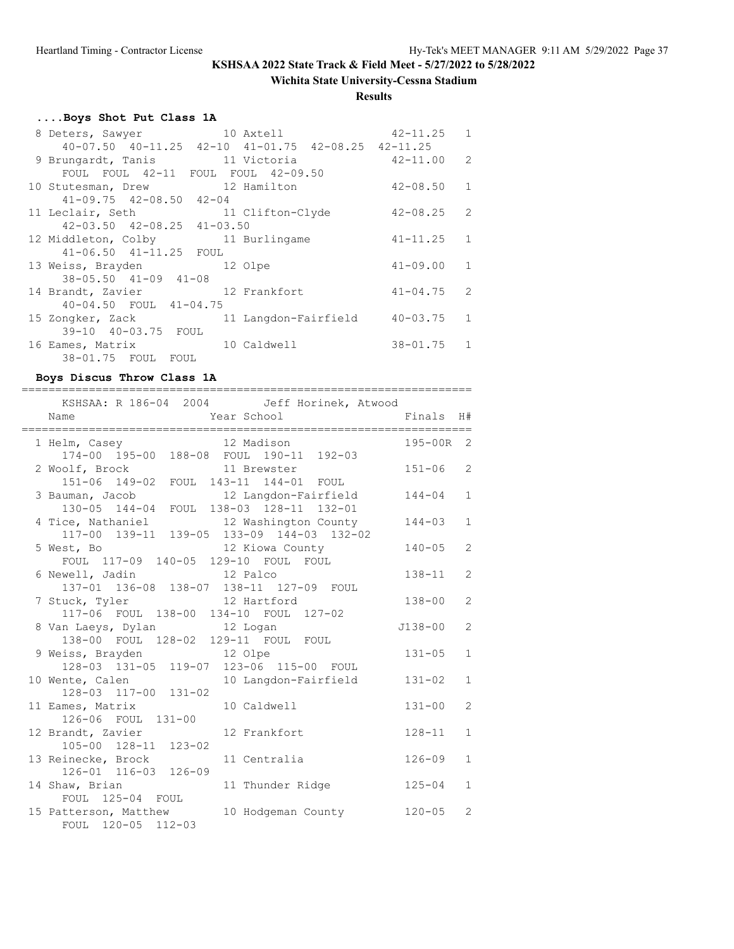### **Wichita State University-Cessna Stadium**

### **Results**

# **....Boys Shot Put Class 1A**

| 8 Deters, Sawyer 10 Axtell                                     |                      | $42 - 11.25$   | 1              |
|----------------------------------------------------------------|----------------------|----------------|----------------|
| $40-07.50$ $40-11.25$ $42-10$ $41-01.75$ $42-08.25$ $42-11.25$ |                      |                |                |
| 9 Brungardt, Tanis 11 Victoria                                 |                      | $42 - 11.00$ 2 |                |
| FOUL FOUL 42-11 FOUL FOUL 42-09.50                             |                      |                |                |
| 10 Stutesman, Drew                                             | 12 Hamilton          | $42 - 08.50$   | 1              |
| $41 - 09.75$ $42 - 08.50$ $42 - 04$                            |                      |                |                |
| 11 Leclair, Seth                                               | 11 Clifton-Clyde     | $42 - 08.25$   | 2              |
| $42 - 03.50$ $42 - 08.25$ $41 - 03.50$                         |                      |                |                |
| 12 Middleton, Colby                                            | 11 Burlingame        | $41 - 11.25$   | 1              |
| 41-06.50 41-11.25 FOUL                                         |                      |                |                |
| 13 Weiss, Brayden 12 Olpe                                      |                      | $41 - 09.00$   | $\overline{1}$ |
| $38 - 05.50$ $41 - 09$ $41 - 08$                               |                      |                |                |
| 14 Brandt, Zavier                                              | 12 Frankfort         | $41 - 04.75$   | 2              |
| 40-04.50 FOUL 41-04.75                                         |                      |                |                |
| 15 Zongker, Zack                                               | 11 Langdon-Fairfield | $40 - 03.75$   | 1              |
| 39-10 40-03.75 FOUL                                            |                      |                |                |
| 16 Eames, Matrix                                               | 10 Caldwell          | $38 - 01.75$ 1 |                |
| 38-01.75 FOUL FOUL                                             |                      |                |                |

### **Boys Discus Throw Class 1A**

| KSHSAA: R 186-04 2004 Jeff Horinek, Atwood                                                                 |             |                |
|------------------------------------------------------------------------------------------------------------|-------------|----------------|
| Year School<br>Name                                                                                        | Finals      | H#             |
| 1 Helm, Casey 12 Madison<br>174-00 195-00 188-08 FOUL 190-11 192-03                                        | 195-00R     | 2              |
| 2 Woolf, Brock<br>11 Brewster<br>151-06 149-02<br>FOUL 143-11 144-01 FOUL                                  | $151 - 06$  | $\overline{2}$ |
| 3 Bauman, Jacob<br>12 Langdon-Fairfield<br>130-05 144-04 FOUL 138-03 128-11 132-01                         | $144 - 04$  | $\mathbf{1}$   |
| 4 Tice, Nathaniel 12 Washington County<br>117-00 139-11 139-05 133-09 144-03 132-02                        | $144 - 03$  | $\mathbf{1}$   |
| 5 West, Bo<br>12 Kiowa County<br>FOUL 117-09 140-05 129-10 FOUL FOUL                                       | $140 - 05$  | $\overline{2}$ |
| 6 Newell, Jadin 12 Palco<br>137-01 136-08 138-07 138-11 127-09 FOUL                                        | $138 - 11$  | $\overline{2}$ |
| 7 Stuck, Tyler 12 Hartford<br>117-06 FOUL 138-00 134-10 FOUL 127-02                                        | $138 - 00$  | $\overline{2}$ |
| 8 Van Laeys, Dylan 12 Logan                                                                                | $J138 - 00$ | $\overline{2}$ |
| 138-00 FOUL 128-02 129-11 FOUL FOUL<br>9 Weiss, Brayden 12 Olpe<br>128-03 131-05 119-07 123-06 115-00 FOUL | $131 - 05$  | $\mathbf{1}$   |
| 10 Langdon-Fairfield<br>10 Wente, Calen<br>128-03 117-00 131-02                                            | $131 - 02$  | $\mathbf{1}$   |
| 11 Eames, Matrix<br>10 Caldwell                                                                            | $131 - 00$  | $\overline{2}$ |
| 126-06 FOUL 131-00<br>12 Brandt, Zavier<br>12 Frankfort                                                    | $128 - 11$  | $\mathbf{1}$   |
| 105-00 128-11 123-02<br>13 Reinecke, Brock<br>11 Centralia                                                 | $126 - 09$  | $\mathbf{1}$   |
| 126-01 116-03 126-09<br>14 Shaw, Brian<br>11 Thunder Ridge                                                 | $125 - 04$  | $\mathbf{1}$   |
| FOUL 125-04 FOUL<br>15 Patterson, Matthew<br>10 Hodgeman County<br>FOUL 120-05 112-03                      | $120 - 05$  | $\overline{2}$ |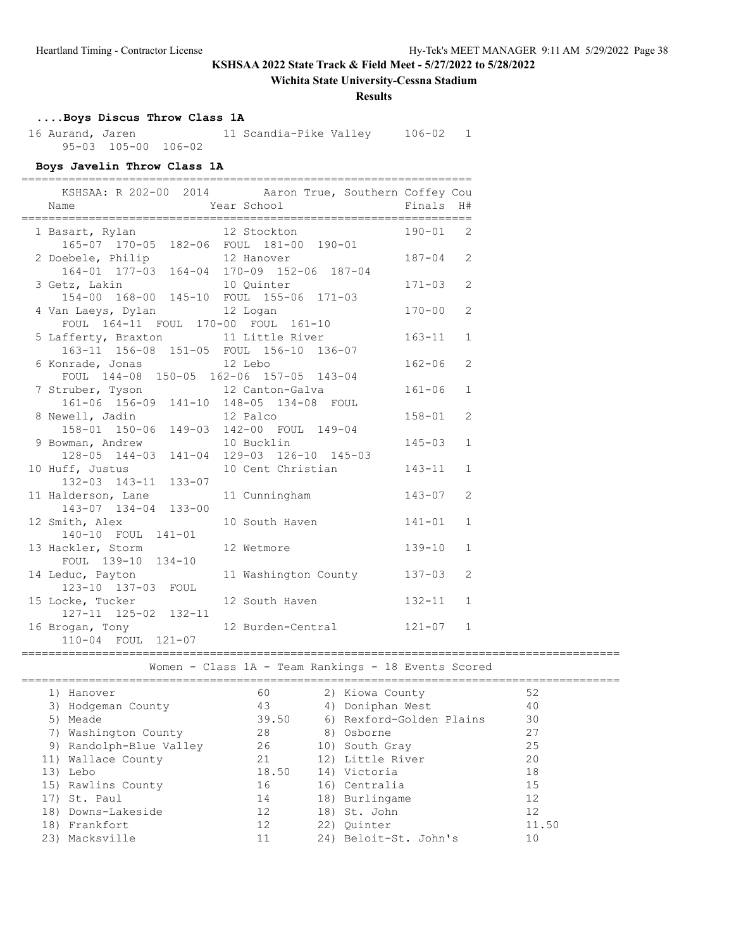### **Wichita State University-Cessna Stadium**

#### **Results**

# **....Boys Discus Throw Class 1A**

 16 Aurand, Jaren 11 Scandia-Pike Valley 106-02 1 95-03 105-00 106-02

### **Boys Javelin Throw Class 1A**

| ===========                                                                    | KSHSAA: R 202-00 2014 Aaron True, Southern Coffey Cou |              |                |
|--------------------------------------------------------------------------------|-------------------------------------------------------|--------------|----------------|
| Name                                                                           | Year School                                           | Finals H#    |                |
| 1 Basart, Rylan<br>165-07 170-05 182-06 FOUL 181-00 190-01                     | 12 Stockton                                           | $190 - 01$ 2 |                |
| 2 Doebele, Philip<br>164-01 177-03 164-04 170-09 152-06 187-04                 | 12 Hanover                                            | $187 - 04$   | 2              |
| 3 Getz, Lakin<br>154-00 168-00 145-10 FOUL 155-06 171-03                       | 10 Quinter                                            | $171 - 03$   | $\overline{2}$ |
| 4 Van Laeys, Dylan 12 Logan<br>FOUL 164-11 FOUL 170-00 FOUL 161-10             |                                                       | $170 - 00$   | 2              |
| 5 Lafferty, Braxton 11 Little River<br>163-11 156-08 151-05 FOUL 156-10 136-07 |                                                       | $163 - 11$   | $\mathbf{1}$   |
| 6 Konrade, Jonas 12 Lebo<br>FOUL 144-08 150-05 162-06 157-05 143-04            |                                                       | $162 - 06$   | 2              |
| 7 Struber, Tyson 12 Canton-Galva<br>161-06 156-09 141-10 148-05 134-08 FOUL    |                                                       | $161 - 06$   | $\mathbf{1}$   |
| 8 Newell, Jadin<br>158-01 150-06                                               | 12 Palco<br>149-03 142-00 FOUL 149-04                 | $158 - 01$   | 2              |
| 9 Bowman, Andrew<br>128-05 144-03                                              | 10 Bucklin<br>141-04 129-03 126-10 145-03             | $145 - 03$   | $\mathbf{1}$   |
| 10 Huff, Justus<br>132-03 143-11 133-07                                        | 10 Cent Christian                                     | $143 - 11$   | $\mathbf{1}$   |
| 11 Halderson, Lane<br>143-07 134-04 133-00                                     | 11 Cunningham                                         | $143 - 07$   | $\overline{2}$ |
| 12 Smith, Alex<br>140-10 FOUL 141-01                                           | 10 South Haven                                        | $141 - 01$   | $\mathbf{1}$   |
| 13 Hackler, Storm<br>FOUL 139-10 134-10                                        | 12 Wetmore                                            | $139 - 10$   | $\mathbf{1}$   |
| 14 Leduc, Payton<br>123-10 137-03 FOUL                                         | 11 Washington County                                  | $137 - 03$   | 2              |
| 15 Locke, Tucker<br>127-11 125-02 132-11                                       | 12 South Haven                                        | $132 - 11$   | $\mathbf{1}$   |
| 16 Brogan, Tony<br>110-04 FOUL 121-07                                          | 12 Burden-Central                                     | $121 - 07$   | $\mathbf{1}$   |

=========================================================================================

Women - Class 1A - Team Rankings - 18 Events Scored

| 1) Hanover              | 60    | 2) Kiowa County          | 52    |
|-------------------------|-------|--------------------------|-------|
| 3) Hodgeman County      | 43    | 4) Doniphan West         | 40    |
| 5) Meade                | 39.50 | 6) Rexford-Golden Plains | 30    |
| 7) Washington County    | 28    | 8) Osborne               | 27    |
| 9) Randolph-Blue Valley | 26    | 10) South Gray           | 25    |
| 11) Wallace County      | 21    | 12) Little River         | 20    |
| 13) Lebo                | 18.50 | 14) Victoria             | 18    |
| 15) Rawlins County      | 16    | 16) Centralia            | 15    |
| 17) St. Paul            | 14    | 18) Burlingame           | 12    |
| 18) Downs-Lakeside      | 12    | 18) St. John             | 12    |
| 18) Frankfort           | 12    | 22) Ouinter              | 11.50 |
| 23) Macksville          |       | 24) Beloit-St. John's    | 10    |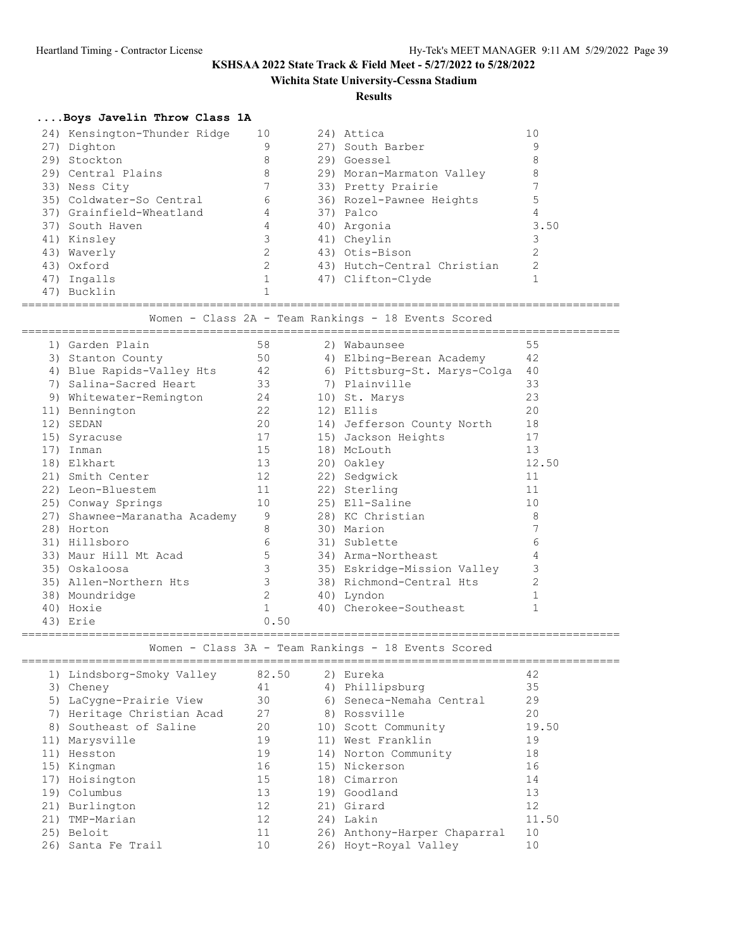### **Wichita State University-Cessna Stadium**

#### **Results**

### **....Boys Javelin Throw Class 1A**

|     | 24) Kensington-Thunder Ridge | 10 | 24) Attica                  | 10   |
|-----|------------------------------|----|-----------------------------|------|
|     | 27) Dighton                  | 9  | 27) South Barber            | 9    |
|     | 29) Stockton                 | 8  | 29) Goessel                 | 8    |
|     | 29) Central Plains           | 8  | 29) Moran-Marmaton Valley   | 8    |
|     | 33) Ness City                |    | 33) Pretty Prairie          |      |
|     | 35) Coldwater-So Central     | 6  | 36) Rozel-Pawnee Heights    | 5    |
|     | 37) Grainfield-Wheatland     | 4  | 37) Palco                   | 4    |
|     | 37) South Haven              | 4  | 40) Argonia                 | 3.50 |
|     | 41) Kinsley                  |    | 41) Cheylin                 |      |
|     | 43) Waverly                  |    | 43) Otis-Bison              | ↷    |
|     | 43) Oxford                   | 2  | 43) Hutch-Central Christian | っ    |
|     | 47) Ingalls                  |    | 47) Clifton-Clyde           |      |
| 47) | Bucklin                      |    |                             |      |

========================================================================================= Women - Class 2A - Team Rankings - 18 Events Scored

|     | 1) Garden Plain           | 58   | 2) Wabaunsee                 | 55             |
|-----|---------------------------|------|------------------------------|----------------|
|     | 3) Stanton County         | 50   | 4) Elbing-Berean Academy     | 42             |
| 4)  | Blue Rapids-Valley Hts    | 42   | 6) Pittsburg-St. Marys-Colga | 40             |
| 7)  | Salina-Sacred Heart       | 33   | 7) Plainville                | 33             |
| 9)  | Whitewater-Remington      | 24   | 10) St. Marys                | 23             |
|     | 11) Bennington            | 22   | 12) Ellis                    | 20             |
| 12) | SEDAN                     | 20   | 14) Jefferson County North   | 18             |
| 15) | Syracuse                  | 17   | 15) Jackson Heights          | 17             |
| 17) | Inman                     | 15   | 18) McLouth                  | 13             |
| 18) | Elkhart                   | 13   | 20) Oakley                   | 12.50          |
|     | 21) Smith Center          | 12   | 22) Sedqwick                 | 11             |
|     | 22) Leon-Bluestem         | 11   | 22) Sterling                 | 11             |
|     | 25) Conway Springs        | 10   | 25) Ell-Saline               | 10             |
| 27) | Shawnee-Maranatha Academy | 9    | 28) KC Christian             | 8              |
|     | 28) Horton                | 8    | 30) Marion                   |                |
|     | 31) Hillsboro             | 6    | 31) Sublette                 | 6              |
|     | 33) Maur Hill Mt Acad     | 5    | 34) Arma-Northeast           | 4              |
|     | 35) Oskaloosa             | 3    | 35) Eskridge-Mission Valley  | 3              |
|     | 35) Allen-Northern Hts    | 3    | 38) Richmond-Central Hts     | $\overline{2}$ |
|     | 38) Moundridge            | 2    | 40) Lyndon                   |                |
|     | 40) Hoxie                 |      | 40) Cherokee-Southeast       |                |
|     | 43) Erie                  | 0.50 |                              |                |

=========================================================================================

Women - Class 3A - Team Rankings - 18 Events Scored

|     | 1) Lindsborg-Smoky Valley  | 82.50 | 2) Eureka                    | 42    |
|-----|----------------------------|-------|------------------------------|-------|
|     | 3) Cheney                  | 41    | 4) Phillipsburg              | 35    |
|     | 5) LaCygne-Prairie View    | 30    | 6) Seneca-Nemaha Central     | 29    |
|     | 7) Heritage Christian Acad | 27    | 8) Rossville                 | 20    |
|     | 8) Southeast of Saline     | 20    | 10) Scott Community          | 19.50 |
|     | 11) Marysville             | 19    | 11) West Franklin            | 19    |
|     | 11) Hesston                | 19    | 14) Norton Community         | 18    |
|     | 15) Kingman                | 16    | 15) Nickerson                | 16    |
|     | 17) Hoisington             | 15    | 18) Cimarron                 | 14    |
|     | 19) Columbus               | 13    | 19) Goodland                 | 13    |
|     | 21) Burlington             | 12    | 21) Girard                   | 12    |
| 21) | TMP-Marian                 | 12    | 24) Lakin                    | 11.50 |
|     | 25) Beloit                 | 11    | 26) Anthony-Harper Chaparral | 10    |
| 26) | Santa Fe Trail             | 10    | 26) Hoyt-Royal Valley        | 10    |
|     |                            |       |                              |       |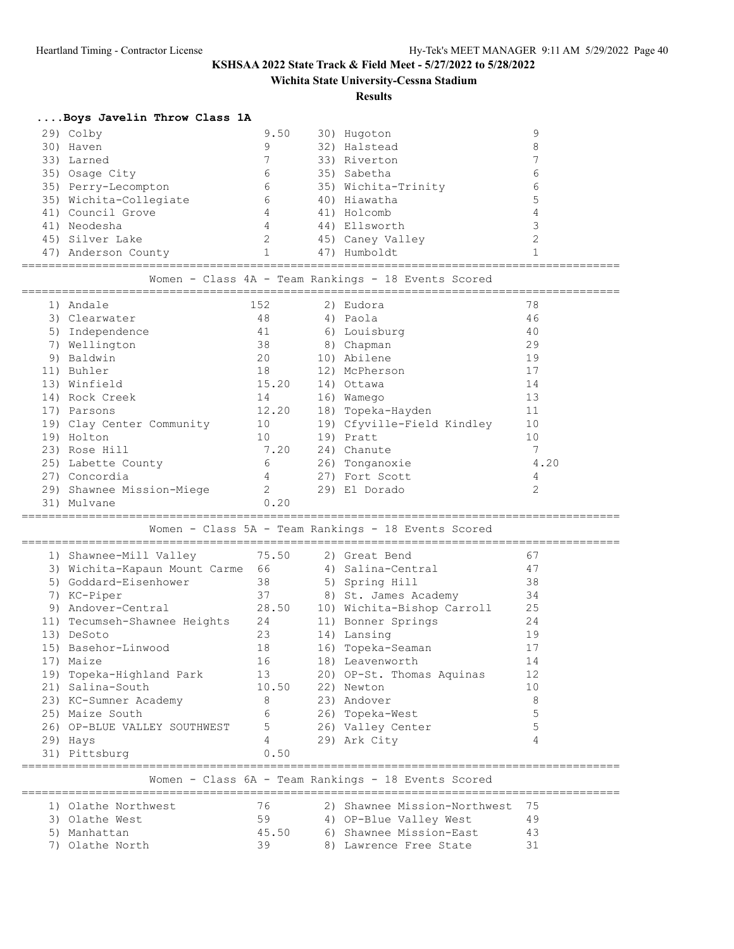**Wichita State University-Cessna Stadium**

**Results**

### **....Boys Javelin Throw Class 1A**

| 29) Colby              | 9.50 |     | 30) Hugoton         |   |
|------------------------|------|-----|---------------------|---|
| 30) Haven              | 9    |     | 32) Halstead        |   |
| 33) Larned             |      |     | 33) Riverton        |   |
| 35) Osaqe City         | 6    |     | 35) Sabetha         | რ |
| 35) Perry-Lecompton    | 6    |     | 35) Wichita-Trinity | 6 |
| 35) Wichita-Collegiate | 6    |     | 40) Hiawatha        |   |
| 41) Council Grove      | 4    |     | 41) Holcomb         |   |
| 41) Neodesha           | 4    |     | 44) Ellsworth       |   |
| 45) Silver Lake        | 2    |     | 45) Caney Valley    |   |
| 47) Anderson County    |      | 47) | Humboldt            |   |
|                        |      |     |                     |   |

|  |  |  |  |  |  | Women - Class 4A - Team Rankings - 18 Events Scored |  |  |  |  |
|--|--|--|--|--|--|-----------------------------------------------------|--|--|--|--|
|--|--|--|--|--|--|-----------------------------------------------------|--|--|--|--|

| 1) | Andale                    | 152            |     | 2) Eudora                  | 78             |
|----|---------------------------|----------------|-----|----------------------------|----------------|
|    | 3) Clearwater             | 48             |     | 4) Paola                   | 46             |
| 5) | Independence              | 41             |     | 6) Louisburg               | 40             |
| 7) | Wellington                | 38             |     | 8) Chapman                 | 29             |
| 9) | Baldwin                   | 20             |     | 10) Abilene                | 19             |
|    | 11) Buhler                | 18             |     | 12) McPherson              | 17             |
|    | 13) Winfield              | 15.20          |     | 14) Ottawa                 | 14             |
|    | 14) Rock Creek            | 14             |     | 16) Wamego                 | 13             |
|    | 17) Parsons               | 12.20          |     | 18) Topeka-Hayden          | 11             |
|    | 19) Clay Center Community | 10             |     | 19) Cfyville-Field Kindley | 10             |
|    | 19) Holton                | 10             |     | 19) Pratt                  | 10             |
|    | 23) Rose Hill             | 7.20           |     | 24) Chanute                | $\overline{7}$ |
|    | 25) Labette County        | 6              |     | 26) Tonganoxie             | 4.20           |
|    | 27) Concordia             | 4              |     | 27) Fort Scott             | 4              |
|    | 29) Shawnee Mission-Miege | $\mathfrak{D}$ | 29) | El Dorado                  | 2              |
|    | 31) Mulvane               | 0.20           |     |                            |                |

=========================================================================================

Women - Class 5A - Team Rankings - 18 Events Scored

|    | 1) Shawnee-Mill Valley        | 75.50 | 2) Great Bend                                       | 67 |
|----|-------------------------------|-------|-----------------------------------------------------|----|
|    | 3) Wichita-Kapaun Mount Carme | 66    | 4) Salina-Central                                   | 47 |
| 5) | Goddard-Eisenhower            |       | 5) Spring Hill                                      | 38 |
| 7) | KC-Piper                      | 37    | 8) St. James Academy                                | 34 |
|    | 9) Andover-Central            | 28.50 | 10) Wichita-Bishop Carroll                          | 25 |
|    | 11) Tecumseh-Shawnee Heights  | 24    | 11) Bonner Springs                                  | 24 |
|    | 13) DeSoto                    | 23    | 14) Lansing                                         | 19 |
|    | 15) Basehor-Linwood           | 18    | 16) Topeka-Seaman                                   | 17 |
|    | 17) Maize                     | 16    | 18) Leavenworth                                     | 14 |
|    | 19) Topeka-Highland Park      | 13    | 20) OP-St. Thomas Aquinas                           | 12 |
|    | 21) Salina-South              | 10.50 | 22) Newton                                          | 10 |
|    | 23) KC-Sumner Academy         | 8     | 23) Andover                                         | 8  |
|    | 25) Maize South               | 6     | 26) Topeka-West                                     | 5  |
|    | 26) OP-BLUE VALLEY SOUTHWEST  | 5     | 26) Valley Center                                   | 5  |
|    | 29) Hays                      | 4     | 29) Ark City                                        | 4  |
|    | 31) Pittsburg                 | 0.50  |                                                     |    |
|    |                               |       |                                                     |    |
|    |                               |       | Women - Class 6A - Team Rankings - 18 Events Scored |    |
|    |                               |       |                                                     |    |

| 1) Olathe Northwest | 76.   | 2) Shawnee Mission-Northwest 75 |     |
|---------------------|-------|---------------------------------|-----|
| 3) Olathe West      | 59    | 4) OP-Blue Valley West          | 49  |
| 5) Manhattan        | 45.50 | 6) Shawnee Mission-East         | -43 |
| 7) Olathe North     | 39    | 8) Lawrence Free State          | -31 |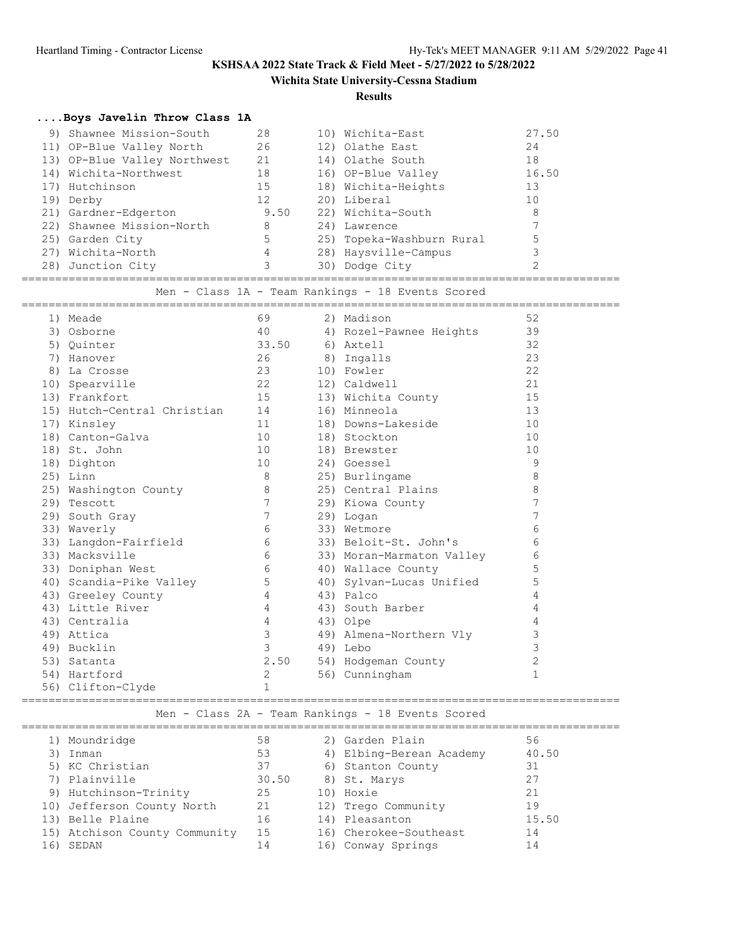**Wichita State University-Cessna Stadium**

#### **Results**

### **....Boys Javelin Throw Class 1A**

| 9) Shawnee Mission-South     | 28   | 10) Wichita-East          | 27.50 |  |
|------------------------------|------|---------------------------|-------|--|
| 11) OP-Blue Valley North     | 26   | 12) Olathe East           | 24    |  |
| 13) OP-Blue Valley Northwest | 21   | 14) Olathe South          | 18    |  |
| 14) Wichita-Northwest        | 18   | 16) OP-Blue Valley        | 16.50 |  |
| 17) Hutchinson               | 15   | 18) Wichita-Heights       | 13    |  |
| 19) Derby                    | 12   | 20) Liberal               | 10    |  |
| 21) Gardner-Edgerton         | 9.50 | 22) Wichita-South         | 8     |  |
| 22) Shawnee Mission-North    | 8    | 24) Lawrence              |       |  |
| 25) Garden City              | 5    | 25) Topeka-Washburn Rural |       |  |
| 27) Wichita-North            | 4    | 28) Haysville-Campus      |       |  |
| 28) Junction City            |      | 30) Dodge City            |       |  |
|                              |      |                           |       |  |

Men - Class 1A - Team Rankings - 18 Events Scored

| 1) Meade                                    | 69              | 2) Madison                | 52           |  |
|---------------------------------------------|-----------------|---------------------------|--------------|--|
| 3) Osborne                                  | 40              | 4) Rozel-Pawnee Heights   | 39           |  |
| 5) Ouinter                                  | 33.50           | 6) Axtell                 | 32           |  |
| 7) Hanover                                  | 26              | 8) Ingalls                | 23           |  |
| 8) La Crosse                                | 23 23           | 10) Fowler                | 22           |  |
| 10) Spearville                              | 22              | 12) Caldwell              | 21           |  |
| 13) Frankfort                               | 15              | 13) Wichita County        | 15           |  |
| 15) Hutch-Central Christian 14 16) Minneola |                 |                           | 13           |  |
| 17) Kinsley                                 | 11              | 18) Downs-Lakeside        | 10           |  |
| 18) Canton-Galva                            | 10              | 18) Stockton              | 10           |  |
| 10<br>18) St. John                          |                 | 18) Brewster              | 10           |  |
| 18) Dighton                                 | 10              | 24) Goessel               | 9            |  |
| $25)$ Linn                                  | 8 <sup>8</sup>  | 25) Burlingame            | 8            |  |
| 25) Washington County                       | 8               | 25) Central Plains        | 8            |  |
| 29) Tescott                                 | $7\phantom{.0}$ | 29) Kiowa County          | 7            |  |
| 29) South Gray                              | 7               | 29) Logan                 | 7            |  |
| 33) Waverly                                 | 6               | 33) Wetmore               | 6            |  |
| 33) Langdon-Fairfield                       | 6               | 33) Beloit-St. John's     | 6            |  |
| 33) Macksville                              | 6               | 33) Moran-Marmaton Valley | 6            |  |
| 33) Doniphan West                           | $6\overline{6}$ | 40) Wallace County        | 5            |  |
| 40) Scandia-Pike Valley                     | 5               | 40) Sylvan-Lucas Unified  | 5            |  |
| 43) Greeley County                          | $4\overline{ }$ | 43) Palco                 | 4            |  |
| 43) Little River                            | $\overline{4}$  | 43) South Barber          | 4            |  |
| 43) Centralia                               | $\overline{4}$  | 43) Olpe                  | 4            |  |
| 49) Attica                                  | $\mathcal{E}$   | 49) Almena-Northern Vly   | 3            |  |
| 49) Bucklin                                 | $\mathcal{S}$   | 49) Lebo                  | 3            |  |
| 53) Satanta                                 | 2.50            | 54) Hodgeman County       | $\sqrt{2}$   |  |
| 54) Hartford                                | 2               | 56) Cunningham            | $\mathbf{1}$ |  |
| 56) Clifton-Clyde                           | $\mathbf{1}$    |                           |              |  |

### ========================================================================================= Men - Class 2A - Team Rankings - 18 Events Scored

|     | 1) Moundridge                 | 58    | 2) Garden Plain          | 56    |
|-----|-------------------------------|-------|--------------------------|-------|
|     | Inman                         | 53    | 4) Elbing-Berean Academy | 40.50 |
|     | 5) KC Christian               | 37    | 6) Stanton County        | 31    |
|     | 7) Plainville                 | 30.50 | 8) St. Marys             | 27    |
|     | 9) Hutchinson-Trinity         | 25    | 10) Hoxie                | 21    |
|     | 10) Jefferson County North    | 21    | 12) Trego Community      | 19    |
|     | 13) Belle Plaine              | 16    | 14) Pleasanton           | 15.50 |
|     | 15) Atchison County Community | 15    | 16) Cherokee-Southeast   | 14    |
| 16) | SEDAN                         | 14    | 16) Conway Springs       | 14    |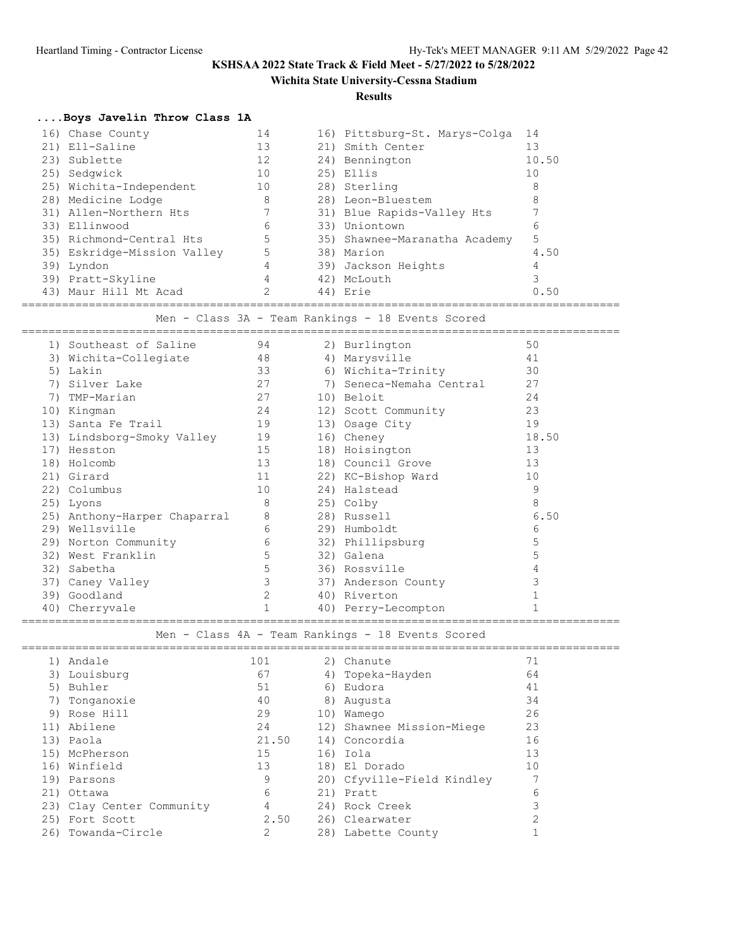**Wichita State University-Cessna Stadium**

**Results**

# **....Boys Javelin Throw Class 1A**

| 16) Chase County            | 14 | 16) Pittsburg-St. Marys-Colga | 14    |  |
|-----------------------------|----|-------------------------------|-------|--|
| 21) Ell-Saline              | 13 | 21) Smith Center              | 13    |  |
| 23) Sublette                | 12 | 24) Bennington                | 10.50 |  |
| 25) Sedqwick                | 10 | 25) Ellis                     | 10    |  |
| 25) Wichita-Independent     | 10 | 28) Sterling                  | 8     |  |
| 28) Medicine Lodge          | 8  | 28) Leon-Bluestem             | 8     |  |
| 31) Allen-Northern Hts      |    | 31) Blue Rapids-Valley Hts    |       |  |
| 33) Ellinwood               | 6  | 33) Uniontown                 | 6     |  |
| 35) Richmond-Central Hts    | 5  | 35) Shawnee-Maranatha Academy | 5     |  |
| 35) Eskridge-Mission Valley | 5  | 38) Marion                    | 4.50  |  |
| 39) Lyndon                  | 4  | 39) Jackson Heights           |       |  |
| 39) Pratt-Skyline           | 4  | 42) McLouth                   |       |  |
| 43) Maur Hill Mt Acad       |    | 44) Erie                      | 0.50  |  |
|                             |    |                               |       |  |

Men - Class 3A - Team Rankings - 18 Events Scored

|     | 1) Southeast of Saline       | 94 | 2) Burlington            | 50    |  |
|-----|------------------------------|----|--------------------------|-------|--|
| 3)  | Wichita-Collegiate           | 48 | 4) Marysville            | 41    |  |
| 5)  | Lakin                        | 33 | 6) Wichita-Trinity       | 30    |  |
| 7)  | Silver Lake                  | 27 | 7) Seneca-Nemaha Central | 27    |  |
| 7)  | TMP-Marian                   | 27 | 10) Beloit               | 24    |  |
| 10) | Kingman                      | 24 | 12) Scott Community      | 23    |  |
| 13) | Santa Fe Trail               | 19 | 13) Osage City           | 19    |  |
|     | 13) Lindsborg-Smoky Valley   | 19 | 16) Cheney               | 18.50 |  |
| 17) | Hesston                      | 15 | 18) Hoisington           | 13    |  |
|     | 18) Holcomb                  | 13 | 18) Council Grove        | 13    |  |
|     | 21) Girard                   | 11 | 22) KC-Bishop Ward       | 10    |  |
|     | 22) Columbus                 | 10 | 24) Halstead             | 9     |  |
|     | 25) Lyons                    | 8  | 25) Colby                | 8     |  |
|     | 25) Anthony-Harper Chaparral | 8  | 28) Russell              | 6.50  |  |
|     | 29) Wellsville               | 6  | 29) Humboldt             | 6     |  |
|     | 29) Norton Community         | 6  | 32) Phillipsburg         | 5     |  |
| 32) | West Franklin                | 5  | 32) Galena               | 5     |  |
| 32) | Sabetha                      | 5  | 36) Rossville            |       |  |
|     | 37) Caney Valley             | 3  | 37) Anderson County      |       |  |
| 39) | Goodland                     | 2  | 40) Riverton             |       |  |
| 40) | Cherryvale                   | 1  | 40) Perry-Lecompton      |       |  |
|     |                              |    |                          |       |  |

Men - Class 4A - Team Rankings - 18 Events Scored

| 1)  | Andale                    | 101   | 2) Chanute                 | 71 |
|-----|---------------------------|-------|----------------------------|----|
|     | 3) Louisburg              | 67    | 4) Topeka-Hayden           | 64 |
|     | 5) Buhler                 | 51    | 6) Eudora                  | 41 |
|     | Tonganoxie                | 40    | 8) Augusta                 | 34 |
|     | 9) Rose Hill              | 29    | 10) Wamego                 | 26 |
|     | 11) Abilene               | 24    | 12) Shawnee Mission-Miege  | 23 |
|     | 13) Paola                 | 21.50 | 14) Concordia              | 16 |
|     | 15) McPherson             | 15    | 16) Iola                   | 13 |
|     | 16) Winfield              | 13    | 18) El Dorado              | 10 |
|     | 19) Parsons               | 9     | 20) Cfyville-Field Kindley |    |
|     | 21) Ottawa                | 6     | 21) Pratt                  | 6  |
|     | 23) Clay Center Community | 4     | 24) Rock Creek             |    |
|     | 25) Fort Scott            | 2.50  | 26) Clearwater             | ◠  |
| 26) | Towanda-Circle            | 2     | 28) Labette County         |    |
|     |                           |       |                            |    |